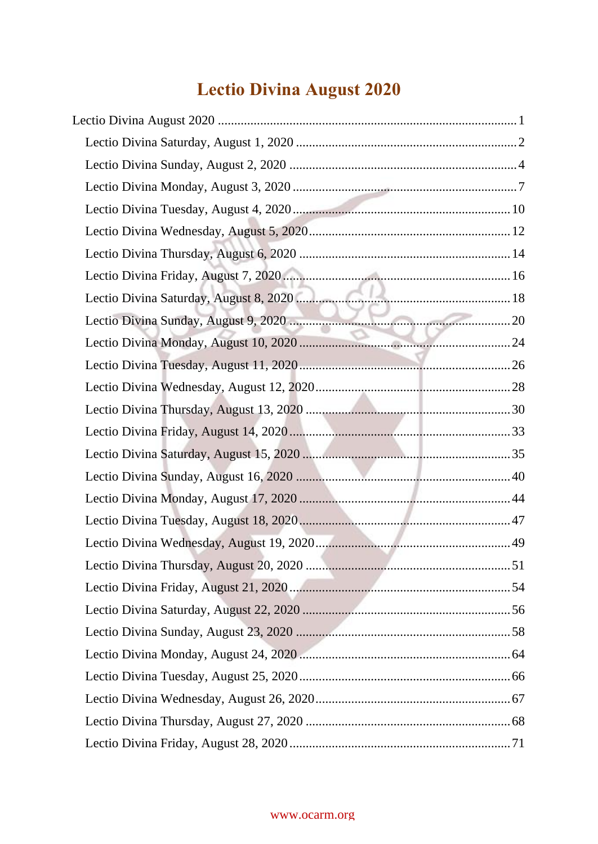# **Lectio Divina August 2020**

<span id="page-0-0"></span>

#### www.ocarm.org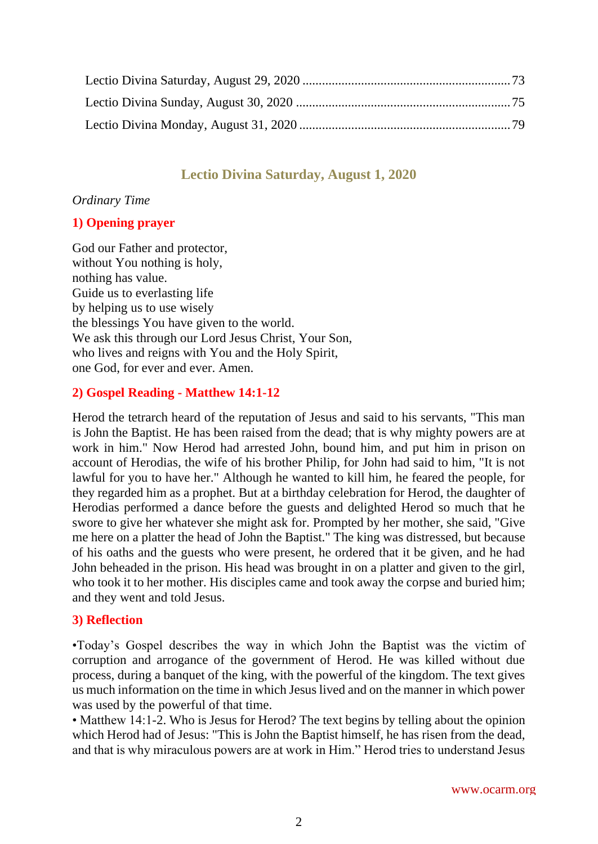# **Lectio Divina Saturday, August 1, 2020**

### <span id="page-1-0"></span>*Ordinary Time*

# **1) Opening prayer**

God our Father and protector, without You nothing is holy, nothing has value. Guide us to everlasting life by helping us to use wisely the blessings You have given to the world. We ask this through our Lord Jesus Christ, Your Son, who lives and reigns with You and the Holy Spirit, one God, for ever and ever. Amen.

# **2) Gospel Reading - Matthew 14:1-12**

Herod the tetrarch heard of the reputation of Jesus and said to his servants, "This man is John the Baptist. He has been raised from the dead; that is why mighty powers are at work in him." Now Herod had arrested John, bound him, and put him in prison on account of Herodias, the wife of his brother Philip, for John had said to him, "It is not lawful for you to have her." Although he wanted to kill him, he feared the people, for they regarded him as a prophet. But at a birthday celebration for Herod, the daughter of Herodias performed a dance before the guests and delighted Herod so much that he swore to give her whatever she might ask for. Prompted by her mother, she said, "Give me here on a platter the head of John the Baptist." The king was distressed, but because of his oaths and the guests who were present, he ordered that it be given, and he had John beheaded in the prison. His head was brought in on a platter and given to the girl, who took it to her mother. His disciples came and took away the corpse and buried him; and they went and told Jesus.

# **3) Reflection**

•Today's Gospel describes the way in which John the Baptist was the victim of corruption and arrogance of the government of Herod. He was killed without due process, during a banquet of the king, with the powerful of the kingdom. The text gives us much information on the time in which Jesus lived and on the manner in which power was used by the powerful of that time.

• Matthew 14:1-2. Who is Jesus for Herod? The text begins by telling about the opinion which Herod had of Jesus: "This is John the Baptist himself, he has risen from the dead, and that is why miraculous powers are at work in Him." Herod tries to understand Jesus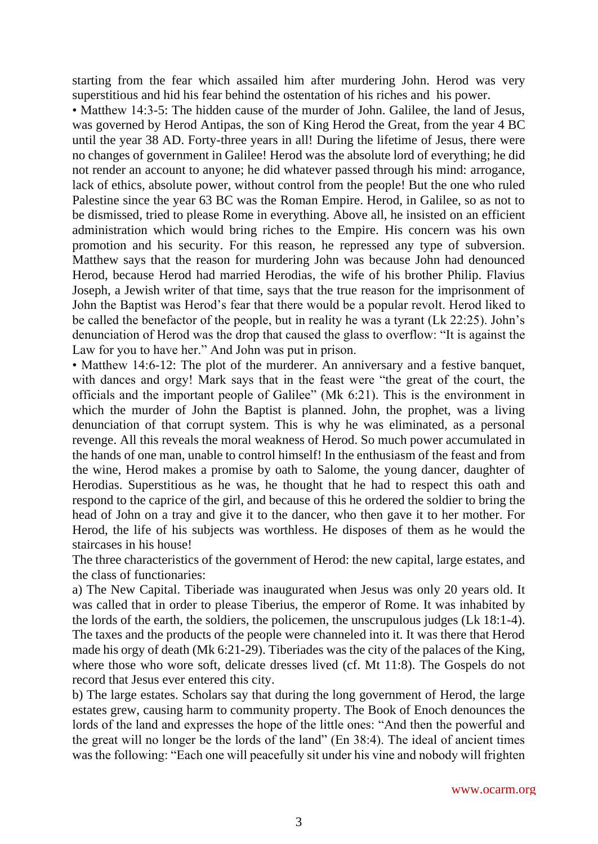starting from the fear which assailed him after murdering John. Herod was very superstitious and hid his fear behind the ostentation of his riches and his power.

• Matthew 14:3-5: The hidden cause of the murder of John. Galilee, the land of Jesus, was governed by Herod Antipas, the son of King Herod the Great, from the year 4 BC until the year 38 AD. Forty-three years in all! During the lifetime of Jesus, there were no changes of government in Galilee! Herod was the absolute lord of everything; he did not render an account to anyone; he did whatever passed through his mind: arrogance, lack of ethics, absolute power, without control from the people! But the one who ruled Palestine since the year 63 BC was the Roman Empire. Herod, in Galilee, so as not to be dismissed, tried to please Rome in everything. Above all, he insisted on an efficient administration which would bring riches to the Empire. His concern was his own promotion and his security. For this reason, he repressed any type of subversion. Matthew says that the reason for murdering John was because John had denounced Herod, because Herod had married Herodias, the wife of his brother Philip. Flavius Joseph, a Jewish writer of that time, says that the true reason for the imprisonment of John the Baptist was Herod's fear that there would be a popular revolt. Herod liked to be called the benefactor of the people, but in reality he was a tyrant (Lk 22:25). John's denunciation of Herod was the drop that caused the glass to overflow: "It is against the Law for you to have her." And John was put in prison.

• Matthew 14:6-12: The plot of the murderer. An anniversary and a festive banquet, with dances and orgy! Mark says that in the feast were "the great of the court, the officials and the important people of Galilee" (Mk 6:21). This is the environment in which the murder of John the Baptist is planned. John, the prophet, was a living denunciation of that corrupt system. This is why he was eliminated, as a personal revenge. All this reveals the moral weakness of Herod. So much power accumulated in the hands of one man, unable to control himself! In the enthusiasm of the feast and from the wine, Herod makes a promise by oath to Salome, the young dancer, daughter of Herodias. Superstitious as he was, he thought that he had to respect this oath and respond to the caprice of the girl, and because of this he ordered the soldier to bring the head of John on a tray and give it to the dancer, who then gave it to her mother. For Herod, the life of his subjects was worthless. He disposes of them as he would the staircases in his house!

The three characteristics of the government of Herod: the new capital, large estates, and the class of functionaries:

a) The New Capital. Tiberiade was inaugurated when Jesus was only 20 years old. It was called that in order to please Tiberius, the emperor of Rome. It was inhabited by the lords of the earth, the soldiers, the policemen, the unscrupulous judges (Lk 18:1-4). The taxes and the products of the people were channeled into it. It was there that Herod made his orgy of death (Mk 6:21-29). Tiberiades was the city of the palaces of the King, where those who wore soft, delicate dresses lived (cf. Mt 11:8). The Gospels do not record that Jesus ever entered this city.

b) The large estates. Scholars say that during the long government of Herod, the large estates grew, causing harm to community property. The Book of Enoch denounces the lords of the land and expresses the hope of the little ones: "And then the powerful and the great will no longer be the lords of the land" (En 38:4). The ideal of ancient times was the following: "Each one will peacefully sit under his vine and nobody will frighten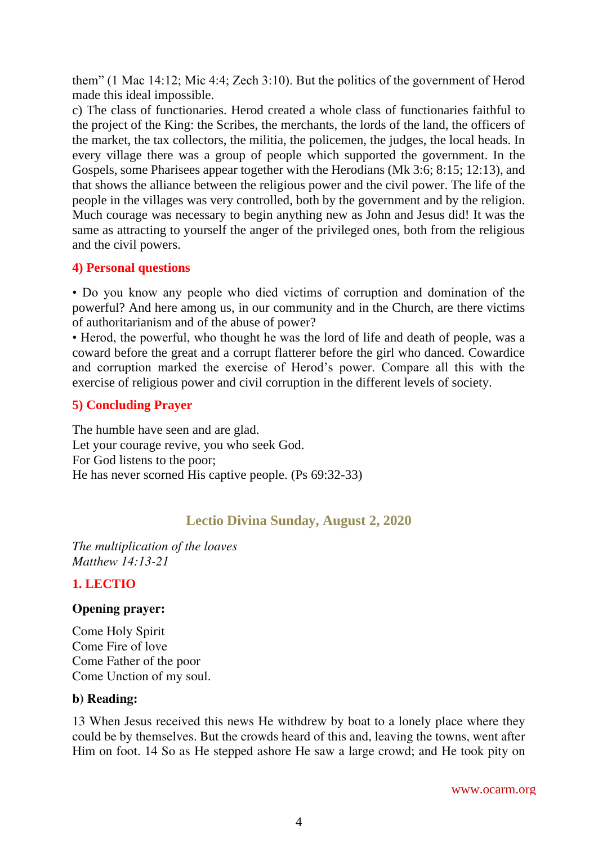them" (1 Mac 14:12; Mic 4:4; Zech 3:10). But the politics of the government of Herod made this ideal impossible.

c) The class of functionaries. Herod created a whole class of functionaries faithful to the project of the King: the Scribes, the merchants, the lords of the land, the officers of the market, the tax collectors, the militia, the policemen, the judges, the local heads. In every village there was a group of people which supported the government. In the Gospels, some Pharisees appear together with the Herodians (Mk 3:6; 8:15; 12:13), and that shows the alliance between the religious power and the civil power. The life of the people in the villages was very controlled, both by the government and by the religion. Much courage was necessary to begin anything new as John and Jesus did! It was the same as attracting to yourself the anger of the privileged ones, both from the religious and the civil powers.

### **4) Personal questions**

• Do you know any people who died victims of corruption and domination of the powerful? And here among us, in our community and in the Church, are there victims of authoritarianism and of the abuse of power?

• Herod, the powerful, who thought he was the lord of life and death of people, was a coward before the great and a corrupt flatterer before the girl who danced. Cowardice and corruption marked the exercise of Herod's power. Compare all this with the exercise of religious power and civil corruption in the different levels of society.

# **5) Concluding Prayer**

The humble have seen and are glad. Let your courage revive, you who seek God. For God listens to the poor; He has never scorned His captive people. (Ps 69:32-33)

# **Lectio Divina Sunday, August 2, 2020**

<span id="page-3-0"></span>*The multiplication of the loaves Matthew 14:13-21*

# **1. LECTIO**

### **Opening prayer:**

Come Holy Spirit Come Fire of love Come Father of the poor Come Unction of my soul.

### **b) Reading:**

13 When Jesus received this news He withdrew by boat to a lonely place where they could be by themselves. But the crowds heard of this and, leaving the towns, went after Him on foot. 14 So as He stepped ashore He saw a large crowd; and He took pity on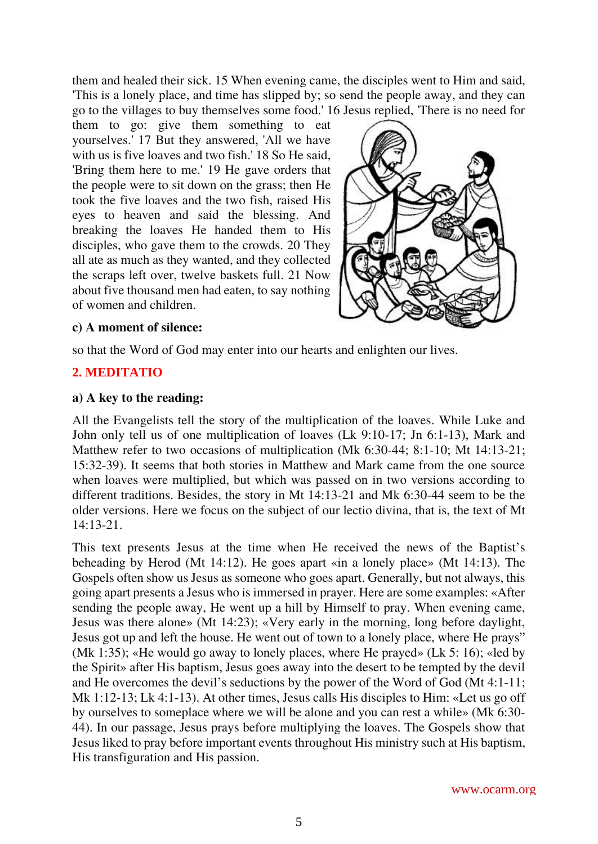them and healed their sick. 15 When evening came, the disciples went to Him and said, 'This is a lonely place, and time has slipped by; so send the people away, and they can go to the villages to buy themselves some food.' 16 Jesus replied, 'There is no need for

them to go: give them something to eat yourselves.' 17 But they answered, 'All we have with us is five loaves and two fish.' 18 So He said, 'Bring them here to me.' 19 He gave orders that the people were to sit down on the grass; then He took the five loaves and the two fish, raised His eyes to heaven and said the blessing. And breaking the loaves He handed them to His disciples, who gave them to the crowds. 20 They all ate as much as they wanted, and they collected the scraps left over, twelve baskets full. 21 Now about five thousand men had eaten, to say nothing of women and children.



#### **c) A moment of silence:**

so that the Word of God may enter into our hearts and enlighten our lives.

### **2. MEDITATIO**

#### **a) A key to the reading:**

All the Evangelists tell the story of the multiplication of the loaves. While Luke and John only tell us of one multiplication of loaves (Lk 9:10-17; Jn 6:1-13), Mark and Matthew refer to two occasions of multiplication (Mk 6:30-44; 8:1-10; Mt 14:13-21; 15:32-39). It seems that both stories in Matthew and Mark came from the one source when loaves were multiplied, but which was passed on in two versions according to different traditions. Besides, the story in Mt 14:13-21 and Mk 6:30-44 seem to be the older versions. Here we focus on the subject of our lectio divina, that is, the text of Mt 14:13-21.

This text presents Jesus at the time when He received the news of the Baptist's beheading by Herod (Mt 14:12). He goes apart «in a lonely place» (Mt 14:13). The Gospels often show us Jesus as someone who goes apart. Generally, but not always, this going apart presents a Jesus who is immersed in prayer. Here are some examples: «After sending the people away, He went up a hill by Himself to pray. When evening came, Jesus was there alone» (Mt 14:23); «Very early in the morning, long before daylight, Jesus got up and left the house. He went out of town to a lonely place, where He prays" (Mk 1:35); «He would go away to lonely places, where He prayed» (Lk 5: 16); «led by the Spirit» after His baptism, Jesus goes away into the desert to be tempted by the devil and He overcomes the devil's seductions by the power of the Word of God (Mt 4:1-11; Mk 1:12-13; Lk 4:1-13). At other times, Jesus calls His disciples to Him: «Let us go off by ourselves to someplace where we will be alone and you can rest a while» (Mk 6:30- 44). In our passage, Jesus prays before multiplying the loaves. The Gospels show that Jesus liked to pray before important events throughout His ministry such at His baptism, His transfiguration and His passion.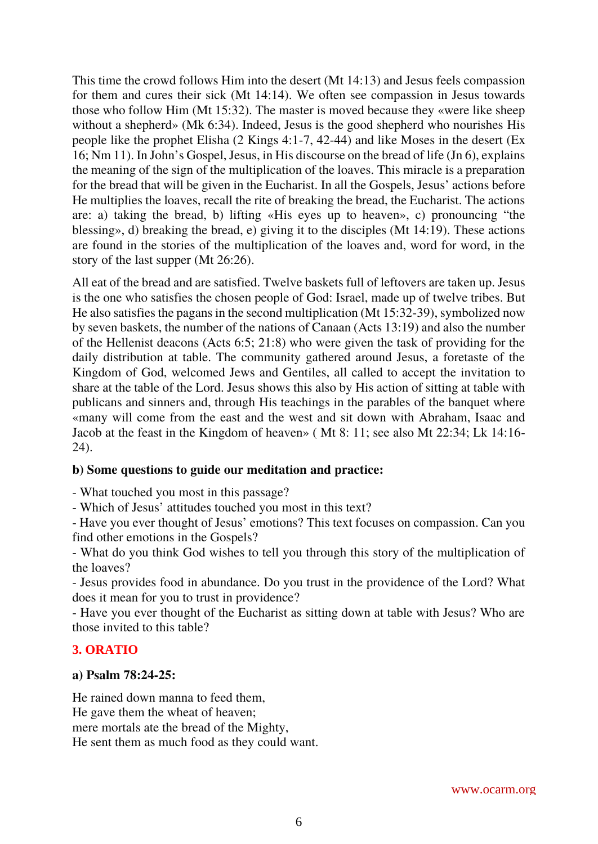This time the crowd follows Him into the desert (Mt 14:13) and Jesus feels compassion for them and cures their sick (Mt 14:14). We often see compassion in Jesus towards those who follow Him (Mt 15:32). The master is moved because they «were like sheep without a shepherd» (Mk 6:34). Indeed, Jesus is the good shepherd who nourishes His people like the prophet Elisha (2 Kings 4:1-7, 42-44) and like Moses in the desert (Ex 16; Nm 11). In John's Gospel, Jesus, in His discourse on the bread of life (Jn 6), explains the meaning of the sign of the multiplication of the loaves. This miracle is a preparation for the bread that will be given in the Eucharist. In all the Gospels, Jesus' actions before He multiplies the loaves, recall the rite of breaking the bread, the Eucharist. The actions are: a) taking the bread, b) lifting «His eyes up to heaven», c) pronouncing "the blessing», d) breaking the bread, e) giving it to the disciples (Mt 14:19). These actions are found in the stories of the multiplication of the loaves and, word for word, in the story of the last supper (Mt 26:26).

All eat of the bread and are satisfied. Twelve baskets full of leftovers are taken up. Jesus is the one who satisfies the chosen people of God: Israel, made up of twelve tribes. But He also satisfies the pagans in the second multiplication (Mt 15:32-39), symbolized now by seven baskets, the number of the nations of Canaan (Acts 13:19) and also the number of the Hellenist deacons (Acts 6:5; 21:8) who were given the task of providing for the daily distribution at table. The community gathered around Jesus, a foretaste of the Kingdom of God, welcomed Jews and Gentiles, all called to accept the invitation to share at the table of the Lord. Jesus shows this also by His action of sitting at table with publicans and sinners and, through His teachings in the parables of the banquet where «many will come from the east and the west and sit down with Abraham, Isaac and Jacob at the feast in the Kingdom of heaven» ( Mt 8: 11; see also Mt 22:34; Lk 14:16- 24).

# **b) Some questions to guide our meditation and practice:**

- What touched you most in this passage?

- Which of Jesus' attitudes touched you most in this text?

- Have you ever thought of Jesus' emotions? This text focuses on compassion. Can you find other emotions in the Gospels?

- What do you think God wishes to tell you through this story of the multiplication of the loaves?

- Jesus provides food in abundance. Do you trust in the providence of the Lord? What does it mean for you to trust in providence?

- Have you ever thought of the Eucharist as sitting down at table with Jesus? Who are those invited to this table?

# **3. ORATIO**

# **a) Psalm 78:24-25:**

He rained down manna to feed them, He gave them the wheat of heaven; mere mortals ate the bread of the Mighty, He sent them as much food as they could want.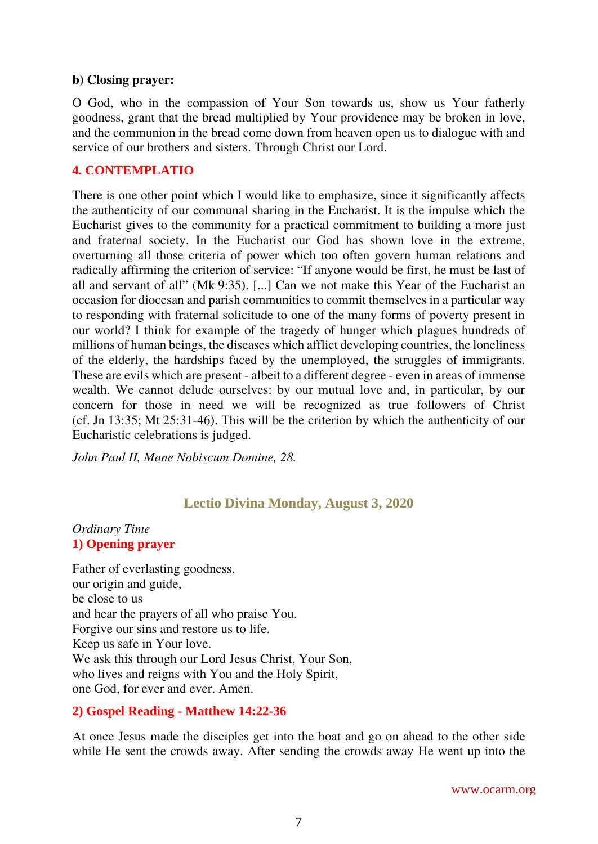### **b) Closing prayer:**

O God, who in the compassion of Your Son towards us, show us Your fatherly goodness, grant that the bread multiplied by Your providence may be broken in love, and the communion in the bread come down from heaven open us to dialogue with and service of our brothers and sisters. Through Christ our Lord.

### **4. CONTEMPLATIO**

There is one other point which I would like to emphasize, since it significantly affects the authenticity of our communal sharing in the Eucharist. It is the impulse which the Eucharist gives to the community for a practical commitment to building a more just and fraternal society. In the Eucharist our God has shown love in the extreme, overturning all those criteria of power which too often govern human relations and radically affirming the criterion of service: "If anyone would be first, he must be last of all and servant of all" (Mk 9:35). [...] Can we not make this Year of the Eucharist an occasion for diocesan and parish communities to commit themselves in a particular way to responding with fraternal solicitude to one of the many forms of poverty present in our world? I think for example of the tragedy of hunger which plagues hundreds of millions of human beings, the diseases which afflict developing countries, the loneliness of the elderly, the hardships faced by the unemployed, the struggles of immigrants. These are evils which are present - albeit to a different degree - even in areas of immense wealth. We cannot delude ourselves: by our mutual love and, in particular, by our concern for those in need we will be recognized as true followers of Christ (cf. Jn 13:35; Mt 25:31-46). This will be the criterion by which the authenticity of our Eucharistic celebrations is judged.

*John Paul II, Mane Nobiscum Domine, 28.*

### **Lectio Divina Monday, August 3, 2020**

### <span id="page-6-0"></span>*Ordinary Time* **1) Opening prayer**

Father of everlasting goodness, our origin and guide, be close to us and hear the prayers of all who praise You. Forgive our sins and restore us to life. Keep us safe in Your love. We ask this through our Lord Jesus Christ, Your Son, who lives and reigns with You and the Holy Spirit, one God, for ever and ever. Amen.

### **2) Gospel Reading - Matthew 14:22-36**

At once Jesus made the disciples get into the boat and go on ahead to the other side while He sent the crowds away. After sending the crowds away He went up into the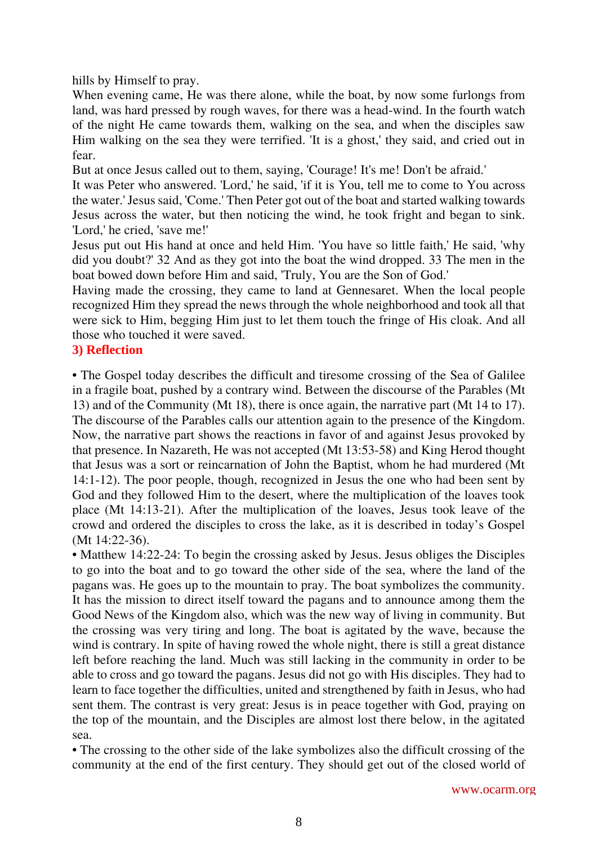hills by Himself to pray.

When evening came, He was there alone, while the boat, by now some furlongs from land, was hard pressed by rough waves, for there was a head-wind. In the fourth watch of the night He came towards them, walking on the sea, and when the disciples saw Him walking on the sea they were terrified. 'It is a ghost,' they said, and cried out in fear.

But at once Jesus called out to them, saying, 'Courage! It's me! Don't be afraid.'

It was Peter who answered. 'Lord,' he said, 'if it is You, tell me to come to You across the water.' Jesus said, 'Come.' Then Peter got out of the boat and started walking towards Jesus across the water, but then noticing the wind, he took fright and began to sink. 'Lord,' he cried, 'save me!'

Jesus put out His hand at once and held Him. 'You have so little faith,' He said, 'why did you doubt?' 32 And as they got into the boat the wind dropped. 33 The men in the boat bowed down before Him and said, 'Truly, You are the Son of God.'

Having made the crossing, they came to land at Gennesaret. When the local people recognized Him they spread the news through the whole neighborhood and took all that were sick to Him, begging Him just to let them touch the fringe of His cloak. And all those who touched it were saved.

### **3) Reflection**

• The Gospel today describes the difficult and tiresome crossing of the Sea of Galilee in a fragile boat, pushed by a contrary wind. Between the discourse of the Parables (Mt 13) and of the Community (Mt 18), there is once again, the narrative part (Mt 14 to 17). The discourse of the Parables calls our attention again to the presence of the Kingdom. Now, the narrative part shows the reactions in favor of and against Jesus provoked by that presence. In Nazareth, He was not accepted (Mt 13:53-58) and King Herod thought that Jesus was a sort or reincarnation of John the Baptist, whom he had murdered (Mt 14:1-12). The poor people, though, recognized in Jesus the one who had been sent by God and they followed Him to the desert, where the multiplication of the loaves took place (Mt 14:13-21). After the multiplication of the loaves, Jesus took leave of the crowd and ordered the disciples to cross the lake, as it is described in today's Gospel (Mt 14:22-36).

• Matthew 14:22-24: To begin the crossing asked by Jesus. Jesus obliges the Disciples to go into the boat and to go toward the other side of the sea, where the land of the pagans was. He goes up to the mountain to pray. The boat symbolizes the community. It has the mission to direct itself toward the pagans and to announce among them the Good News of the Kingdom also, which was the new way of living in community. But the crossing was very tiring and long. The boat is agitated by the wave, because the wind is contrary. In spite of having rowed the whole night, there is still a great distance left before reaching the land. Much was still lacking in the community in order to be able to cross and go toward the pagans. Jesus did not go with His disciples. They had to learn to face together the difficulties, united and strengthened by faith in Jesus, who had sent them. The contrast is very great: Jesus is in peace together with God, praying on the top of the mountain, and the Disciples are almost lost there below, in the agitated sea.

• The crossing to the other side of the lake symbolizes also the difficult crossing of the community at the end of the first century. They should get out of the closed world of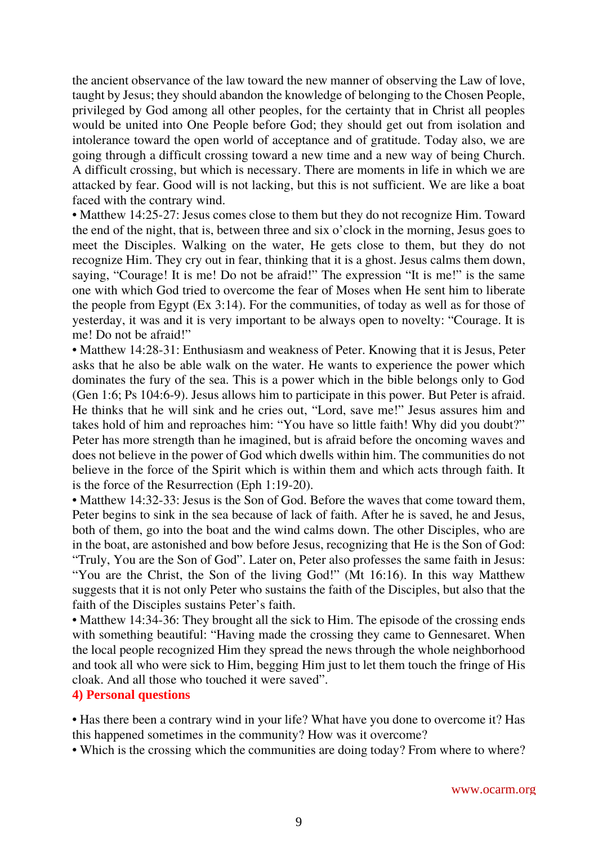the ancient observance of the law toward the new manner of observing the Law of love, taught by Jesus; they should abandon the knowledge of belonging to the Chosen People, privileged by God among all other peoples, for the certainty that in Christ all peoples would be united into One People before God; they should get out from isolation and intolerance toward the open world of acceptance and of gratitude. Today also, we are going through a difficult crossing toward a new time and a new way of being Church. A difficult crossing, but which is necessary. There are moments in life in which we are attacked by fear. Good will is not lacking, but this is not sufficient. We are like a boat faced with the contrary wind.

• Matthew 14:25-27: Jesus comes close to them but they do not recognize Him. Toward the end of the night, that is, between three and six o'clock in the morning, Jesus goes to meet the Disciples. Walking on the water, He gets close to them, but they do not recognize Him. They cry out in fear, thinking that it is a ghost. Jesus calms them down, saying, "Courage! It is me! Do not be afraid!" The expression "It is me!" is the same one with which God tried to overcome the fear of Moses when He sent him to liberate the people from Egypt (Ex 3:14). For the communities, of today as well as for those of yesterday, it was and it is very important to be always open to novelty: "Courage. It is me! Do not be afraid!"

• Matthew 14:28-31: Enthusiasm and weakness of Peter. Knowing that it is Jesus, Peter asks that he also be able walk on the water. He wants to experience the power which dominates the fury of the sea. This is a power which in the bible belongs only to God (Gen 1:6; Ps 104:6-9). Jesus allows him to participate in this power. But Peter is afraid. He thinks that he will sink and he cries out, "Lord, save me!" Jesus assures him and takes hold of him and reproaches him: "You have so little faith! Why did you doubt?" Peter has more strength than he imagined, but is afraid before the oncoming waves and does not believe in the power of God which dwells within him. The communities do not believe in the force of the Spirit which is within them and which acts through faith. It is the force of the Resurrection (Eph 1:19-20).

• Matthew 14:32-33: Jesus is the Son of God. Before the waves that come toward them, Peter begins to sink in the sea because of lack of faith. After he is saved, he and Jesus, both of them, go into the boat and the wind calms down. The other Disciples, who are in the boat, are astonished and bow before Jesus, recognizing that He is the Son of God: "Truly, You are the Son of God". Later on, Peter also professes the same faith in Jesus: "You are the Christ, the Son of the living God!" (Mt 16:16). In this way Matthew suggests that it is not only Peter who sustains the faith of the Disciples, but also that the faith of the Disciples sustains Peter's faith.

• Matthew 14:34-36: They brought all the sick to Him. The episode of the crossing ends with something beautiful: "Having made the crossing they came to Gennesaret. When the local people recognized Him they spread the news through the whole neighborhood and took all who were sick to Him, begging Him just to let them touch the fringe of His cloak. And all those who touched it were saved".

### **4) Personal questions**

• Has there been a contrary wind in your life? What have you done to overcome it? Has this happened sometimes in the community? How was it overcome?

• Which is the crossing which the communities are doing today? From where to where?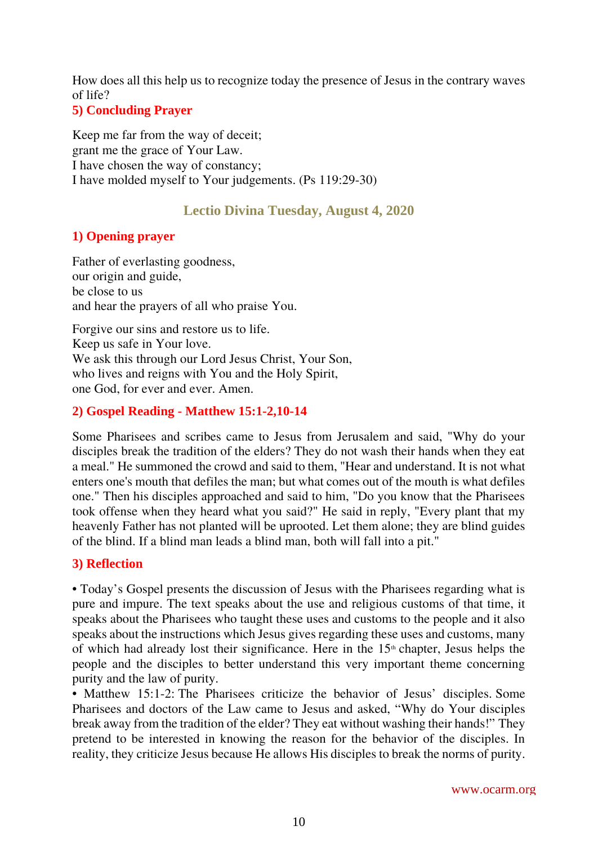How does all this help us to recognize today the presence of Jesus in the contrary waves of life?

### **5) Concluding Prayer**

Keep me far from the way of deceit; grant me the grace of Your Law. I have chosen the way of constancy; I have molded myself to Your judgements. (Ps 119:29-30)

# **Lectio Divina Tuesday, August 4, 2020**

# <span id="page-9-0"></span>**1) Opening prayer**

Father of everlasting goodness, our origin and guide, be close to us and hear the prayers of all who praise You.

Forgive our sins and restore us to life. Keep us safe in Your love. We ask this through our Lord Jesus Christ, Your Son, who lives and reigns with You and the Holy Spirit, one God, for ever and ever. Amen.

# **2) Gospel Reading - Matthew 15:1-2,10-14**

Some Pharisees and scribes came to Jesus from Jerusalem and said, "Why do your disciples break the tradition of the elders? They do not wash their hands when they eat a meal." He summoned the crowd and said to them, "Hear and understand. It is not what enters one's mouth that defiles the man; but what comes out of the mouth is what defiles one." Then his disciples approached and said to him, "Do you know that the Pharisees took offense when they heard what you said?" He said in reply, "Every plant that my heavenly Father has not planted will be uprooted. Let them alone; they are blind guides of the blind. If a blind man leads a blind man, both will fall into a pit."

# **3) Reflection**

• Today's Gospel presents the discussion of Jesus with the Pharisees regarding what is pure and impure. The text speaks about the use and religious customs of that time, it speaks about the Pharisees who taught these uses and customs to the people and it also speaks about the instructions which Jesus gives regarding these uses and customs, many of which had already lost their significance. Here in the  $15<sup>th</sup>$  chapter, Jesus helps the people and the disciples to better understand this very important theme concerning purity and the law of purity.

• Matthew 15:1-2: The Pharisees criticize the behavior of Jesus' disciples. Some Pharisees and doctors of the Law came to Jesus and asked, "Why do Your disciples break away from the tradition of the elder? They eat without washing their hands!" They pretend to be interested in knowing the reason for the behavior of the disciples. In reality, they criticize Jesus because He allows His disciples to break the norms of purity.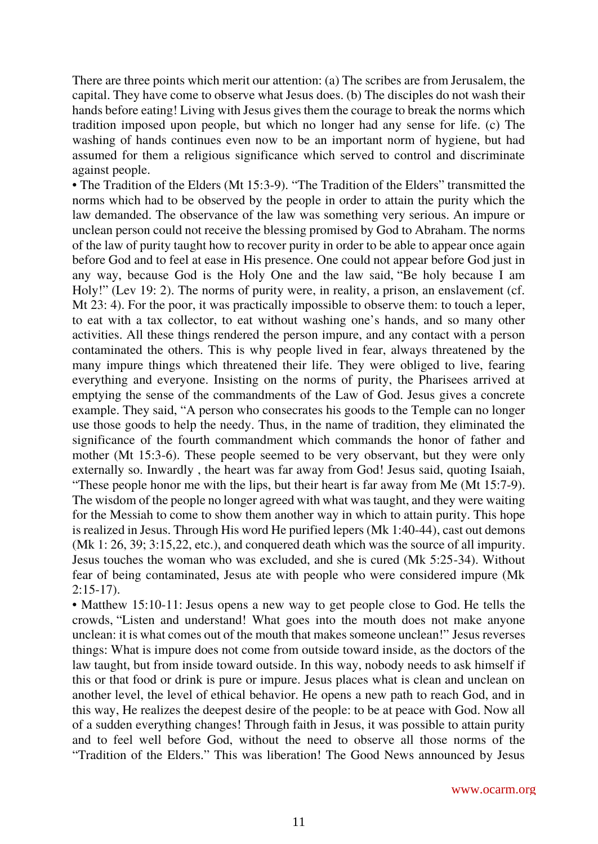There are three points which merit our attention: (a) The scribes are from Jerusalem, the capital. They have come to observe what Jesus does. (b) The disciples do not wash their hands before eating! Living with Jesus gives them the courage to break the norms which tradition imposed upon people, but which no longer had any sense for life. (c) The washing of hands continues even now to be an important norm of hygiene, but had assumed for them a religious significance which served to control and discriminate against people.

• The Tradition of the Elders (Mt 15:3-9). "The Tradition of the Elders" transmitted the norms which had to be observed by the people in order to attain the purity which the law demanded. The observance of the law was something very serious. An impure or unclean person could not receive the blessing promised by God to Abraham. The norms of the law of purity taught how to recover purity in order to be able to appear once again before God and to feel at ease in His presence. One could not appear before God just in any way, because God is the Holy One and the law said, "Be holy because I am Holy!" (Lev 19: 2). The norms of purity were, in reality, a prison, an enslavement (cf. Mt 23: 4). For the poor, it was practically impossible to observe them: to touch a leper, to eat with a tax collector, to eat without washing one's hands, and so many other activities. All these things rendered the person impure, and any contact with a person contaminated the others. This is why people lived in fear, always threatened by the many impure things which threatened their life. They were obliged to live, fearing everything and everyone. Insisting on the norms of purity, the Pharisees arrived at emptying the sense of the commandments of the Law of God. Jesus gives a concrete example. They said, "A person who consecrates his goods to the Temple can no longer use those goods to help the needy. Thus, in the name of tradition, they eliminated the significance of the fourth commandment which commands the honor of father and mother (Mt 15:3-6). These people seemed to be very observant, but they were only externally so. Inwardly , the heart was far away from God! Jesus said, quoting Isaiah, "These people honor me with the lips, but their heart is far away from Me (Mt 15:7-9). The wisdom of the people no longer agreed with what was taught, and they were waiting for the Messiah to come to show them another way in which to attain purity. This hope is realized in Jesus. Through His word He purified lepers (Mk 1:40-44), cast out demons (Mk 1: 26, 39; 3:15,22, etc.), and conquered death which was the source of all impurity. Jesus touches the woman who was excluded, and she is cured (Mk 5:25-34). Without fear of being contaminated, Jesus ate with people who were considered impure (Mk  $2:15-17$ ).

• Matthew 15:10-11: Jesus opens a new way to get people close to God. He tells the crowds, "Listen and understand! What goes into the mouth does not make anyone unclean: it is what comes out of the mouth that makes someone unclean!" Jesus reverses things: What is impure does not come from outside toward inside, as the doctors of the law taught, but from inside toward outside. In this way, nobody needs to ask himself if this or that food or drink is pure or impure. Jesus places what is clean and unclean on another level, the level of ethical behavior. He opens a new path to reach God, and in this way, He realizes the deepest desire of the people: to be at peace with God. Now all of a sudden everything changes! Through faith in Jesus, it was possible to attain purity and to feel well before God, without the need to observe all those norms of the "Tradition of the Elders." This was liberation! The Good News announced by Jesus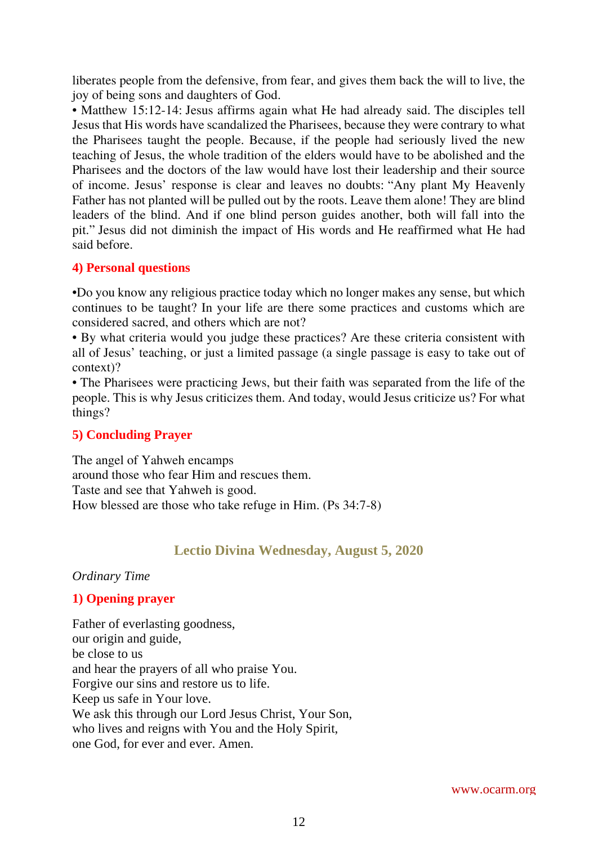liberates people from the defensive, from fear, and gives them back the will to live, the joy of being sons and daughters of God.

• Matthew 15:12-14: Jesus affirms again what He had already said. The disciples tell Jesus that His words have scandalized the Pharisees, because they were contrary to what the Pharisees taught the people. Because, if the people had seriously lived the new teaching of Jesus, the whole tradition of the elders would have to be abolished and the Pharisees and the doctors of the law would have lost their leadership and their source of income. Jesus' response is clear and leaves no doubts: "Any plant My Heavenly Father has not planted will be pulled out by the roots. Leave them alone! They are blind leaders of the blind. And if one blind person guides another, both will fall into the pit." Jesus did not diminish the impact of His words and He reaffirmed what He had said before.

### **4) Personal questions**

•Do you know any religious practice today which no longer makes any sense, but which continues to be taught? In your life are there some practices and customs which are considered sacred, and others which are not?

• By what criteria would you judge these practices? Are these criteria consistent with all of Jesus' teaching, or just a limited passage (a single passage is easy to take out of context)?

• The Pharisees were practicing Jews, but their faith was separated from the life of the people. This is why Jesus criticizes them. And today, would Jesus criticize us? For what things?

# **5) Concluding Prayer**

The angel of Yahweh encamps around those who fear Him and rescues them. Taste and see that Yahweh is good. How blessed are those who take refuge in Him. (Ps 34:7-8)

# **Lectio Divina Wednesday, August 5, 2020**

### <span id="page-11-0"></span>*Ordinary Time*

# **1) Opening prayer**

Father of everlasting goodness, our origin and guide, be close to us and hear the prayers of all who praise You. Forgive our sins and restore us to life. Keep us safe in Your love. We ask this through our Lord Jesus Christ, Your Son, who lives and reigns with You and the Holy Spirit, one God, for ever and ever. Amen.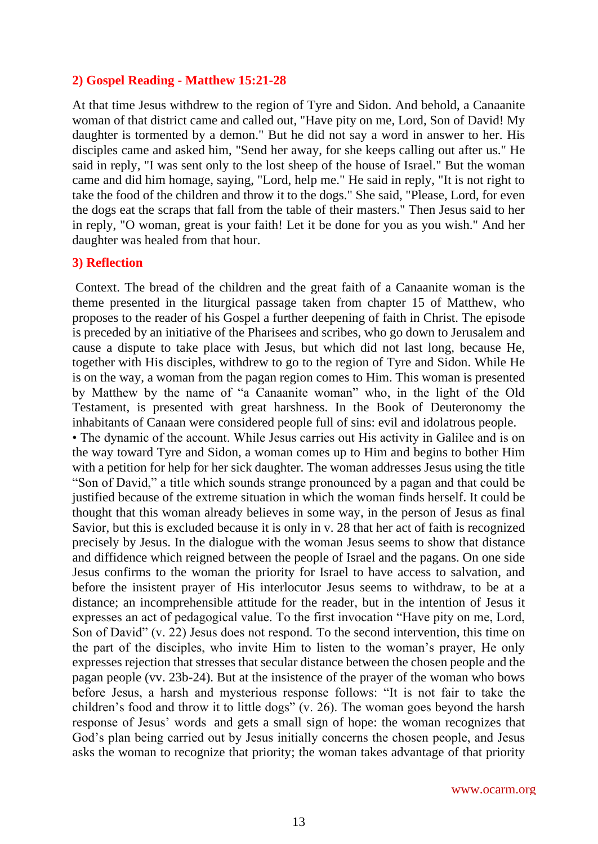### **2) Gospel Reading - Matthew 15:21-28**

At that time Jesus withdrew to the region of Tyre and Sidon. And behold, a Canaanite woman of that district came and called out, "Have pity on me, Lord, Son of David! My daughter is tormented by a demon." But he did not say a word in answer to her. His disciples came and asked him, "Send her away, for she keeps calling out after us." He said in reply, "I was sent only to the lost sheep of the house of Israel." But the woman came and did him homage, saying, "Lord, help me." He said in reply, "It is not right to take the food of the children and throw it to the dogs." She said, "Please, Lord, for even the dogs eat the scraps that fall from the table of their masters." Then Jesus said to her in reply, "O woman, great is your faith! Let it be done for you as you wish." And her daughter was healed from that hour.

#### **3) Reflection**

Context. The bread of the children and the great faith of a Canaanite woman is the theme presented in the liturgical passage taken from chapter 15 of Matthew, who proposes to the reader of his Gospel a further deepening of faith in Christ. The episode is preceded by an initiative of the Pharisees and scribes, who go down to Jerusalem and cause a dispute to take place with Jesus, but which did not last long, because He, together with His disciples, withdrew to go to the region of Tyre and Sidon. While He is on the way, a woman from the pagan region comes to Him. This woman is presented by Matthew by the name of "a Canaanite woman" who, in the light of the Old Testament, is presented with great harshness. In the Book of Deuteronomy the inhabitants of Canaan were considered people full of sins: evil and idolatrous people. • The dynamic of the account. While Jesus carries out His activity in Galilee and is on the way toward Tyre and Sidon, a woman comes up to Him and begins to bother Him with a petition for help for her sick daughter. The woman addresses Jesus using the title "Son of David," a title which sounds strange pronounced by a pagan and that could be justified because of the extreme situation in which the woman finds herself. It could be thought that this woman already believes in some way, in the person of Jesus as final Savior, but this is excluded because it is only in v. 28 that her act of faith is recognized precisely by Jesus. In the dialogue with the woman Jesus seems to show that distance and diffidence which reigned between the people of Israel and the pagans. On one side Jesus confirms to the woman the priority for Israel to have access to salvation, and before the insistent prayer of His interlocutor Jesus seems to withdraw, to be at a distance; an incomprehensible attitude for the reader, but in the intention of Jesus it expresses an act of pedagogical value. To the first invocation "Have pity on me, Lord, Son of David" (v. 22) Jesus does not respond. To the second intervention, this time on the part of the disciples, who invite Him to listen to the woman's prayer, He only expresses rejection that stresses that secular distance between the chosen people and the pagan people (vv. 23b-24). But at the insistence of the prayer of the woman who bows before Jesus, a harsh and mysterious response follows: "It is not fair to take the children's food and throw it to little dogs" (v. 26). The woman goes beyond the harsh response of Jesus' words and gets a small sign of hope: the woman recognizes that God's plan being carried out by Jesus initially concerns the chosen people, and Jesus asks the woman to recognize that priority; the woman takes advantage of that priority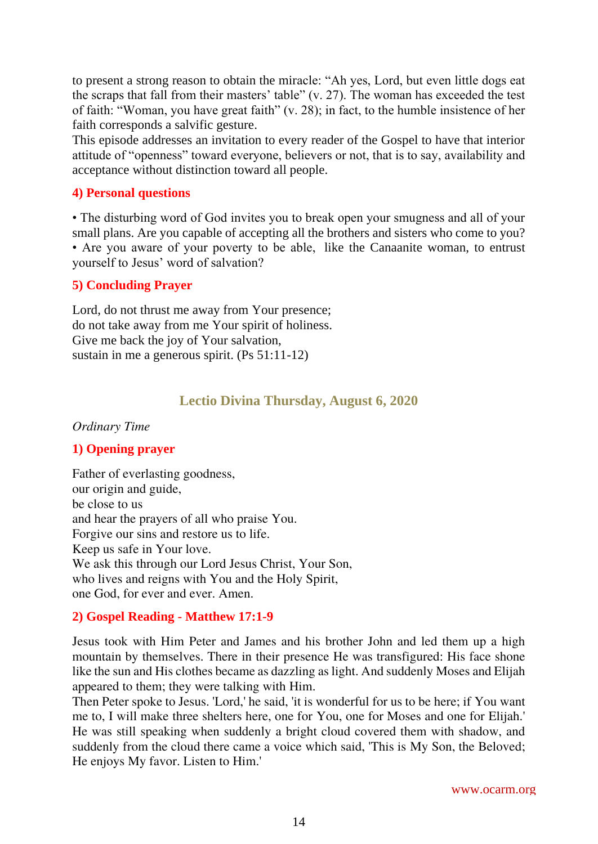to present a strong reason to obtain the miracle: "Ah yes, Lord, but even little dogs eat the scraps that fall from their masters' table" (v. 27). The woman has exceeded the test of faith: "Woman, you have great faith" (v. 28); in fact, to the humble insistence of her faith corresponds a salvific gesture.

This episode addresses an invitation to every reader of the Gospel to have that interior attitude of "openness" toward everyone, believers or not, that is to say, availability and acceptance without distinction toward all people.

### **4) Personal questions**

• The disturbing word of God invites you to break open your smugness and all of your small plans. Are you capable of accepting all the brothers and sisters who come to you? • Are you aware of your poverty to be able, like the Canaanite woman, to entrust yourself to Jesus' word of salvation?

### **5) Concluding Prayer**

Lord, do not thrust me away from Your presence; do not take away from me Your spirit of holiness. Give me back the joy of Your salvation, sustain in me a generous spirit. (Ps 51:11-12)

# **Lectio Divina Thursday, August 6, 2020**

### <span id="page-13-0"></span>*Ordinary Time*

# **1) Opening prayer**

Father of everlasting goodness, our origin and guide, be close to us and hear the prayers of all who praise You. Forgive our sins and restore us to life. Keep us safe in Your love. We ask this through our Lord Jesus Christ, Your Son, who lives and reigns with You and the Holy Spirit, one God, for ever and ever. Amen.

# **2) Gospel Reading - Matthew 17:1-9**

Jesus took with Him Peter and James and his brother John and led them up a high mountain by themselves. There in their presence He was transfigured: His face shone like the sun and His clothes became as dazzling as light. And suddenly Moses and Elijah appeared to them; they were talking with Him.

Then Peter spoke to Jesus. 'Lord,' he said, 'it is wonderful for us to be here; if You want me to, I will make three shelters here, one for You, one for Moses and one for Elijah.' He was still speaking when suddenly a bright cloud covered them with shadow, and suddenly from the cloud there came a voice which said, 'This is My Son, the Beloved; He enjoys My favor. Listen to Him.'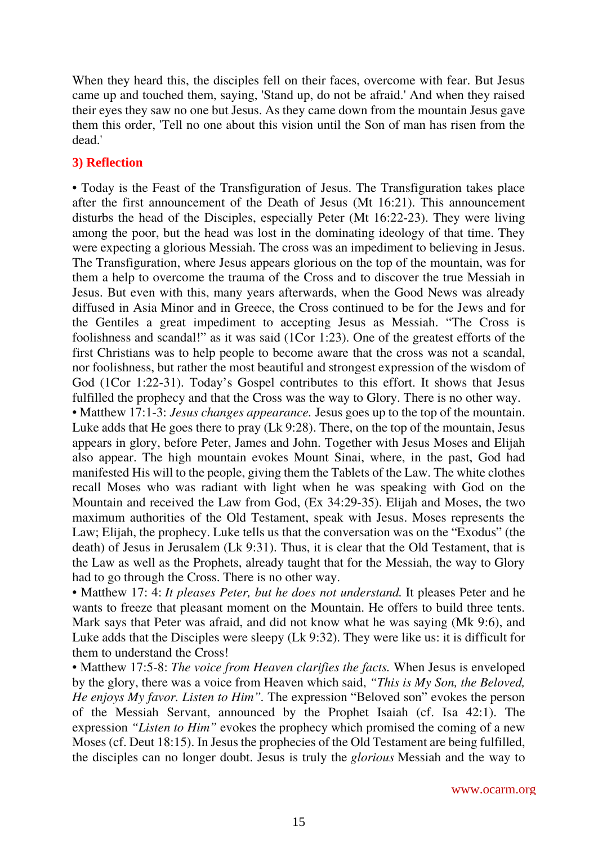When they heard this, the disciples fell on their faces, overcome with fear. But Jesus came up and touched them, saying, 'Stand up, do not be afraid.' And when they raised their eyes they saw no one but Jesus. As they came down from the mountain Jesus gave them this order, 'Tell no one about this vision until the Son of man has risen from the dead.'

### **3) Reflection**

• Today is the Feast of the Transfiguration of Jesus. The Transfiguration takes place after the first announcement of the Death of Jesus (Mt 16:21). This announcement disturbs the head of the Disciples, especially Peter (Mt 16:22-23). They were living among the poor, but the head was lost in the dominating ideology of that time. They were expecting a glorious Messiah. The cross was an impediment to believing in Jesus. The Transfiguration, where Jesus appears glorious on the top of the mountain, was for them a help to overcome the trauma of the Cross and to discover the true Messiah in Jesus. But even with this, many years afterwards, when the Good News was already diffused in Asia Minor and in Greece, the Cross continued to be for the Jews and for the Gentiles a great impediment to accepting Jesus as Messiah. "The Cross is foolishness and scandal!" as it was said (1Cor 1:23). One of the greatest efforts of the first Christians was to help people to become aware that the cross was not a scandal, nor foolishness, but rather the most beautiful and strongest expression of the wisdom of God (1Cor 1:22-31). Today's Gospel contributes to this effort. It shows that Jesus fulfilled the prophecy and that the Cross was the way to Glory. There is no other way.

• Matthew 17:1-3: *Jesus changes appearance*. Jesus goes up to the top of the mountain. Luke adds that He goes there to pray (Lk 9:28). There, on the top of the mountain, Jesus appears in glory, before Peter, James and John. Together with Jesus Moses and Elijah also appear. The high mountain evokes Mount Sinai, where, in the past, God had manifested His will to the people, giving them the Tablets of the Law. The white clothes recall Moses who was radiant with light when he was speaking with God on the Mountain and received the Law from God, (Ex 34:29-35). Elijah and Moses, the two maximum authorities of the Old Testament, speak with Jesus. Moses represents the Law; Elijah, the prophecy. Luke tells us that the conversation was on the "Exodus" (the death) of Jesus in Jerusalem (Lk 9:31). Thus, it is clear that the Old Testament, that is the Law as well as the Prophets, already taught that for the Messiah, the way to Glory had to go through the Cross. There is no other way.

• Matthew 17: 4: *It pleases Peter, but he does not understand.* It pleases Peter and he wants to freeze that pleasant moment on the Mountain. He offers to build three tents. Mark says that Peter was afraid, and did not know what he was saying (Mk 9:6), and Luke adds that the Disciples were sleepy (Lk 9:32). They were like us: it is difficult for them to understand the Cross!

• Matthew 17:5-8: *The voice from Heaven clarifies the facts.* When Jesus is enveloped by the glory, there was a voice from Heaven which said, *"This is My Son, the Beloved, He enjoys My favor. Listen to Him".* The expression "Beloved son" evokes the person of the Messiah Servant, announced by the Prophet Isaiah (cf. Isa 42:1). The expression *"Listen to Him"* evokes the prophecy which promised the coming of a new Moses (cf. Deut 18:15). In Jesus the prophecies of the Old Testament are being fulfilled, the disciples can no longer doubt. Jesus is truly the *glorious* Messiah and the way to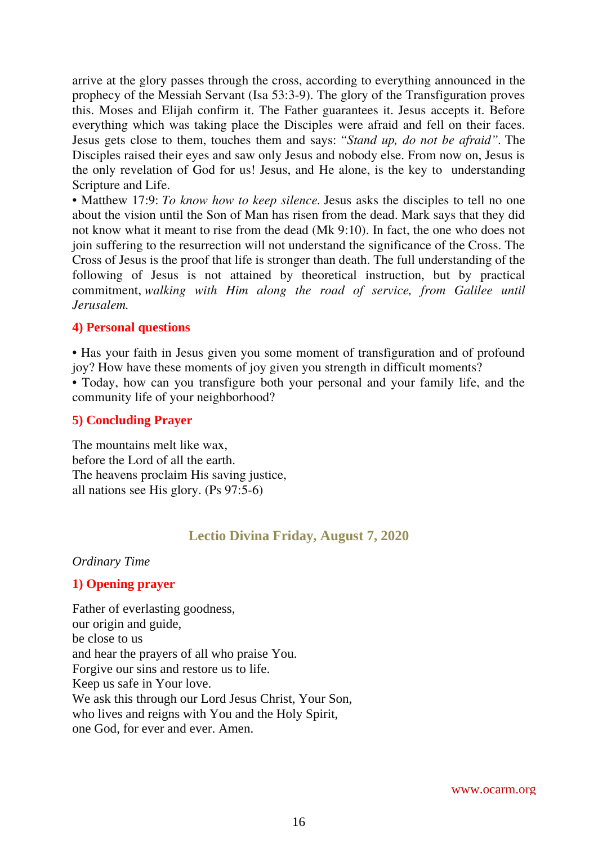arrive at the glory passes through the cross, according to everything announced in the prophecy of the Messiah Servant (Isa 53:3-9). The glory of the Transfiguration proves this. Moses and Elijah confirm it. The Father guarantees it. Jesus accepts it. Before everything which was taking place the Disciples were afraid and fell on their faces. Jesus gets close to them, touches them and says: *"Stand up, do not be afraid".* The Disciples raised their eyes and saw only Jesus and nobody else. From now on, Jesus is the only revelation of God for us! Jesus, and He alone, is the key to understanding Scripture and Life.

• Matthew 17:9: *To know how to keep silence.* Jesus asks the disciples to tell no one about the vision until the Son of Man has risen from the dead. Mark says that they did not know what it meant to rise from the dead (Mk 9:10). In fact, the one who does not join suffering to the resurrection will not understand the significance of the Cross. The Cross of Jesus is the proof that life is stronger than death. The full understanding of the following of Jesus is not attained by theoretical instruction, but by practical commitment, *walking with Him along the road of service, from Galilee until Jerusalem.*

### **4) Personal questions**

• Has your faith in Jesus given you some moment of transfiguration and of profound joy? How have these moments of joy given you strength in difficult moments?

• Today, how can you transfigure both your personal and your family life, and the community life of your neighborhood?

### **5) Concluding Prayer**

The mountains melt like wax, before the Lord of all the earth. The heavens proclaim His saving justice, all nations see His glory. (Ps 97:5-6)

### **Lectio Divina Friday, August 7, 2020**

#### <span id="page-15-0"></span>*Ordinary Time*

### **1) Opening prayer**

Father of everlasting goodness, our origin and guide, be close to us and hear the prayers of all who praise You. Forgive our sins and restore us to life. Keep us safe in Your love. We ask this through our Lord Jesus Christ, Your Son, who lives and reigns with You and the Holy Spirit, one God, for ever and ever. Amen.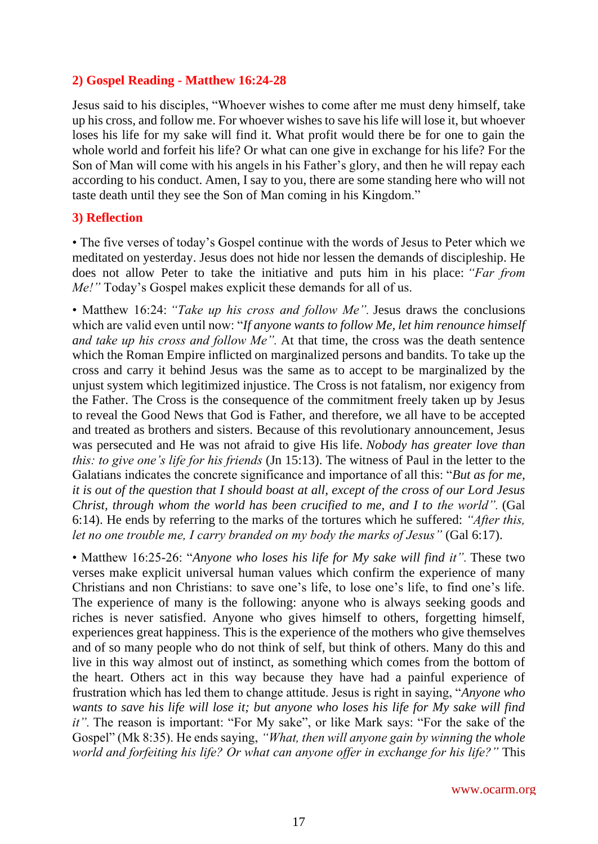# **2) Gospel Reading - Matthew 16:24-28**

Jesus said to his disciples, "Whoever wishes to come after me must deny himself, take up his cross, and follow me. For whoever wishes to save his life will lose it, but whoever loses his life for my sake will find it. What profit would there be for one to gain the whole world and forfeit his life? Or what can one give in exchange for his life? For the Son of Man will come with his angels in his Father's glory, and then he will repay each according to his conduct. Amen, I say to you, there are some standing here who will not taste death until they see the Son of Man coming in his Kingdom."

# **3) Reflection**

• The five verses of today's Gospel continue with the words of Jesus to Peter which we meditated on yesterday. Jesus does not hide nor lessen the demands of discipleship. He does not allow Peter to take the initiative and puts him in his place: *"Far from Me!"* Today's Gospel makes explicit these demands for all of us.

• Matthew 16:24: *"Take up his cross and follow Me"*. Jesus draws the conclusions which are valid even until now: "*If anyone wants to follow Me, let him renounce himself and take up his cross and follow Me".* At that time, the cross was the death sentence which the Roman Empire inflicted on marginalized persons and bandits. To take up the cross and carry it behind Jesus was the same as to accept to be marginalized by the unjust system which legitimized injustice. The Cross is not fatalism, nor exigency from the Father. The Cross is the consequence of the commitment freely taken up by Jesus to reveal the Good News that God is Father, and therefore, we all have to be accepted and treated as brothers and sisters. Because of this revolutionary announcement, Jesus was persecuted and He was not afraid to give His life. *Nobody has greater love than this: to give one's life for his friends* (Jn 15:13). The witness of Paul in the letter to the Galatians indicates the concrete significance and importance of all this: "*But as for me, it is out of the question that I should boast at all, except of the cross of our Lord Jesus Christ, through whom the world has been crucified to me, and I to the world".* (Gal 6:14). He ends by referring to the marks of the tortures which he suffered: *"After this, let no one trouble me, I carry branded on my body the marks of Jesus"* (Gal 6:17).

• Matthew 16:25-26: "*Anyone who loses his life for My sake will find it".* These two verses make explicit universal human values which confirm the experience of many Christians and non Christians: to save one's life, to lose one's life, to find one's life. The experience of many is the following: anyone who is always seeking goods and riches is never satisfied. Anyone who gives himself to others, forgetting himself, experiences great happiness. This is the experience of the mothers who give themselves and of so many people who do not think of self, but think of others. Many do this and live in this way almost out of instinct, as something which comes from the bottom of the heart. Others act in this way because they have had a painful experience of frustration which has led them to change attitude. Jesus is right in saying, "*Anyone who wants to save his life will lose it; but anyone who loses his life for My sake will find it"*. The reason is important: "For My sake", or like Mark says: "For the sake of the Gospel" (Mk 8:35). He ends saying, *"What, then will anyone gain by winning the whole world and forfeiting his life? Or what can anyone offer in exchange for his life?"* This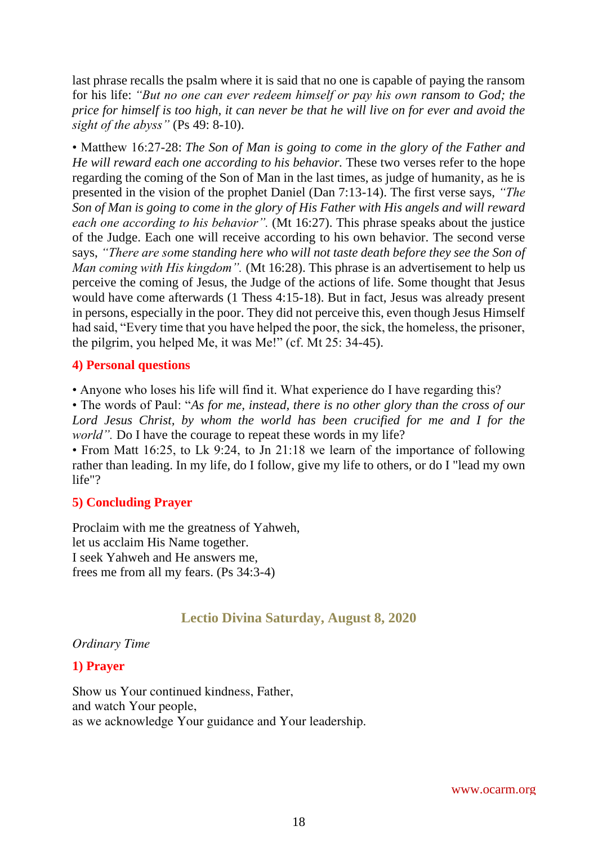last phrase recalls the psalm where it is said that no one is capable of paying the ransom for his life: *"But no one can ever redeem himself or pay his own ransom to God; the price for himself is too high, it can never be that he will live on for ever and avoid the sight of the abyss"* (Ps 49: 8-10).

• Matthew 16:27-28: *The Son of Man is going to come in the glory of the Father and He will reward each one according to his behavior.* These two verses refer to the hope regarding the coming of the Son of Man in the last times, as judge of humanity, as he is presented in the vision of the prophet Daniel (Dan 7:13-14). The first verse says, *"The Son of Man is going to come in the glory of His Father with His angels and will reward each one according to his behavior".* (Mt 16:27). This phrase speaks about the justice of the Judge. Each one will receive according to his own behavior. The second verse says, *"There are some standing here who will not taste death before they see the Son of Man coming with His kingdom".* (Mt 16:28). This phrase is an advertisement to help us perceive the coming of Jesus, the Judge of the actions of life. Some thought that Jesus would have come afterwards (1 Thess 4:15-18). But in fact, Jesus was already present in persons, especially in the poor. They did not perceive this, even though Jesus Himself had said, "Every time that you have helped the poor, the sick, the homeless, the prisoner, the pilgrim, you helped Me, it was Me!" (cf. Mt 25: 34-45).

#### **4) Personal questions**

• Anyone who loses his life will find it. What experience do I have regarding this?

• The words of Paul: "*As for me, instead, there is no other glory than the cross of our*  Lord Jesus Christ, by whom the world has been crucified for me and I for the *world".* Do I have the courage to repeat these words in my life?

• From Matt 16:25, to Lk 9:24, to Jn 21:18 we learn of the importance of following rather than leading. In my life, do I follow, give my life to others, or do I "lead my own life"?

### **5) Concluding Prayer**

Proclaim with me the greatness of Yahweh, let us acclaim His Name together. I seek Yahweh and He answers me, frees me from all my fears. (Ps 34:3-4)

# **Lectio Divina Saturday, August 8, 2020**

#### <span id="page-17-0"></span>*Ordinary Time*

#### **1) Prayer**

Show us Your continued kindness, Father, and watch Your people, as we acknowledge Your guidance and Your leadership.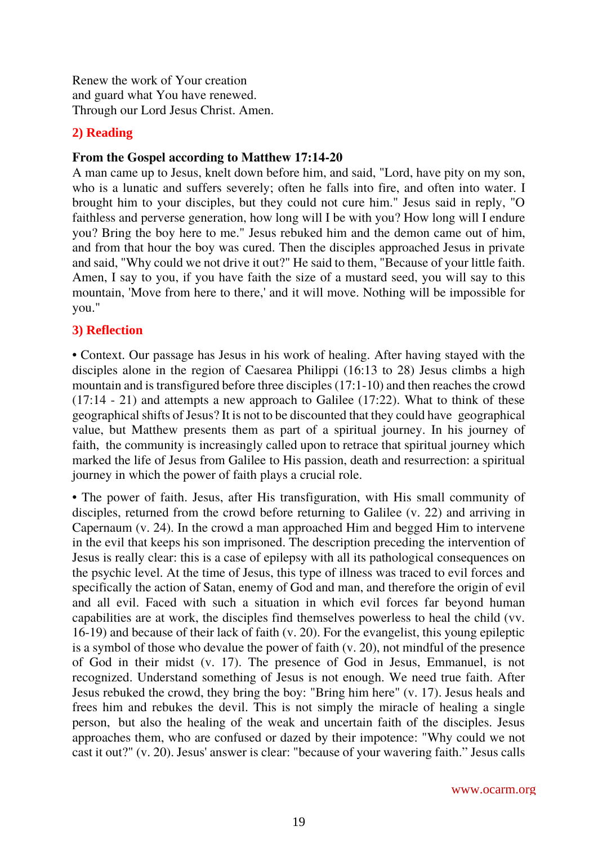Renew the work of Your creation and guard what You have renewed. Through our Lord Jesus Christ. Amen.

### **2) Reading**

#### **From the Gospel according to Matthew 17:14-20**

A man came up to Jesus, knelt down before him, and said, "Lord, have pity on my son, who is a lunatic and suffers severely; often he falls into fire, and often into water. I brought him to your disciples, but they could not cure him." Jesus said in reply, "O faithless and perverse generation, how long will I be with you? How long will I endure you? Bring the boy here to me." Jesus rebuked him and the demon came out of him, and from that hour the boy was cured. Then the disciples approached Jesus in private and said, "Why could we not drive it out?" He said to them, "Because of your little faith. Amen, I say to you, if you have faith the size of a mustard seed, you will say to this mountain, 'Move from here to there,' and it will move. Nothing will be impossible for you."

### **3) Reflection**

• Context. Our passage has Jesus in his work of healing. After having stayed with the disciples alone in the region of Caesarea Philippi (16:13 to 28) Jesus climbs a high mountain and is transfigured before three disciples (17:1-10) and then reaches the crowd  $(17:14 - 21)$  and attempts a new approach to Galilee  $(17:22)$ . What to think of these geographical shifts of Jesus? It is not to be discounted that they could have geographical value, but Matthew presents them as part of a spiritual journey. In his journey of faith, the community is increasingly called upon to retrace that spiritual journey which marked the life of Jesus from Galilee to His passion, death and resurrection: a spiritual journey in which the power of faith plays a crucial role.

• The power of faith. Jesus, after His transfiguration, with His small community of disciples, returned from the crowd before returning to Galilee (v. 22) and arriving in Capernaum (v. 24). In the crowd a man approached Him and begged Him to intervene in the evil that keeps his son imprisoned. The description preceding the intervention of Jesus is really clear: this is a case of epilepsy with all its pathological consequences on the psychic level. At the time of Jesus, this type of illness was traced to evil forces and specifically the action of Satan, enemy of God and man, and therefore the origin of evil and all evil. Faced with such a situation in which evil forces far beyond human capabilities are at work, the disciples find themselves powerless to heal the child (vv. 16-19) and because of their lack of faith (v. 20). For the evangelist, this young epileptic is a symbol of those who devalue the power of faith (v. 20), not mindful of the presence of God in their midst (v. 17). The presence of God in Jesus, Emmanuel, is not recognized. Understand something of Jesus is not enough. We need true faith. After Jesus rebuked the crowd, they bring the boy: "Bring him here" (v. 17). Jesus heals and frees him and rebukes the devil. This is not simply the miracle of healing a single person, but also the healing of the weak and uncertain faith of the disciples. Jesus approaches them, who are confused or dazed by their impotence: "Why could we not cast it out?" (v. 20). Jesus' answer is clear: "because of your wavering faith." Jesus calls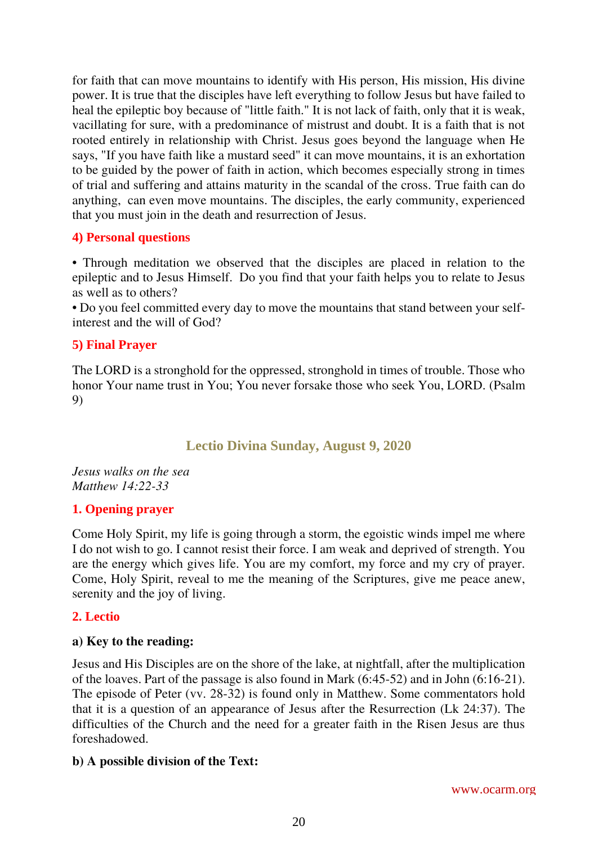for faith that can move mountains to identify with His person, His mission, His divine power. It is true that the disciples have left everything to follow Jesus but have failed to heal the epileptic boy because of "little faith." It is not lack of faith, only that it is weak, vacillating for sure, with a predominance of mistrust and doubt. It is a faith that is not rooted entirely in relationship with Christ. Jesus goes beyond the language when He says, "If you have faith like a mustard seed" it can move mountains, it is an exhortation to be guided by the power of faith in action, which becomes especially strong in times of trial and suffering and attains maturity in the scandal of the cross. True faith can do anything, can even move mountains. The disciples, the early community, experienced that you must join in the death and resurrection of Jesus.

# **4) Personal questions**

• Through meditation we observed that the disciples are placed in relation to the epileptic and to Jesus Himself. Do you find that your faith helps you to relate to Jesus as well as to others?

• Do you feel committed every day to move the mountains that stand between your selfinterest and the will of God?

# **5) Final Prayer**

The LORD is a stronghold for the oppressed, stronghold in times of trouble. Those who honor Your name trust in You; You never forsake those who seek You, LORD. (Psalm 9)

# **Lectio Divina Sunday, August 9, 2020**

<span id="page-19-0"></span>*Jesus walks on the sea Matthew 14:22-33*

# **1. Opening prayer**

Come Holy Spirit, my life is going through a storm, the egoistic winds impel me where I do not wish to go. I cannot resist their force. I am weak and deprived of strength. You are the energy which gives life. You are my comfort, my force and my cry of prayer. Come, Holy Spirit, reveal to me the meaning of the Scriptures, give me peace anew, serenity and the joy of living.

# **2. Lectio**

# **a) Key to the reading:**

Jesus and His Disciples are on the shore of the lake, at nightfall, after the multiplication of the loaves. Part of the passage is also found in Mark (6:45-52) and in John (6:16-21). The episode of Peter (vv. 28-32) is found only in Matthew. Some commentators hold that it is a question of an appearance of Jesus after the Resurrection (Lk 24:37). The difficulties of the Church and the need for a greater faith in the Risen Jesus are thus foreshadowed.

# **b) A possible division of the Text:**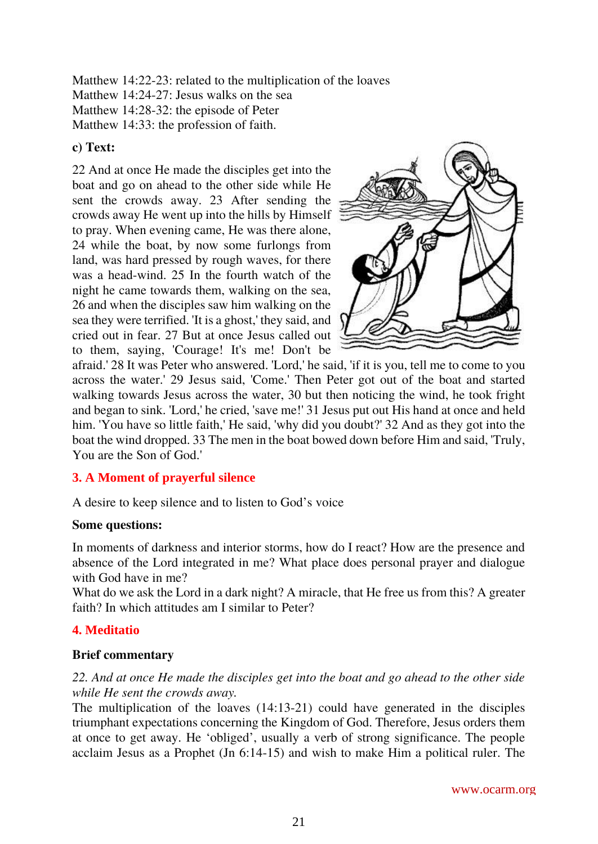Matthew 14:22-23: related to the multiplication of the loaves

Matthew 14:24-27: Jesus walks on the sea

Matthew 14:28-32: the episode of Peter Matthew 14:33: the profession of faith.

# **c) Text:**

22 And at once He made the disciples get into the boat and go on ahead to the other side while He sent the crowds away. 23 After sending the crowds away He went up into the hills by Himself to pray. When evening came, He was there alone, 24 while the boat, by now some furlongs from land, was hard pressed by rough waves, for there was a head-wind. 25 In the fourth watch of the night he came towards them, walking on the sea, 26 and when the disciples saw him walking on the sea they were terrified. 'It is a ghost,' they said, and cried out in fear. 27 But at once Jesus called out to them, saying, 'Courage! It's me! Don't be



afraid.' 28 It was Peter who answered. 'Lord,' he said, 'if it is you, tell me to come to you across the water.' 29 Jesus said, 'Come.' Then Peter got out of the boat and started walking towards Jesus across the water, 30 but then noticing the wind, he took fright and began to sink. 'Lord,' he cried, 'save me!' 31 Jesus put out His hand at once and held him. 'You have so little faith,' He said, 'why did you doubt?' 32 And as they got into the boat the wind dropped. 33 The men in the boat bowed down before Him and said, 'Truly, You are the Son of God.'

# **3. A Moment of prayerful silence**

A desire to keep silence and to listen to God's voice

# **Some questions:**

In moments of darkness and interior storms, how do I react? How are the presence and absence of the Lord integrated in me? What place does personal prayer and dialogue with God have in me?

What do we ask the Lord in a dark night? A miracle, that He free us from this? A greater faith? In which attitudes am I similar to Peter?

# **4. Meditatio**

# **Brief commentary**

# *22. And at once He made the disciples get into the boat and go ahead to the other side while He sent the crowds away.*

The multiplication of the loaves (14:13-21) could have generated in the disciples triumphant expectations concerning the Kingdom of God. Therefore, Jesus orders them at once to get away. He 'obliged', usually a verb of strong significance. The people acclaim Jesus as a Prophet (Jn 6:14-15) and wish to make Him a political ruler. The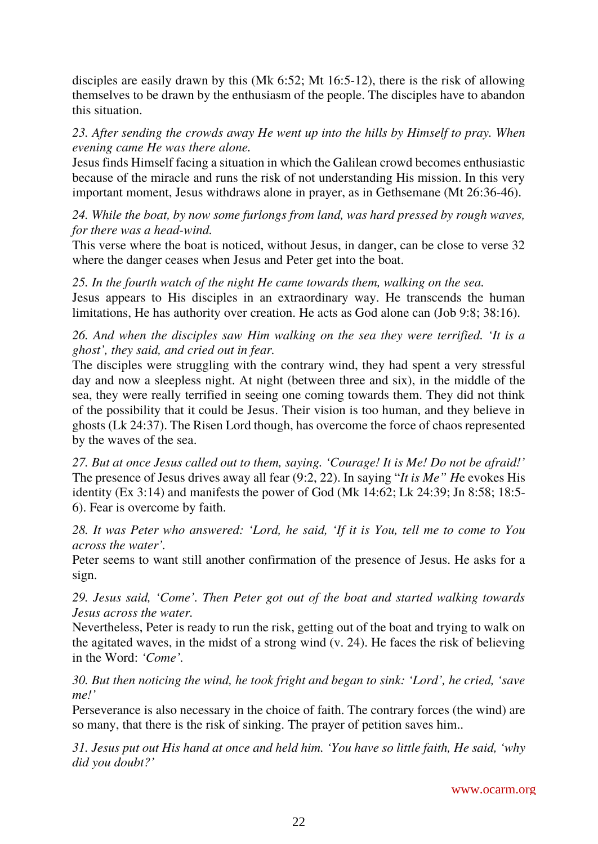disciples are easily drawn by this (Mk 6:52; Mt 16:5-12), there is the risk of allowing themselves to be drawn by the enthusiasm of the people. The disciples have to abandon this situation.

*23. After sending the crowds away He went up into the hills by Himself to pray. When evening came He was there alone.*

Jesus finds Himself facing a situation in which the Galilean crowd becomes enthusiastic because of the miracle and runs the risk of not understanding His mission. In this very important moment, Jesus withdraws alone in prayer, as in Gethsemane (Mt 26:36-46).

*24. While the boat, by now some furlongs from land, was hard pressed by rough waves, for there was a head-wind.*

This verse where the boat is noticed, without Jesus, in danger, can be close to verse 32 where the danger ceases when Jesus and Peter get into the boat.

*25. In the fourth watch of the night He came towards them, walking on the sea.* Jesus appears to His disciples in an extraordinary way. He transcends the human limitations, He has authority over creation. He acts as God alone can (Job 9:8; 38:16).

*26. And when the disciples saw Him walking on the sea they were terrified. 'It is a ghost', they said, and cried out in fear.*

The disciples were struggling with the contrary wind, they had spent a very stressful day and now a sleepless night. At night (between three and six), in the middle of the sea, they were really terrified in seeing one coming towards them. They did not think of the possibility that it could be Jesus. Their vision is too human, and they believe in ghosts (Lk 24:37). The Risen Lord though, has overcome the force of chaos represented by the waves of the sea.

*27. But at once Jesus called out to them, saying. 'Courage! It is Me! Do not be afraid!'* The presence of Jesus drives away all fear (9:2, 22). In saying "*It is Me" H*e evokes His identity (Ex 3:14) and manifests the power of God (Mk 14:62; Lk 24:39; Jn 8:58; 18:5- 6). Fear is overcome by faith.

*28. It was Peter who answered: 'Lord, he said, 'If it is You, tell me to come to You across the water'.*

Peter seems to want still another confirmation of the presence of Jesus. He asks for a sign.

*29. Jesus said, 'Come'. Then Peter got out of the boat and started walking towards Jesus across the water.*

Nevertheless, Peter is ready to run the risk, getting out of the boat and trying to walk on the agitated waves, in the midst of a strong wind (v. 24). He faces the risk of believing in the Word: *'Come'.*

*30. But then noticing the wind, he took fright and began to sink: 'Lord', he cried, 'save me!'*

Perseverance is also necessary in the choice of faith. The contrary forces (the wind) are so many, that there is the risk of sinking. The prayer of petition saves him..

*31. Jesus put out His hand at once and held him. 'You have so little faith, He said, 'why did you doubt?'*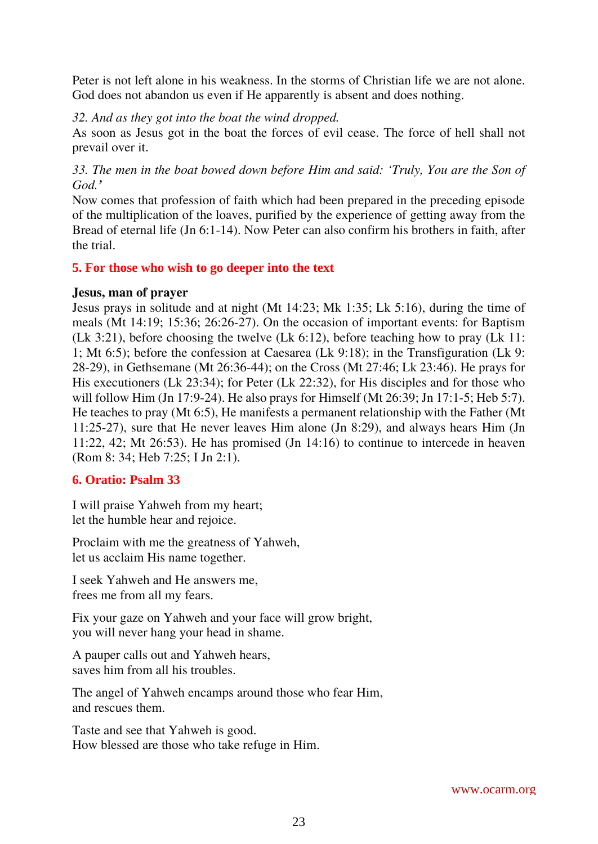Peter is not left alone in his weakness. In the storms of Christian life we are not alone. God does not abandon us even if He apparently is absent and does nothing.

### *32. And as they got into the boat the wind dropped.*

As soon as Jesus got in the boat the forces of evil cease. The force of hell shall not prevail over it.

*33. The men in the boat bowed down before Him and said: 'Truly, You are the Son of God.'*

Now comes that profession of faith which had been prepared in the preceding episode of the multiplication of the loaves, purified by the experience of getting away from the Bread of eternal life (Jn 6:1-14). Now Peter can also confirm his brothers in faith, after the trial.

# **5. For those who wish to go deeper into the text**

### **Jesus, man of prayer**

Jesus prays in solitude and at night (Mt 14:23; Mk 1:35; Lk 5:16), during the time of meals (Mt 14:19; 15:36; 26:26-27). On the occasion of important events: for Baptism (Lk 3:21), before choosing the twelve (Lk 6:12), before teaching how to pray (Lk 11: 1; Mt 6:5); before the confession at Caesarea (Lk 9:18); in the Transfiguration (Lk 9: 28-29), in Gethsemane (Mt 26:36-44); on the Cross (Mt 27:46; Lk 23:46). He prays for His executioners (Lk 23:34); for Peter (Lk 22:32), for His disciples and for those who will follow Him (Jn 17:9-24). He also prays for Himself (Mt 26:39; Jn 17:1-5; Heb 5:7). He teaches to pray (Mt 6:5), He manifests a permanent relationship with the Father (Mt 11:25-27), sure that He never leaves Him alone (Jn 8:29), and always hears Him (Jn 11:22, 42; Mt 26:53). He has promised (Jn 14:16) to continue to intercede in heaven (Rom 8: 34; Heb 7:25; I Jn 2:1).

# **6. Oratio: Psalm 33**

I will praise Yahweh from my heart; let the humble hear and rejoice.

Proclaim with me the greatness of Yahweh, let us acclaim His name together.

I seek Yahweh and He answers me, frees me from all my fears.

Fix your gaze on Yahweh and your face will grow bright, you will never hang your head in shame.

A pauper calls out and Yahweh hears, saves him from all his troubles.

The angel of Yahweh encamps around those who fear Him, and rescues them.

Taste and see that Yahweh is good. How blessed are those who take refuge in Him.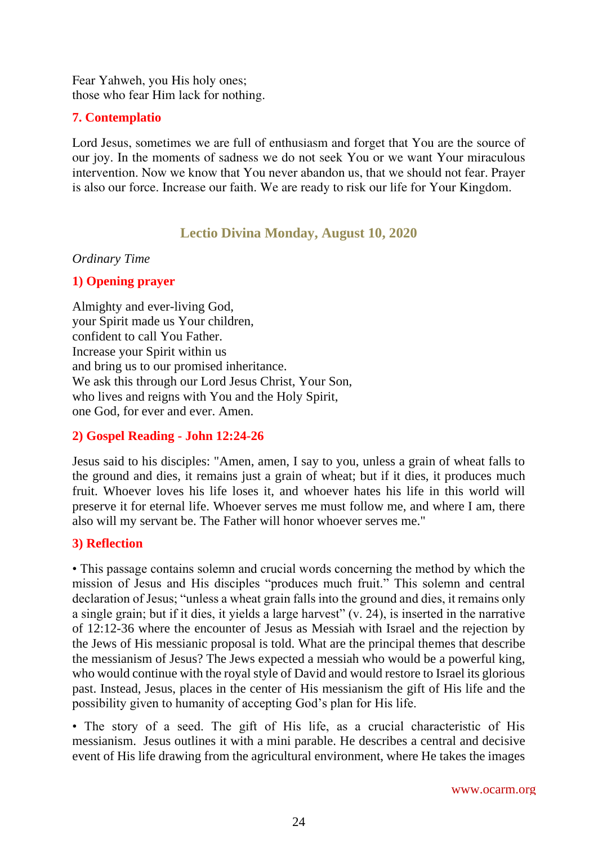Fear Yahweh, you His holy ones; those who fear Him lack for nothing.

### **7. Contemplatio**

Lord Jesus, sometimes we are full of enthusiasm and forget that You are the source of our joy. In the moments of sadness we do not seek You or we want Your miraculous intervention. Now we know that You never abandon us, that we should not fear. Prayer is also our force. Increase our faith. We are ready to risk our life for Your Kingdom.

# **Lectio Divina Monday, August 10, 2020**

<span id="page-23-0"></span>*Ordinary Time*

# **1) Opening prayer**

Almighty and ever-living God, your Spirit made us Your children, confident to call You Father. Increase your Spirit within us and bring us to our promised inheritance. We ask this through our Lord Jesus Christ, Your Son, who lives and reigns with You and the Holy Spirit, one God, for ever and ever. Amen.

# **2) Gospel Reading - John 12:24-26**

Jesus said to his disciples: "Amen, amen, I say to you, unless a grain of wheat falls to the ground and dies, it remains just a grain of wheat; but if it dies, it produces much fruit. Whoever loves his life loses it, and whoever hates his life in this world will preserve it for eternal life. Whoever serves me must follow me, and where I am, there also will my servant be. The Father will honor whoever serves me."

# **3) Reflection**

• This passage contains solemn and crucial words concerning the method by which the mission of Jesus and His disciples "produces much fruit." This solemn and central declaration of Jesus; "unless a wheat grain falls into the ground and dies, it remains only a single grain; but if it dies, it yields a large harvest" (v. 24), is inserted in the narrative of 12:12-36 where the encounter of Jesus as Messiah with Israel and the rejection by the Jews of His messianic proposal is told. What are the principal themes that describe the messianism of Jesus? The Jews expected a messiah who would be a powerful king, who would continue with the royal style of David and would restore to Israel its glorious past. Instead, Jesus, places in the center of His messianism the gift of His life and the possibility given to humanity of accepting God's plan for His life.

• The story of a seed. The gift of His life, as a crucial characteristic of His messianism. Jesus outlines it with a mini parable. He describes a central and decisive event of His life drawing from the agricultural environment, where He takes the images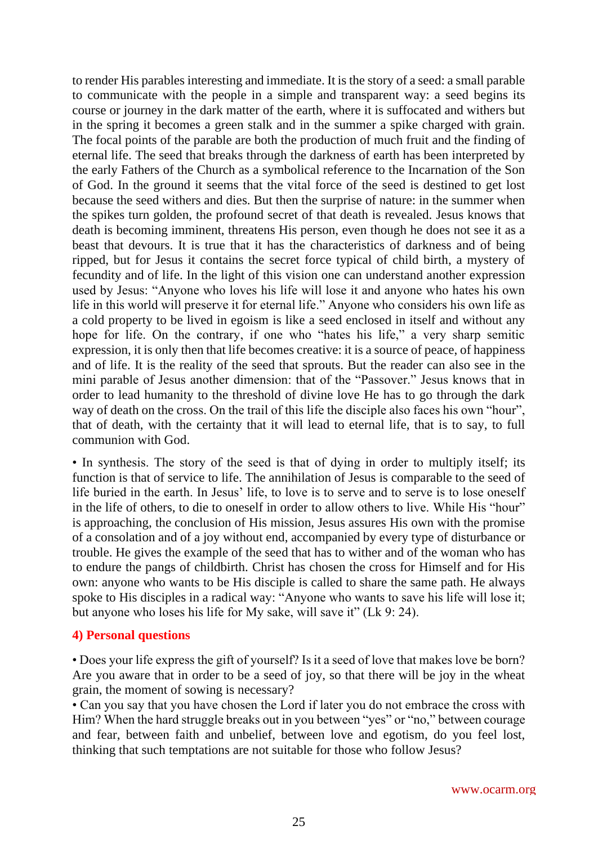to render His parables interesting and immediate. It is the story of a seed: a small parable to communicate with the people in a simple and transparent way: a seed begins its course or journey in the dark matter of the earth, where it is suffocated and withers but in the spring it becomes a green stalk and in the summer a spike charged with grain. The focal points of the parable are both the production of much fruit and the finding of eternal life. The seed that breaks through the darkness of earth has been interpreted by the early Fathers of the Church as a symbolical reference to the Incarnation of the Son of God. In the ground it seems that the vital force of the seed is destined to get lost because the seed withers and dies. But then the surprise of nature: in the summer when the spikes turn golden, the profound secret of that death is revealed. Jesus knows that death is becoming imminent, threatens His person, even though he does not see it as a beast that devours. It is true that it has the characteristics of darkness and of being ripped, but for Jesus it contains the secret force typical of child birth, a mystery of fecundity and of life. In the light of this vision one can understand another expression used by Jesus: "Anyone who loves his life will lose it and anyone who hates his own life in this world will preserve it for eternal life." Anyone who considers his own life as a cold property to be lived in egoism is like a seed enclosed in itself and without any hope for life. On the contrary, if one who "hates his life," a very sharp semitic expression, it is only then that life becomes creative: it is a source of peace, of happiness and of life. It is the reality of the seed that sprouts. But the reader can also see in the mini parable of Jesus another dimension: that of the "Passover." Jesus knows that in order to lead humanity to the threshold of divine love He has to go through the dark way of death on the cross. On the trail of this life the disciple also faces his own "hour", that of death, with the certainty that it will lead to eternal life, that is to say, to full communion with God.

• In synthesis. The story of the seed is that of dying in order to multiply itself; its function is that of service to life. The annihilation of Jesus is comparable to the seed of life buried in the earth. In Jesus' life, to love is to serve and to serve is to lose oneself in the life of others, to die to oneself in order to allow others to live. While His "hour" is approaching, the conclusion of His mission, Jesus assures His own with the promise of a consolation and of a joy without end, accompanied by every type of disturbance or trouble. He gives the example of the seed that has to wither and of the woman who has to endure the pangs of childbirth. Christ has chosen the cross for Himself and for His own: anyone who wants to be His disciple is called to share the same path. He always spoke to His disciples in a radical way: "Anyone who wants to save his life will lose it; but anyone who loses his life for My sake, will save it" (Lk 9: 24).

### **4) Personal questions**

• Does your life express the gift of yourself? Is it a seed of love that makes love be born? Are you aware that in order to be a seed of joy, so that there will be joy in the wheat grain, the moment of sowing is necessary?

• Can you say that you have chosen the Lord if later you do not embrace the cross with Him? When the hard struggle breaks out in you between "yes" or "no," between courage and fear, between faith and unbelief, between love and egotism, do you feel lost, thinking that such temptations are not suitable for those who follow Jesus?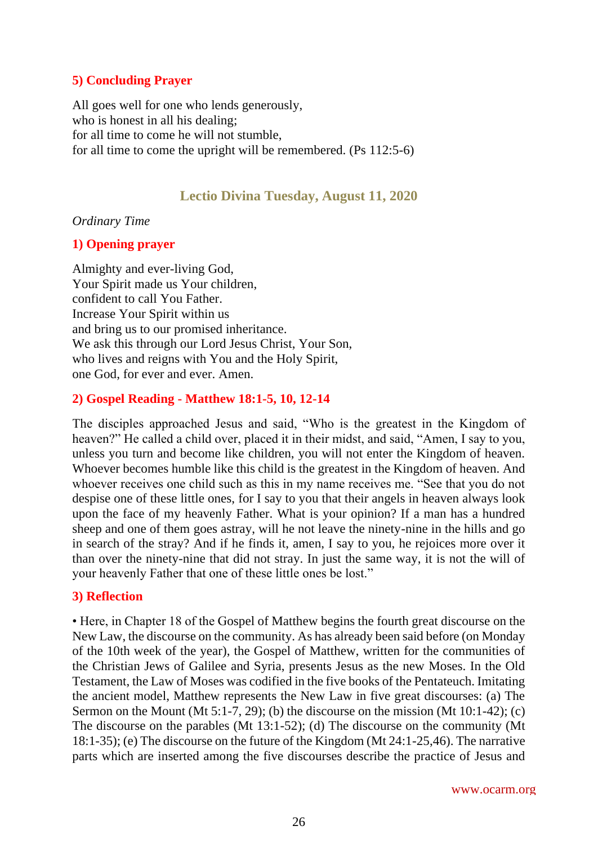# **5) Concluding Prayer**

All goes well for one who lends generously, who is honest in all his dealing: for all time to come he will not stumble, for all time to come the upright will be remembered. (Ps 112:5-6)

# **Lectio Divina Tuesday, August 11, 2020**

### <span id="page-25-0"></span>*Ordinary Time*

### **1) Opening prayer**

Almighty and ever-living God, Your Spirit made us Your children, confident to call You Father. Increase Your Spirit within us and bring us to our promised inheritance. We ask this through our Lord Jesus Christ, Your Son, who lives and reigns with You and the Holy Spirit, one God, for ever and ever. Amen.

# **2) Gospel Reading - Matthew 18:1-5, 10, 12-14**

The disciples approached Jesus and said, "Who is the greatest in the Kingdom of heaven?" He called a child over, placed it in their midst, and said, "Amen, I say to you, unless you turn and become like children, you will not enter the Kingdom of heaven. Whoever becomes humble like this child is the greatest in the Kingdom of heaven. And whoever receives one child such as this in my name receives me. "See that you do not despise one of these little ones, for I say to you that their angels in heaven always look upon the face of my heavenly Father. What is your opinion? If a man has a hundred sheep and one of them goes astray, will he not leave the ninety-nine in the hills and go in search of the stray? And if he finds it, amen, I say to you, he rejoices more over it than over the ninety-nine that did not stray. In just the same way, it is not the will of your heavenly Father that one of these little ones be lost."

### **3) Reflection**

• Here, in Chapter 18 of the Gospel of Matthew begins the fourth great discourse on the New Law, the discourse on the community. As has already been said before (on Monday of the 10th week of the year), the Gospel of Matthew, written for the communities of the Christian Jews of Galilee and Syria, presents Jesus as the new Moses. In the Old Testament, the Law of Moses was codified in the five books of the Pentateuch. Imitating the ancient model, Matthew represents the New Law in five great discourses: (a) The Sermon on the Mount (Mt 5:1-7, 29); (b) the discourse on the mission (Mt 10:1-42); (c) The discourse on the parables (Mt 13:1-52); (d) The discourse on the community (Mt 18:1-35); (e) The discourse on the future of the Kingdom (Mt 24:1-25,46). The narrative parts which are inserted among the five discourses describe the practice of Jesus and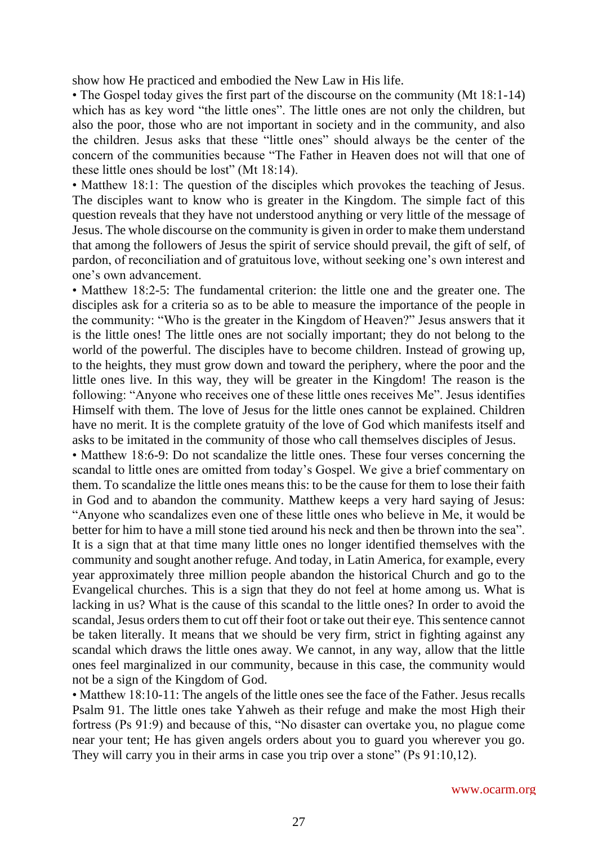show how He practiced and embodied the New Law in His life.

• The Gospel today gives the first part of the discourse on the community (Mt 18:1-14) which has as key word "the little ones". The little ones are not only the children, but also the poor, those who are not important in society and in the community, and also the children. Jesus asks that these "little ones" should always be the center of the concern of the communities because "The Father in Heaven does not will that one of these little ones should be lost" (Mt 18:14).

• Matthew 18:1: The question of the disciples which provokes the teaching of Jesus. The disciples want to know who is greater in the Kingdom. The simple fact of this question reveals that they have not understood anything or very little of the message of Jesus. The whole discourse on the community is given in order to make them understand that among the followers of Jesus the spirit of service should prevail, the gift of self, of pardon, of reconciliation and of gratuitous love, without seeking one's own interest and one's own advancement.

• Matthew 18:2-5: The fundamental criterion: the little one and the greater one. The disciples ask for a criteria so as to be able to measure the importance of the people in the community: "Who is the greater in the Kingdom of Heaven?" Jesus answers that it is the little ones! The little ones are not socially important; they do not belong to the world of the powerful. The disciples have to become children. Instead of growing up, to the heights, they must grow down and toward the periphery, where the poor and the little ones live. In this way, they will be greater in the Kingdom! The reason is the following: "Anyone who receives one of these little ones receives Me". Jesus identifies Himself with them. The love of Jesus for the little ones cannot be explained. Children have no merit. It is the complete gratuity of the love of God which manifests itself and asks to be imitated in the community of those who call themselves disciples of Jesus.

• Matthew 18:6-9: Do not scandalize the little ones. These four verses concerning the scandal to little ones are omitted from today's Gospel. We give a brief commentary on them. To scandalize the little ones means this: to be the cause for them to lose their faith in God and to abandon the community. Matthew keeps a very hard saying of Jesus: "Anyone who scandalizes even one of these little ones who believe in Me, it would be better for him to have a mill stone tied around his neck and then be thrown into the sea". It is a sign that at that time many little ones no longer identified themselves with the community and sought another refuge. And today, in Latin America, for example, every year approximately three million people abandon the historical Church and go to the Evangelical churches. This is a sign that they do not feel at home among us. What is lacking in us? What is the cause of this scandal to the little ones? In order to avoid the scandal, Jesus orders them to cut off their foot or take out their eye. This sentence cannot be taken literally. It means that we should be very firm, strict in fighting against any scandal which draws the little ones away. We cannot, in any way, allow that the little ones feel marginalized in our community, because in this case, the community would not be a sign of the Kingdom of God.

• Matthew 18:10-11: The angels of the little ones see the face of the Father. Jesus recalls Psalm 91. The little ones take Yahweh as their refuge and make the most High their fortress (Ps 91:9) and because of this, "No disaster can overtake you, no plague come near your tent; He has given angels orders about you to guard you wherever you go. They will carry you in their arms in case you trip over a stone" (Ps 91:10,12).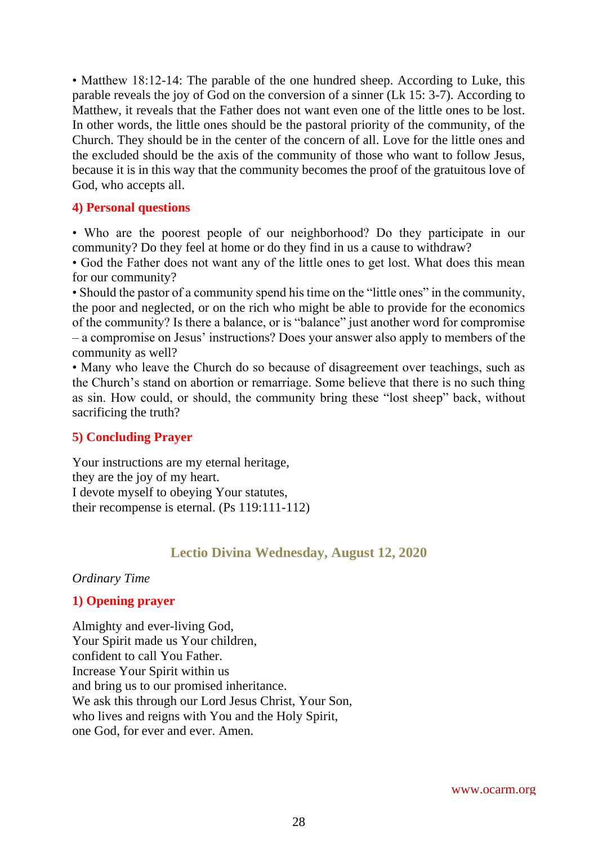• Matthew 18:12-14: The parable of the one hundred sheep. According to Luke, this parable reveals the joy of God on the conversion of a sinner (Lk 15: 3-7). According to Matthew, it reveals that the Father does not want even one of the little ones to be lost. In other words, the little ones should be the pastoral priority of the community, of the Church. They should be in the center of the concern of all. Love for the little ones and the excluded should be the axis of the community of those who want to follow Jesus, because it is in this way that the community becomes the proof of the gratuitous love of God, who accepts all.

### **4) Personal questions**

• Who are the poorest people of our neighborhood? Do they participate in our community? Do they feel at home or do they find in us a cause to withdraw?

• God the Father does not want any of the little ones to get lost. What does this mean for our community?

• Should the pastor of a community spend his time on the "little ones" in the community, the poor and neglected, or on the rich who might be able to provide for the economics of the community? Is there a balance, or is "balance" just another word for compromise – a compromise on Jesus' instructions? Does your answer also apply to members of the community as well?

• Many who leave the Church do so because of disagreement over teachings, such as the Church's stand on abortion or remarriage. Some believe that there is no such thing as sin. How could, or should, the community bring these "lost sheep" back, without sacrificing the truth?

### **5) Concluding Prayer**

Your instructions are my eternal heritage, they are the joy of my heart. I devote myself to obeying Your statutes, their recompense is eternal. (Ps 119:111-112)

### **Lectio Divina Wednesday, August 12, 2020**

### <span id="page-27-0"></span>*Ordinary Time*

### **1) Opening prayer**

Almighty and ever-living God, Your Spirit made us Your children, confident to call You Father. Increase Your Spirit within us and bring us to our promised inheritance. We ask this through our Lord Jesus Christ, Your Son, who lives and reigns with You and the Holy Spirit, one God, for ever and ever. Amen.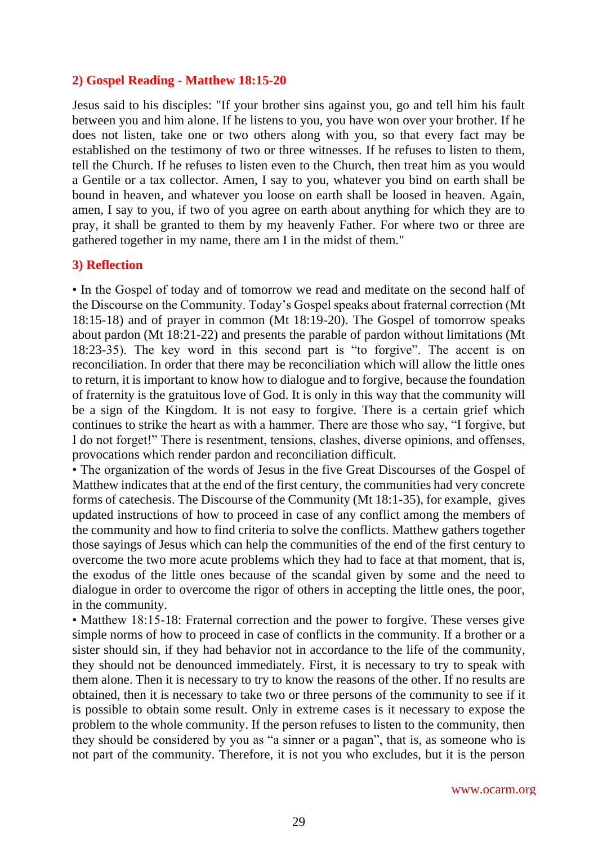# **2) Gospel Reading - Matthew 18:15-20**

Jesus said to his disciples: "If your brother sins against you, go and tell him his fault between you and him alone. If he listens to you, you have won over your brother. If he does not listen, take one or two others along with you, so that every fact may be established on the testimony of two or three witnesses. If he refuses to listen to them, tell the Church. If he refuses to listen even to the Church, then treat him as you would a Gentile or a tax collector. Amen, I say to you, whatever you bind on earth shall be bound in heaven, and whatever you loose on earth shall be loosed in heaven. Again, amen, I say to you, if two of you agree on earth about anything for which they are to pray, it shall be granted to them by my heavenly Father. For where two or three are gathered together in my name, there am I in the midst of them."

### **3) Reflection**

• In the Gospel of today and of tomorrow we read and meditate on the second half of the Discourse on the Community. Today's Gospel speaks about fraternal correction (Mt 18:15-18) and of prayer in common (Mt 18:19-20). The Gospel of tomorrow speaks about pardon (Mt 18:21-22) and presents the parable of pardon without limitations (Mt 18:23-35). The key word in this second part is "to forgive". The accent is on reconciliation. In order that there may be reconciliation which will allow the little ones to return, it is important to know how to dialogue and to forgive, because the foundation of fraternity is the gratuitous love of God. It is only in this way that the community will be a sign of the Kingdom. It is not easy to forgive. There is a certain grief which continues to strike the heart as with a hammer. There are those who say, "I forgive, but I do not forget!" There is resentment, tensions, clashes, diverse opinions, and offenses, provocations which render pardon and reconciliation difficult.

• The organization of the words of Jesus in the five Great Discourses of the Gospel of Matthew indicates that at the end of the first century, the communities had very concrete forms of catechesis. The Discourse of the Community (Mt 18:1-35), for example, gives updated instructions of how to proceed in case of any conflict among the members of the community and how to find criteria to solve the conflicts. Matthew gathers together those sayings of Jesus which can help the communities of the end of the first century to overcome the two more acute problems which they had to face at that moment, that is, the exodus of the little ones because of the scandal given by some and the need to dialogue in order to overcome the rigor of others in accepting the little ones, the poor, in the community.

• Matthew 18:15-18: Fraternal correction and the power to forgive. These verses give simple norms of how to proceed in case of conflicts in the community. If a brother or a sister should sin, if they had behavior not in accordance to the life of the community, they should not be denounced immediately. First, it is necessary to try to speak with them alone. Then it is necessary to try to know the reasons of the other. If no results are obtained, then it is necessary to take two or three persons of the community to see if it is possible to obtain some result. Only in extreme cases is it necessary to expose the problem to the whole community. If the person refuses to listen to the community, then they should be considered by you as "a sinner or a pagan", that is, as someone who is not part of the community. Therefore, it is not you who excludes, but it is the person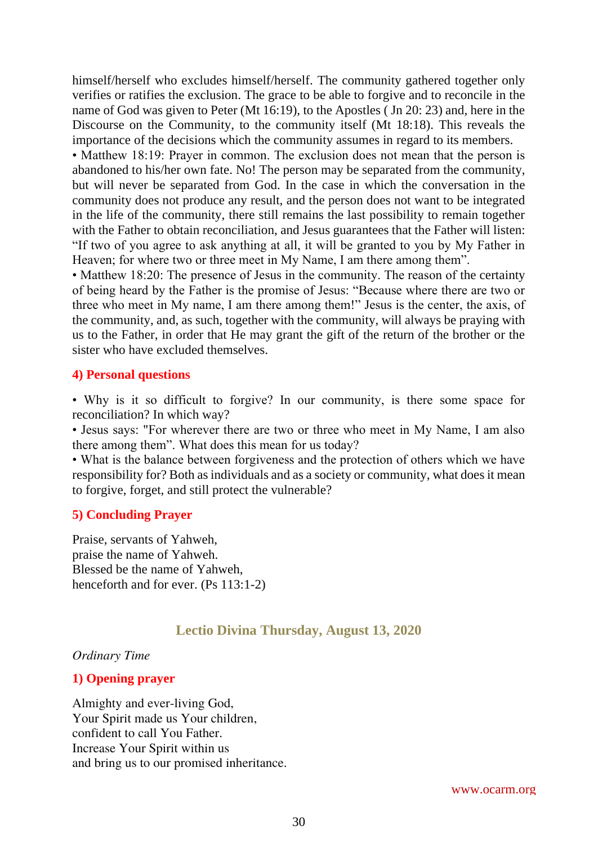himself/herself who excludes himself/herself. The community gathered together only verifies or ratifies the exclusion. The grace to be able to forgive and to reconcile in the name of God was given to Peter (Mt 16:19), to the Apostles ( Jn 20: 23) and, here in the Discourse on the Community, to the community itself (Mt 18:18). This reveals the importance of the decisions which the community assumes in regard to its members.

• Matthew 18:19: Prayer in common. The exclusion does not mean that the person is abandoned to his/her own fate. No! The person may be separated from the community, but will never be separated from God. In the case in which the conversation in the community does not produce any result, and the person does not want to be integrated in the life of the community, there still remains the last possibility to remain together with the Father to obtain reconciliation, and Jesus guarantees that the Father will listen: "If two of you agree to ask anything at all, it will be granted to you by My Father in Heaven; for where two or three meet in My Name, I am there among them".

• Matthew 18:20: The presence of Jesus in the community. The reason of the certainty of being heard by the Father is the promise of Jesus: "Because where there are two or three who meet in My name, I am there among them!" Jesus is the center, the axis, of the community, and, as such, together with the community, will always be praying with us to the Father, in order that He may grant the gift of the return of the brother or the sister who have excluded themselves.

#### **4) Personal questions**

• Why is it so difficult to forgive? In our community, is there some space for reconciliation? In which way?

• Jesus says: "For wherever there are two or three who meet in My Name, I am also there among them". What does this mean for us today?

• What is the balance between forgiveness and the protection of others which we have responsibility for? Both as individuals and as a society or community, what does it mean to forgive, forget, and still protect the vulnerable?

### **5) Concluding Prayer**

Praise, servants of Yahweh, praise the name of Yahweh. Blessed be the name of Yahweh, henceforth and for ever. (Ps 113:1-2)

### **Lectio Divina Thursday, August 13, 2020**

<span id="page-29-0"></span>*Ordinary Time*

#### **1) Opening prayer**

Almighty and ever-living God, Your Spirit made us Your children, confident to call You Father. Increase Your Spirit within us and bring us to our promised inheritance.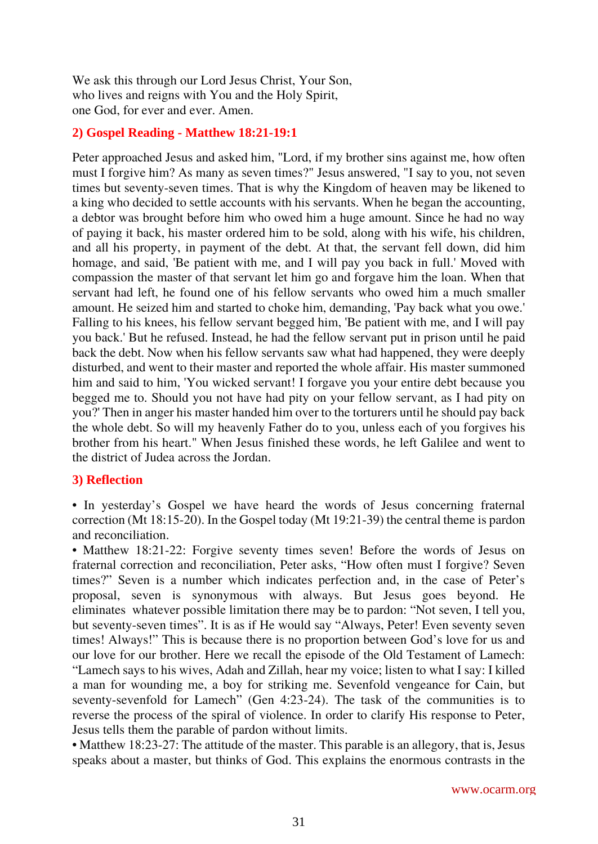We ask this through our Lord Jesus Christ, Your Son, who lives and reigns with You and the Holy Spirit, one God, for ever and ever. Amen.

### **2) Gospel Reading - Matthew 18:21-19:1**

Peter approached Jesus and asked him, "Lord, if my brother sins against me, how often must I forgive him? As many as seven times?" Jesus answered, "I say to you, not seven times but seventy-seven times. That is why the Kingdom of heaven may be likened to a king who decided to settle accounts with his servants. When he began the accounting, a debtor was brought before him who owed him a huge amount. Since he had no way of paying it back, his master ordered him to be sold, along with his wife, his children, and all his property, in payment of the debt. At that, the servant fell down, did him homage, and said, 'Be patient with me, and I will pay you back in full.' Moved with compassion the master of that servant let him go and forgave him the loan. When that servant had left, he found one of his fellow servants who owed him a much smaller amount. He seized him and started to choke him, demanding, 'Pay back what you owe.' Falling to his knees, his fellow servant begged him, 'Be patient with me, and I will pay you back.' But he refused. Instead, he had the fellow servant put in prison until he paid back the debt. Now when his fellow servants saw what had happened, they were deeply disturbed, and went to their master and reported the whole affair. His master summoned him and said to him, 'You wicked servant! I forgave you your entire debt because you begged me to. Should you not have had pity on your fellow servant, as I had pity on you?' Then in anger his master handed him over to the torturers until he should pay back the whole debt. So will my heavenly Father do to you, unless each of you forgives his brother from his heart." When Jesus finished these words, he left Galilee and went to the district of Judea across the Jordan.

#### **3) Reflection**

• In yesterday's Gospel we have heard the words of Jesus concerning fraternal correction (Mt 18:15-20). In the Gospel today (Mt 19:21-39) the central theme is pardon and reconciliation.

• Matthew 18:21-22: Forgive seventy times seven! Before the words of Jesus on fraternal correction and reconciliation, Peter asks, "How often must I forgive? Seven times?" Seven is a number which indicates perfection and, in the case of Peter's proposal, seven is synonymous with always. But Jesus goes beyond. He eliminates whatever possible limitation there may be to pardon: "Not seven, I tell you, but seventy-seven times". It is as if He would say "Always, Peter! Even seventy seven times! Always!" This is because there is no proportion between God's love for us and our love for our brother. Here we recall the episode of the Old Testament of Lamech: "Lamech says to his wives, Adah and Zillah, hear my voice; listen to what I say: I killed a man for wounding me, a boy for striking me. Sevenfold vengeance for Cain, but seventy-sevenfold for Lamech" (Gen 4:23-24). The task of the communities is to reverse the process of the spiral of violence. In order to clarify His response to Peter, Jesus tells them the parable of pardon without limits.

• Matthew 18:23-27: The attitude of the master. This parable is an allegory, that is, Jesus speaks about a master, but thinks of God. This explains the enormous contrasts in the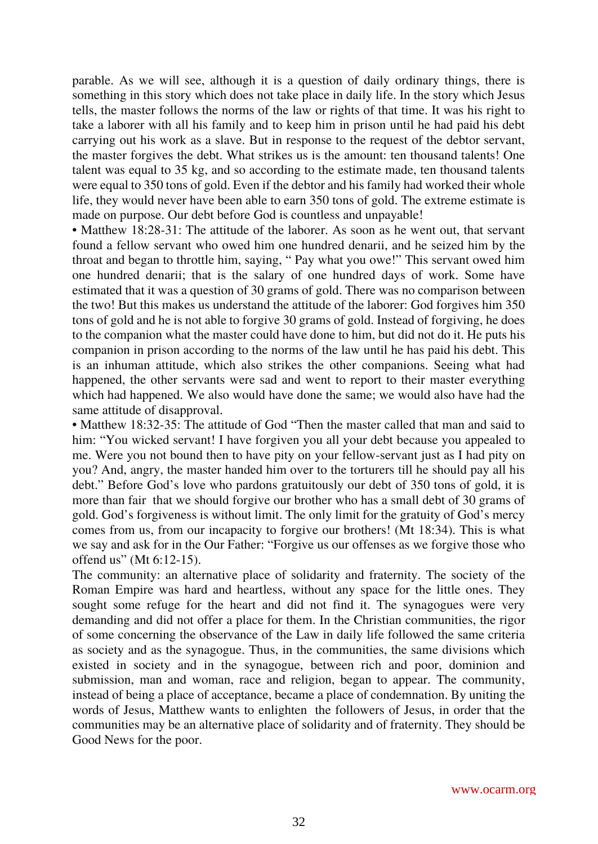parable. As we will see, although it is a question of daily ordinary things, there is something in this story which does not take place in daily life. In the story which Jesus tells, the master follows the norms of the law or rights of that time. It was his right to take a laborer with all his family and to keep him in prison until he had paid his debt carrying out his work as a slave. But in response to the request of the debtor servant, the master forgives the debt. What strikes us is the amount: ten thousand talents! One talent was equal to 35 kg, and so according to the estimate made, ten thousand talents were equal to 350 tons of gold. Even if the debtor and his family had worked their whole life, they would never have been able to earn 350 tons of gold. The extreme estimate is made on purpose. Our debt before God is countless and unpayable!

• Matthew 18:28-31: The attitude of the laborer. As soon as he went out, that servant found a fellow servant who owed him one hundred denarii, and he seized him by the throat and began to throttle him, saying, " Pay what you owe!" This servant owed him one hundred denarii; that is the salary of one hundred days of work. Some have estimated that it was a question of 30 grams of gold. There was no comparison between the two! But this makes us understand the attitude of the laborer: God forgives him 350 tons of gold and he is not able to forgive 30 grams of gold. Instead of forgiving, he does to the companion what the master could have done to him, but did not do it. He puts his companion in prison according to the norms of the law until he has paid his debt. This is an inhuman attitude, which also strikes the other companions. Seeing what had happened, the other servants were sad and went to report to their master everything which had happened. We also would have done the same; we would also have had the same attitude of disapproval.

• Matthew 18:32-35: The attitude of God "Then the master called that man and said to him: "You wicked servant! I have forgiven you all your debt because you appealed to me. Were you not bound then to have pity on your fellow-servant just as I had pity on you? And, angry, the master handed him over to the torturers till he should pay all his debt." Before God's love who pardons gratuitously our debt of 350 tons of gold, it is more than fair that we should forgive our brother who has a small debt of 30 grams of gold. God's forgiveness is without limit. The only limit for the gratuity of God's mercy comes from us, from our incapacity to forgive our brothers! (Mt 18:34). This is what we say and ask for in the Our Father: "Forgive us our offenses as we forgive those who offend us" (Mt 6:12-15).

The community: an alternative place of solidarity and fraternity. The society of the Roman Empire was hard and heartless, without any space for the little ones. They sought some refuge for the heart and did not find it. The synagogues were very demanding and did not offer a place for them. In the Christian communities, the rigor of some concerning the observance of the Law in daily life followed the same criteria as society and as the synagogue. Thus, in the communities, the same divisions which existed in society and in the synagogue, between rich and poor, dominion and submission, man and woman, race and religion, began to appear. The community, instead of being a place of acceptance, became a place of condemnation. By uniting the words of Jesus, Matthew wants to enlighten the followers of Jesus, in order that the communities may be an alternative place of solidarity and of fraternity. They should be Good News for the poor.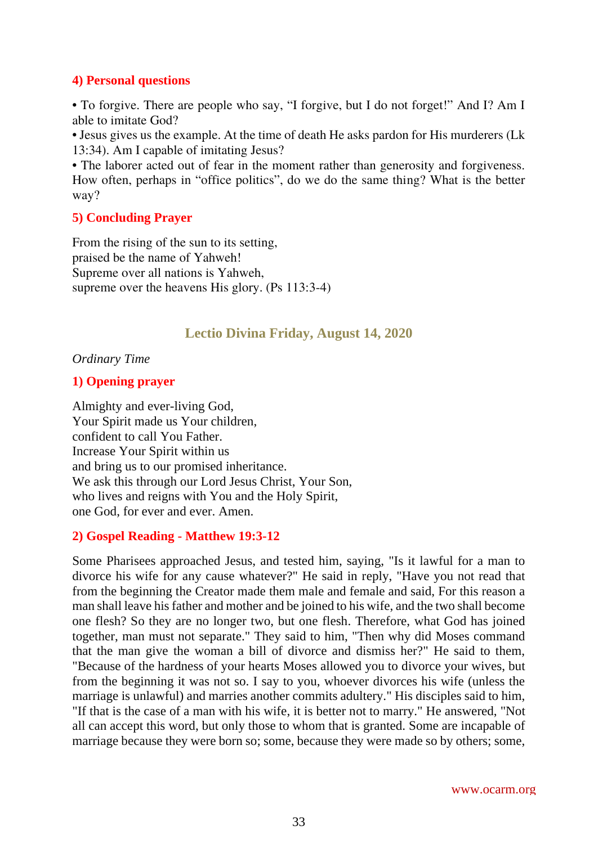# **4) Personal questions**

• To forgive. There are people who say, "I forgive, but I do not forget!" And I? Am I able to imitate God?

• Jesus gives us the example. At the time of death He asks pardon for His murderers (Lk 13:34). Am I capable of imitating Jesus?

• The laborer acted out of fear in the moment rather than generosity and forgiveness. How often, perhaps in "office politics", do we do the same thing? What is the better way?

# **5) Concluding Prayer**

From the rising of the sun to its setting, praised be the name of Yahweh! Supreme over all nations is Yahweh, supreme over the heavens His glory. (Ps 113:3-4)

# **Lectio Divina Friday, August 14, 2020**

### <span id="page-32-0"></span>*Ordinary Time*

### **1) Opening prayer**

Almighty and ever-living God, Your Spirit made us Your children, confident to call You Father. Increase Your Spirit within us and bring us to our promised inheritance. We ask this through our Lord Jesus Christ, Your Son, who lives and reigns with You and the Holy Spirit, one God, for ever and ever. Amen.

# **2) Gospel Reading - Matthew 19:3-12**

Some Pharisees approached Jesus, and tested him, saying, "Is it lawful for a man to divorce his wife for any cause whatever?" He said in reply, "Have you not read that from the beginning the Creator made them male and female and said, For this reason a man shall leave his father and mother and be joined to his wife, and the two shall become one flesh? So they are no longer two, but one flesh. Therefore, what God has joined together, man must not separate." They said to him, "Then why did Moses command that the man give the woman a bill of divorce and dismiss her?" He said to them, "Because of the hardness of your hearts Moses allowed you to divorce your wives, but from the beginning it was not so. I say to you, whoever divorces his wife (unless the marriage is unlawful) and marries another commits adultery." His disciples said to him, "If that is the case of a man with his wife, it is better not to marry." He answered, "Not all can accept this word, but only those to whom that is granted. Some are incapable of marriage because they were born so; some, because they were made so by others; some,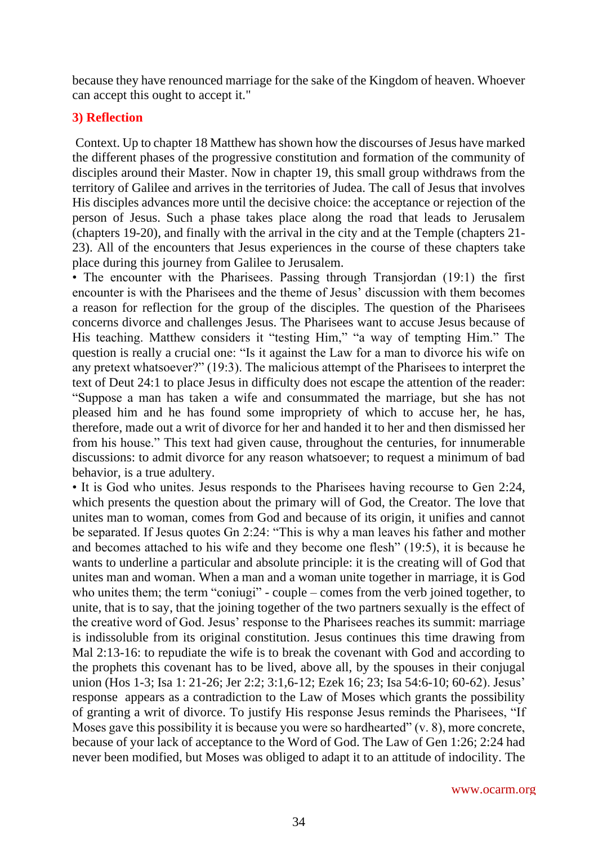because they have renounced marriage for the sake of the Kingdom of heaven. Whoever can accept this ought to accept it."

### **3) Reflection**

Context. Up to chapter 18 Matthew has shown how the discourses of Jesus have marked the different phases of the progressive constitution and formation of the community of disciples around their Master. Now in chapter 19, this small group withdraws from the territory of Galilee and arrives in the territories of Judea. The call of Jesus that involves His disciples advances more until the decisive choice: the acceptance or rejection of the person of Jesus. Such a phase takes place along the road that leads to Jerusalem (chapters 19-20), and finally with the arrival in the city and at the Temple (chapters 21- 23). All of the encounters that Jesus experiences in the course of these chapters take place during this journey from Galilee to Jerusalem.

• The encounter with the Pharisees. Passing through Transjordan (19:1) the first encounter is with the Pharisees and the theme of Jesus' discussion with them becomes a reason for reflection for the group of the disciples. The question of the Pharisees concerns divorce and challenges Jesus. The Pharisees want to accuse Jesus because of His teaching. Matthew considers it "testing Him," "a way of tempting Him." The question is really a crucial one: "Is it against the Law for a man to divorce his wife on any pretext whatsoever?" (19:3). The malicious attempt of the Pharisees to interpret the text of Deut 24:1 to place Jesus in difficulty does not escape the attention of the reader: "Suppose a man has taken a wife and consummated the marriage, but she has not pleased him and he has found some impropriety of which to accuse her, he has, therefore, made out a writ of divorce for her and handed it to her and then dismissed her from his house." This text had given cause, throughout the centuries, for innumerable discussions: to admit divorce for any reason whatsoever; to request a minimum of bad behavior, is a true adultery.

• It is God who unites. Jesus responds to the Pharisees having recourse to Gen 2:24, which presents the question about the primary will of God, the Creator. The love that unites man to woman, comes from God and because of its origin, it unifies and cannot be separated. If Jesus quotes Gn 2:24: "This is why a man leaves his father and mother and becomes attached to his wife and they become one flesh" (19:5), it is because he wants to underline a particular and absolute principle: it is the creating will of God that unites man and woman. When a man and a woman unite together in marriage, it is God who unites them; the term "coniugi" - couple – comes from the verb joined together, to unite, that is to say, that the joining together of the two partners sexually is the effect of the creative word of God. Jesus' response to the Pharisees reaches its summit: marriage is indissoluble from its original constitution. Jesus continues this time drawing from Mal 2:13-16: to repudiate the wife is to break the covenant with God and according to the prophets this covenant has to be lived, above all, by the spouses in their conjugal union (Hos 1-3; Isa 1: 21-26; Jer 2:2; 3:1,6-12; Ezek 16; 23; Isa 54:6-10; 60-62). Jesus' response appears as a contradiction to the Law of Moses which grants the possibility of granting a writ of divorce. To justify His response Jesus reminds the Pharisees, "If Moses gave this possibility it is because you were so hardhearted" (v. 8), more concrete, because of your lack of acceptance to the Word of God. The Law of Gen 1:26; 2:24 had never been modified, but Moses was obliged to adapt it to an attitude of indocility. The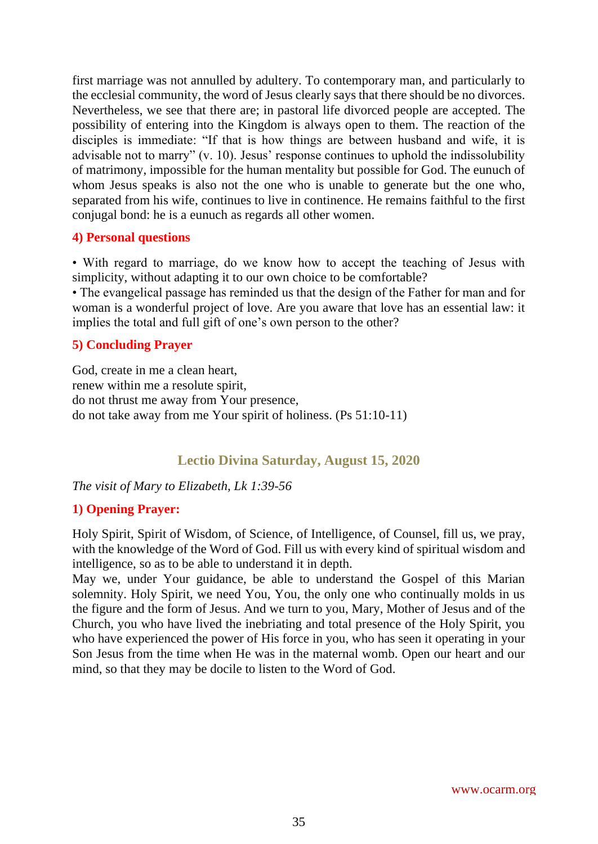first marriage was not annulled by adultery. To contemporary man, and particularly to the ecclesial community, the word of Jesus clearly says that there should be no divorces. Nevertheless, we see that there are; in pastoral life divorced people are accepted. The possibility of entering into the Kingdom is always open to them. The reaction of the disciples is immediate: "If that is how things are between husband and wife, it is advisable not to marry" (v. 10). Jesus' response continues to uphold the indissolubility of matrimony, impossible for the human mentality but possible for God. The eunuch of whom Jesus speaks is also not the one who is unable to generate but the one who, separated from his wife, continues to live in continence. He remains faithful to the first conjugal bond: he is a eunuch as regards all other women.

### **4) Personal questions**

• With regard to marriage, do we know how to accept the teaching of Jesus with simplicity, without adapting it to our own choice to be comfortable?

• The evangelical passage has reminded us that the design of the Father for man and for woman is a wonderful project of love. Are you aware that love has an essential law: it implies the total and full gift of one's own person to the other?

### **5) Concluding Prayer**

God, create in me a clean heart, renew within me a resolute spirit, do not thrust me away from Your presence, do not take away from me Your spirit of holiness. (Ps 51:10-11)

# **Lectio Divina Saturday, August 15, 2020**

<span id="page-34-0"></span>*The visit of Mary to Elizabeth, Lk 1:39-56*

### **1) Opening Prayer:**

Holy Spirit, Spirit of Wisdom, of Science, of Intelligence, of Counsel, fill us, we pray, with the knowledge of the Word of God. Fill us with every kind of spiritual wisdom and intelligence, so as to be able to understand it in depth.

May we, under Your guidance, be able to understand the Gospel of this Marian solemnity. Holy Spirit, we need You, You, the only one who continually molds in us the figure and the form of Jesus. And we turn to you, Mary, Mother of Jesus and of the Church, you who have lived the inebriating and total presence of the Holy Spirit, you who have experienced the power of His force in you, who has seen it operating in your Son Jesus from the time when He was in the maternal womb. Open our heart and our mind, so that they may be docile to listen to the Word of God.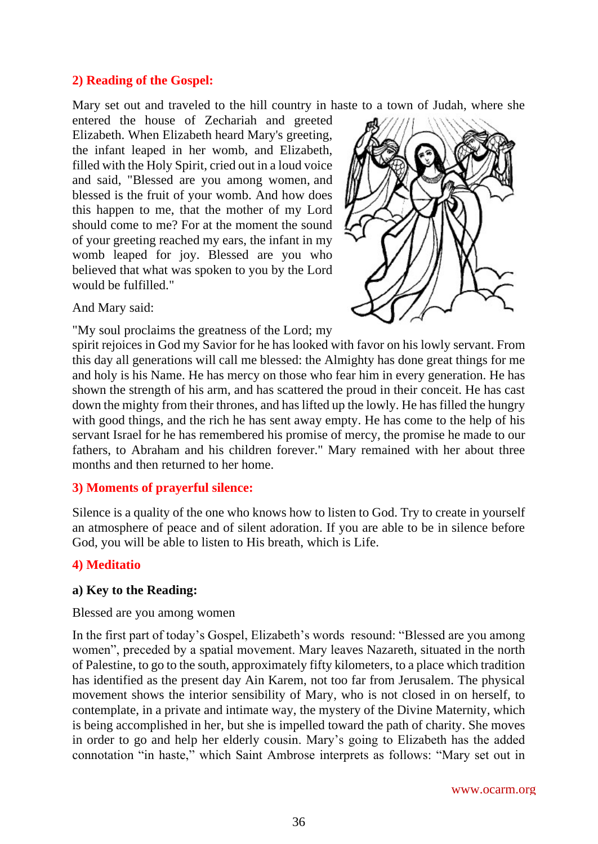# **2) Reading of the Gospel:**

Mary set out and traveled to the hill country in haste to a town of Judah, where she

entered the house of Zechariah and greeted Elizabeth. When Elizabeth heard Mary's greeting, the infant leaped in her womb, and Elizabeth, filled with the Holy Spirit, cried out in a loud voice and said, "Blessed are you among women, and blessed is the fruit of your womb. And how does this happen to me, that the mother of my Lord should come to me? For at the moment the sound of your greeting reached my ears, the infant in my womb leaped for joy. Blessed are you who believed that what was spoken to you by the Lord would be fulfilled."



And Mary said:

"My soul proclaims the greatness of the Lord; my

spirit rejoices in God my Savior for he has looked with favor on his lowly servant. From this day all generations will call me blessed: the Almighty has done great things for me and holy is his Name. He has mercy on those who fear him in every generation. He has shown the strength of his arm, and has scattered the proud in their conceit. He has cast down the mighty from their thrones, and has lifted up the lowly. He has filled the hungry with good things, and the rich he has sent away empty. He has come to the help of his servant Israel for he has remembered his promise of mercy, the promise he made to our fathers, to Abraham and his children forever." Mary remained with her about three months and then returned to her home.

### **3) Moments of prayerful silence:**

Silence is a quality of the one who knows how to listen to God. Try to create in yourself an atmosphere of peace and of silent adoration. If you are able to be in silence before God, you will be able to listen to His breath, which is Life.

### **4) Meditatio**

### **a) Key to the Reading:**

### Blessed are you among women

In the first part of today's Gospel, Elizabeth's words resound: "Blessed are you among women", preceded by a spatial movement. Mary leaves Nazareth, situated in the north of Palestine, to go to the south, approximately fifty kilometers, to a place which tradition has identified as the present day Ain Karem, not too far from Jerusalem. The physical movement shows the interior sensibility of Mary, who is not closed in on herself, to contemplate, in a private and intimate way, the mystery of the Divine Maternity, which is being accomplished in her, but she is impelled toward the path of charity. She moves in order to go and help her elderly cousin. Mary's going to Elizabeth has the added connotation "in haste," which Saint Ambrose interprets as follows: "Mary set out in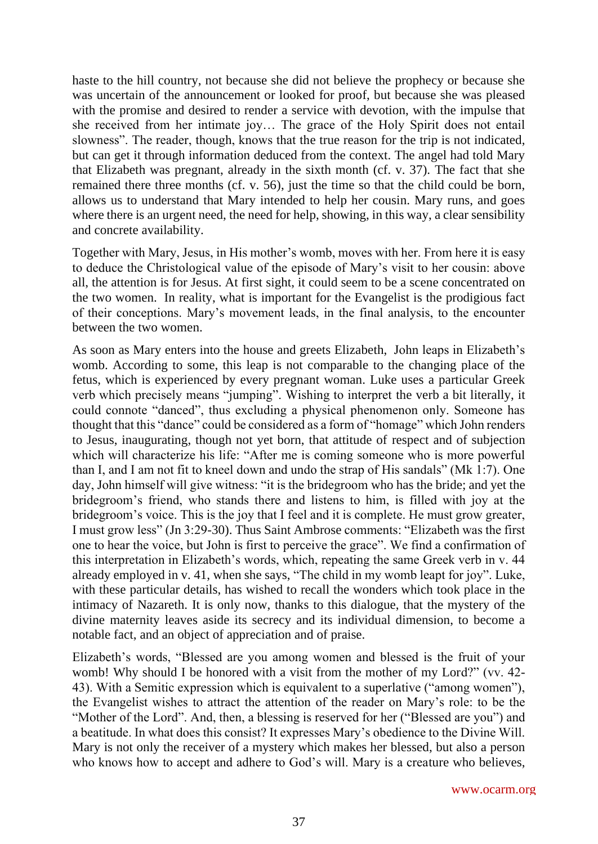haste to the hill country, not because she did not believe the prophecy or because she was uncertain of the announcement or looked for proof, but because she was pleased with the promise and desired to render a service with devotion, with the impulse that she received from her intimate joy… The grace of the Holy Spirit does not entail slowness". The reader, though, knows that the true reason for the trip is not indicated, but can get it through information deduced from the context. The angel had told Mary that Elizabeth was pregnant, already in the sixth month (cf. v. 37). The fact that she remained there three months (cf. v. 56), just the time so that the child could be born, allows us to understand that Mary intended to help her cousin. Mary runs, and goes where there is an urgent need, the need for help, showing, in this way, a clear sensibility and concrete availability.

Together with Mary, Jesus, in His mother's womb, moves with her. From here it is easy to deduce the Christological value of the episode of Mary's visit to her cousin: above all, the attention is for Jesus. At first sight, it could seem to be a scene concentrated on the two women. In reality, what is important for the Evangelist is the prodigious fact of their conceptions. Mary's movement leads, in the final analysis, to the encounter between the two women.

As soon as Mary enters into the house and greets Elizabeth, John leaps in Elizabeth's womb. According to some, this leap is not comparable to the changing place of the fetus, which is experienced by every pregnant woman. Luke uses a particular Greek verb which precisely means "jumping". Wishing to interpret the verb a bit literally, it could connote "danced", thus excluding a physical phenomenon only. Someone has thought that this "dance" could be considered as a form of "homage" which John renders to Jesus, inaugurating, though not yet born, that attitude of respect and of subjection which will characterize his life: "After me is coming someone who is more powerful than I, and I am not fit to kneel down and undo the strap of His sandals" (Mk 1:7). One day, John himself will give witness: "it is the bridegroom who has the bride; and yet the bridegroom's friend, who stands there and listens to him, is filled with joy at the bridegroom's voice. This is the joy that I feel and it is complete. He must grow greater, I must grow less" (Jn 3:29-30). Thus Saint Ambrose comments: "Elizabeth was the first one to hear the voice, but John is first to perceive the grace". We find a confirmation of this interpretation in Elizabeth's words, which, repeating the same Greek verb in v. 44 already employed in v. 41, when she says, "The child in my womb leapt for joy". Luke, with these particular details, has wished to recall the wonders which took place in the intimacy of Nazareth. It is only now, thanks to this dialogue, that the mystery of the divine maternity leaves aside its secrecy and its individual dimension, to become a notable fact, and an object of appreciation and of praise.

Elizabeth's words, "Blessed are you among women and blessed is the fruit of your womb! Why should I be honored with a visit from the mother of my Lord?" (vv. 42- 43). With a Semitic expression which is equivalent to a superlative ("among women"), the Evangelist wishes to attract the attention of the reader on Mary's role: to be the "Mother of the Lord". And, then, a blessing is reserved for her ("Blessed are you") and a beatitude. In what does this consist? It expresses Mary's obedience to the Divine Will. Mary is not only the receiver of a mystery which makes her blessed, but also a person who knows how to accept and adhere to God's will. Mary is a creature who believes,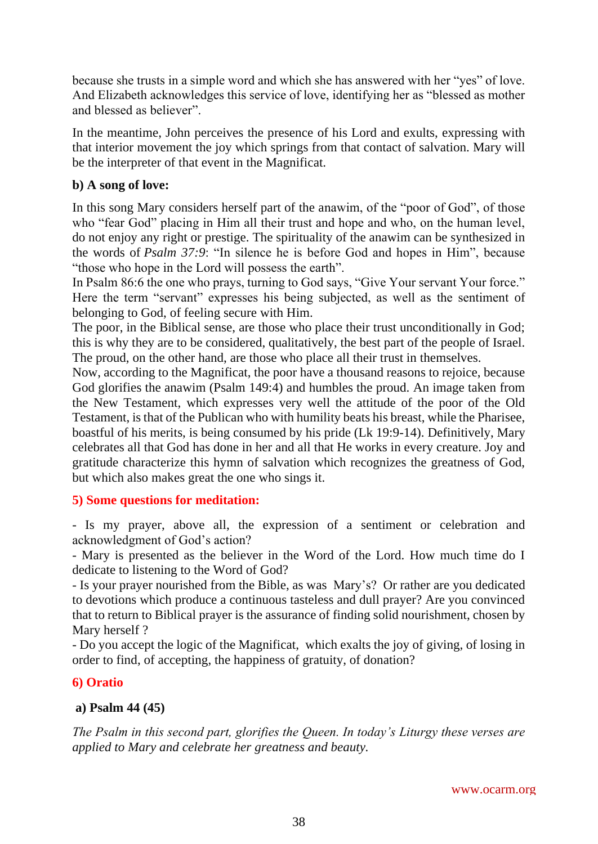because she trusts in a simple word and which she has answered with her "yes" of love. And Elizabeth acknowledges this service of love, identifying her as "blessed as mother and blessed as believer".

In the meantime, John perceives the presence of his Lord and exults, expressing with that interior movement the joy which springs from that contact of salvation. Mary will be the interpreter of that event in the Magnificat.

## **b) A song of love:**

In this song Mary considers herself part of the anawim, of the "poor of God", of those who "fear God" placing in Him all their trust and hope and who, on the human level, do not enjoy any right or prestige. The spirituality of the anawim can be synthesized in the words of *Psalm 37:9*: "In silence he is before God and hopes in Him", because "those who hope in the Lord will possess the earth".

In Psalm 86:6 the one who prays, turning to God says, "Give Your servant Your force." Here the term "servant" expresses his being subjected, as well as the sentiment of belonging to God, of feeling secure with Him.

The poor, in the Biblical sense, are those who place their trust unconditionally in God; this is why they are to be considered, qualitatively, the best part of the people of Israel. The proud, on the other hand, are those who place all their trust in themselves.

Now, according to the Magnificat, the poor have a thousand reasons to rejoice, because God glorifies the anawim (Psalm 149:4) and humbles the proud. An image taken from the New Testament, which expresses very well the attitude of the poor of the Old Testament, is that of the Publican who with humility beats his breast, while the Pharisee, boastful of his merits, is being consumed by his pride (Lk 19:9-14). Definitively, Mary celebrates all that God has done in her and all that He works in every creature. Joy and gratitude characterize this hymn of salvation which recognizes the greatness of God, but which also makes great the one who sings it.

# **5) Some questions for meditation:**

- Is my prayer, above all, the expression of a sentiment or celebration and acknowledgment of God's action?

- Mary is presented as the believer in the Word of the Lord. How much time do I dedicate to listening to the Word of God?

- Is your prayer nourished from the Bible, as was Mary's? Or rather are you dedicated to devotions which produce a continuous tasteless and dull prayer? Are you convinced that to return to Biblical prayer is the assurance of finding solid nourishment, chosen by Mary herself ?

- Do you accept the logic of the Magnificat, which exalts the joy of giving, of losing in order to find, of accepting, the happiness of gratuity, of donation?

# **6) Oratio**

# **a) Psalm 44 (45)**

*The Psalm in this second part, glorifies the Queen. In today's Liturgy these verses are applied to Mary and celebrate her greatness and beauty.*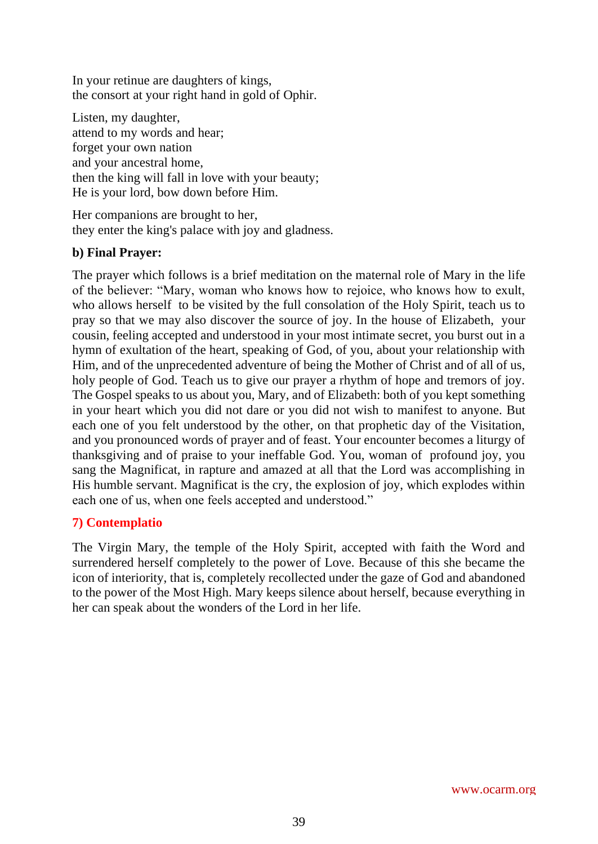In your retinue are daughters of kings, the consort at your right hand in gold of Ophir.

Listen, my daughter, attend to my words and hear; forget your own nation and your ancestral home, then the king will fall in love with your beauty; He is your lord, bow down before Him.

Her companions are brought to her, they enter the king's palace with joy and gladness.

## **b) Final Prayer:**

The prayer which follows is a brief meditation on the maternal role of Mary in the life of the believer: "Mary, woman who knows how to rejoice, who knows how to exult, who allows herself to be visited by the full consolation of the Holy Spirit, teach us to pray so that we may also discover the source of joy. In the house of Elizabeth, your cousin, feeling accepted and understood in your most intimate secret, you burst out in a hymn of exultation of the heart, speaking of God, of you, about your relationship with Him, and of the unprecedented adventure of being the Mother of Christ and of all of us, holy people of God. Teach us to give our prayer a rhythm of hope and tremors of joy. The Gospel speaks to us about you, Mary, and of Elizabeth: both of you kept something in your heart which you did not dare or you did not wish to manifest to anyone. But each one of you felt understood by the other, on that prophetic day of the Visitation, and you pronounced words of prayer and of feast. Your encounter becomes a liturgy of thanksgiving and of praise to your ineffable God. You, woman of profound joy, you sang the Magnificat, in rapture and amazed at all that the Lord was accomplishing in His humble servant. Magnificat is the cry, the explosion of joy, which explodes within each one of us, when one feels accepted and understood."

## **7) Contemplatio**

The Virgin Mary, the temple of the Holy Spirit, accepted with faith the Word and surrendered herself completely to the power of Love. Because of this she became the icon of interiority, that is, completely recollected under the gaze of God and abandoned to the power of the Most High. Mary keeps silence about herself, because everything in her can speak about the wonders of the Lord in her life.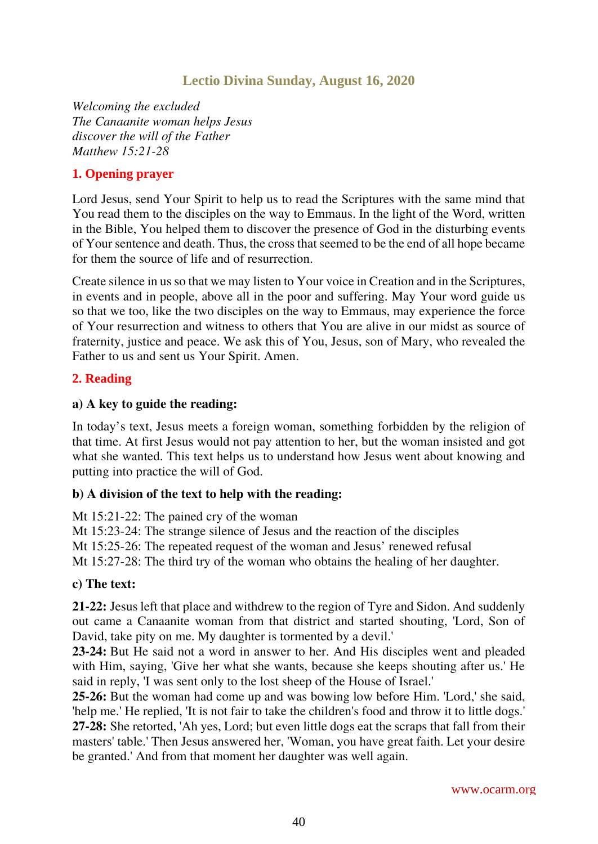# **Lectio Divina Sunday, August 16, 2020**

*Welcoming the excluded The Canaanite woman helps Jesus discover the will of the Father Matthew 15:21-28*

### **1. Opening prayer**

Lord Jesus, send Your Spirit to help us to read the Scriptures with the same mind that You read them to the disciples on the way to Emmaus. In the light of the Word, written in the Bible, You helped them to discover the presence of God in the disturbing events of Your sentence and death. Thus, the cross that seemed to be the end of all hope became for them the source of life and of resurrection.

Create silence in us so that we may listen to Your voice in Creation and in the Scriptures, in events and in people, above all in the poor and suffering. May Your word guide us so that we too, like the two disciples on the way to Emmaus, may experience the force of Your resurrection and witness to others that You are alive in our midst as source of fraternity, justice and peace. We ask this of You, Jesus, son of Mary, who revealed the Father to us and sent us Your Spirit. Amen.

### **2. Reading**

#### **a) A key to guide the reading:**

In today's text, Jesus meets a foreign woman, something forbidden by the religion of that time. At first Jesus would not pay attention to her, but the woman insisted and got what she wanted. This text helps us to understand how Jesus went about knowing and putting into practice the will of God.

#### **b) A division of the text to help with the reading:**

Mt 15:21-22: The pained cry of the woman

Mt 15:23-24: The strange silence of Jesus and the reaction of the disciples

Mt 15:25-26: The repeated request of the woman and Jesus' renewed refusal

Mt 15:27-28: The third try of the woman who obtains the healing of her daughter.

#### **c) The text:**

**21-22:** Jesus left that place and withdrew to the region of Tyre and Sidon. And suddenly out came a Canaanite woman from that district and started shouting, 'Lord, Son of David, take pity on me. My daughter is tormented by a devil.'

**23-24:** But He said not a word in answer to her. And His disciples went and pleaded with Him, saying, 'Give her what she wants, because she keeps shouting after us.' He said in reply, 'I was sent only to the lost sheep of the House of Israel.'

**25-26:** But the woman had come up and was bowing low before Him. 'Lord,' she said, 'help me.' He replied, 'It is not fair to take the children's food and throw it to little dogs.' **27-28:** She retorted, 'Ah yes, Lord; but even little dogs eat the scraps that fall from their masters' table.' Then Jesus answered her, 'Woman, you have great faith. Let your desire be granted.' And from that moment her daughter was well again.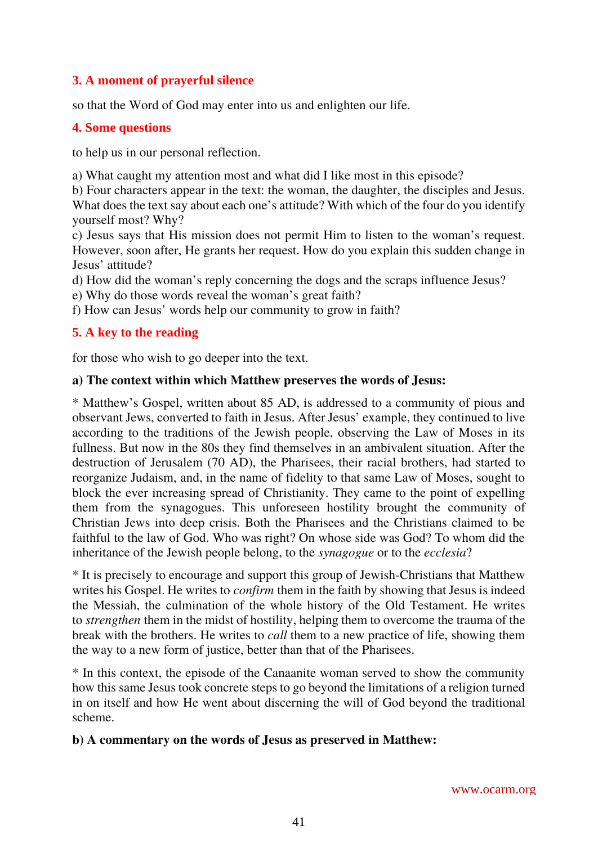# **3. A moment of prayerful silence**

so that the Word of God may enter into us and enlighten our life.

### **4. Some questions**

to help us in our personal reflection.

a) What caught my attention most and what did I like most in this episode?

b) Four characters appear in the text: the woman, the daughter, the disciples and Jesus. What does the text say about each one's attitude? With which of the four do you identify yourself most? Why?

c) Jesus says that His mission does not permit Him to listen to the woman's request. However, soon after, He grants her request. How do you explain this sudden change in Jesus' attitude?

d) How did the woman's reply concerning the dogs and the scraps influence Jesus?

e) Why do those words reveal the woman's great faith?

f) How can Jesus' words help our community to grow in faith?

## **5. A key to the reading**

for those who wish to go deeper into the text.

## **a) The context within which Matthew preserves the words of Jesus:**

\* Matthew's Gospel, written about 85 AD, is addressed to a community of pious and observant Jews, converted to faith in Jesus. After Jesus' example, they continued to live according to the traditions of the Jewish people, observing the Law of Moses in its fullness. But now in the 80s they find themselves in an ambivalent situation. After the destruction of Jerusalem (70 AD), the Pharisees, their racial brothers, had started to reorganize Judaism, and, in the name of fidelity to that same Law of Moses, sought to block the ever increasing spread of Christianity. They came to the point of expelling them from the synagogues. This unforeseen hostility brought the community of Christian Jews into deep crisis. Both the Pharisees and the Christians claimed to be faithful to the law of God. Who was right? On whose side was God? To whom did the inheritance of the Jewish people belong, to the *synagogue* or to the *ecclesia*?

\* It is precisely to encourage and support this group of Jewish-Christians that Matthew writes his Gospel. He writes to *confirm* them in the faith by showing that Jesus is indeed the Messiah, the culmination of the whole history of the Old Testament. He writes to *strengthen* them in the midst of hostility, helping them to overcome the trauma of the break with the brothers. He writes to *call* them to a new practice of life, showing them the way to a new form of justice, better than that of the Pharisees.

\* In this context, the episode of the Canaanite woman served to show the community how this same Jesus took concrete steps to go beyond the limitations of a religion turned in on itself and how He went about discerning the will of God beyond the traditional scheme.

## **b) A commentary on the words of Jesus as preserved in Matthew:**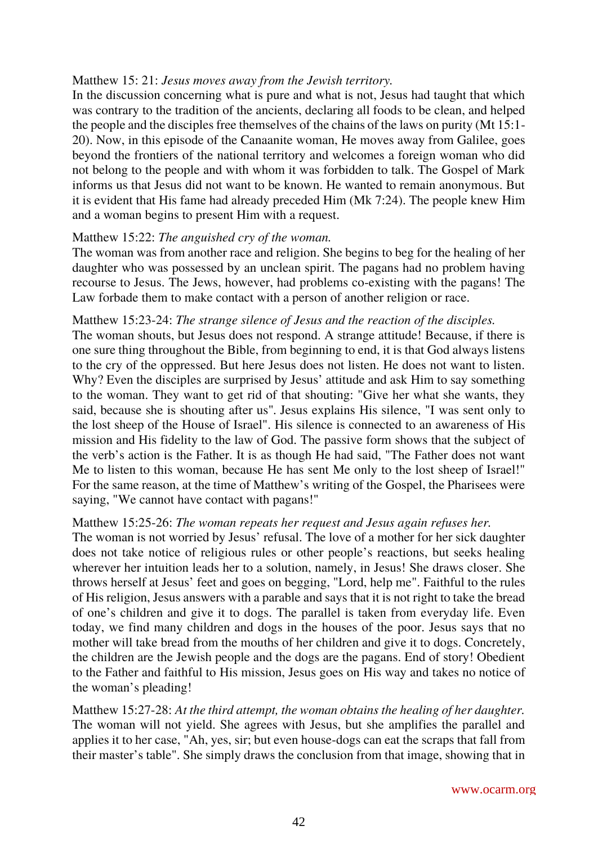### Matthew 15: 21: *Jesus moves away from the Jewish territory.*

In the discussion concerning what is pure and what is not, Jesus had taught that which was contrary to the tradition of the ancients, declaring all foods to be clean, and helped the people and the disciples free themselves of the chains of the laws on purity (Mt 15:1- 20). Now, in this episode of the Canaanite woman, He moves away from Galilee, goes beyond the frontiers of the national territory and welcomes a foreign woman who did not belong to the people and with whom it was forbidden to talk. The Gospel of Mark informs us that Jesus did not want to be known. He wanted to remain anonymous. But it is evident that His fame had already preceded Him (Mk 7:24). The people knew Him and a woman begins to present Him with a request.

#### Matthew 15:22: *The anguished cry of the woman.*

The woman was from another race and religion. She begins to beg for the healing of her daughter who was possessed by an unclean spirit. The pagans had no problem having recourse to Jesus. The Jews, however, had problems co-existing with the pagans! The Law forbade them to make contact with a person of another religion or race.

#### Matthew 15:23-24: *The strange silence of Jesus and the reaction of the disciples.*

The woman shouts, but Jesus does not respond. A strange attitude! Because, if there is one sure thing throughout the Bible, from beginning to end, it is that God always listens to the cry of the oppressed. But here Jesus does not listen. He does not want to listen. Why? Even the disciples are surprised by Jesus' attitude and ask Him to say something to the woman. They want to get rid of that shouting: "Give her what she wants, they said, because she is shouting after us"*.* Jesus explains His silence, "I was sent only to the lost sheep of the House of Israel". His silence is connected to an awareness of His mission and His fidelity to the law of God. The passive form shows that the subject of the verb's action is the Father. It is as though He had said, "The Father does not want Me to listen to this woman, because He has sent Me only to the lost sheep of Israel!" For the same reason, at the time of Matthew's writing of the Gospel, the Pharisees were saying, "We cannot have contact with pagans!"

#### Matthew 15:25-26: *The woman repeats her request and Jesus again refuses her.*

The woman is not worried by Jesus' refusal. The love of a mother for her sick daughter does not take notice of religious rules or other people's reactions, but seeks healing wherever her intuition leads her to a solution, namely, in Jesus! She draws closer. She throws herself at Jesus' feet and goes on begging, "Lord, help me". Faithful to the rules of His religion, Jesus answers with a parable and says that it is not right to take the bread of one's children and give it to dogs. The parallel is taken from everyday life. Even today, we find many children and dogs in the houses of the poor. Jesus says that no mother will take bread from the mouths of her children and give it to dogs. Concretely, the children are the Jewish people and the dogs are the pagans. End of story! Obedient to the Father and faithful to His mission, Jesus goes on His way and takes no notice of the woman's pleading!

Matthew 15:27-28: *At the third attempt, the woman obtains the healing of her daughter.* The woman will not yield. She agrees with Jesus, but she amplifies the parallel and applies it to her case, "Ah, yes, sir; but even house-dogs can eat the scraps that fall from their master's table". She simply draws the conclusion from that image, showing that in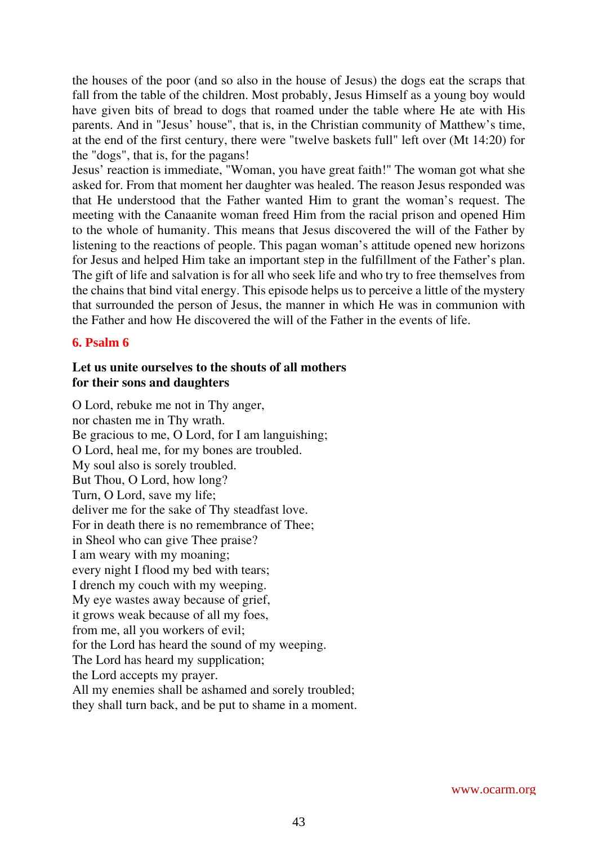the houses of the poor (and so also in the house of Jesus) the dogs eat the scraps that fall from the table of the children. Most probably, Jesus Himself as a young boy would have given bits of bread to dogs that roamed under the table where He ate with His parents. And in "Jesus' house", that is, in the Christian community of Matthew's time, at the end of the first century, there were "twelve baskets full" left over (Mt 14:20) for the "dogs", that is, for the pagans!

Jesus' reaction is immediate, "Woman, you have great faith!" The woman got what she asked for. From that moment her daughter was healed. The reason Jesus responded was that He understood that the Father wanted Him to grant the woman's request. The meeting with the Canaanite woman freed Him from the racial prison and opened Him to the whole of humanity. This means that Jesus discovered the will of the Father by listening to the reactions of people. This pagan woman's attitude opened new horizons for Jesus and helped Him take an important step in the fulfillment of the Father's plan. The gift of life and salvation is for all who seek life and who try to free themselves from the chains that bind vital energy. This episode helps us to perceive a little of the mystery that surrounded the person of Jesus, the manner in which He was in communion with the Father and how He discovered the will of the Father in the events of life.

#### **6. Psalm 6**

#### **Let us unite ourselves to the shouts of all mothers for their sons and daughters**

O Lord, rebuke me not in Thy anger, nor chasten me in Thy wrath. Be gracious to me, O Lord, for I am languishing; O Lord, heal me, for my bones are troubled. My soul also is sorely troubled. But Thou, O Lord, how long? Turn, O Lord, save my life; deliver me for the sake of Thy steadfast love. For in death there is no remembrance of Thee; in Sheol who can give Thee praise? I am weary with my moaning; every night I flood my bed with tears; I drench my couch with my weeping. My eye wastes away because of grief, it grows weak because of all my foes, from me, all you workers of evil; for the Lord has heard the sound of my weeping. The Lord has heard my supplication; the Lord accepts my prayer. All my enemies shall be ashamed and sorely troubled; they shall turn back, and be put to shame in a moment.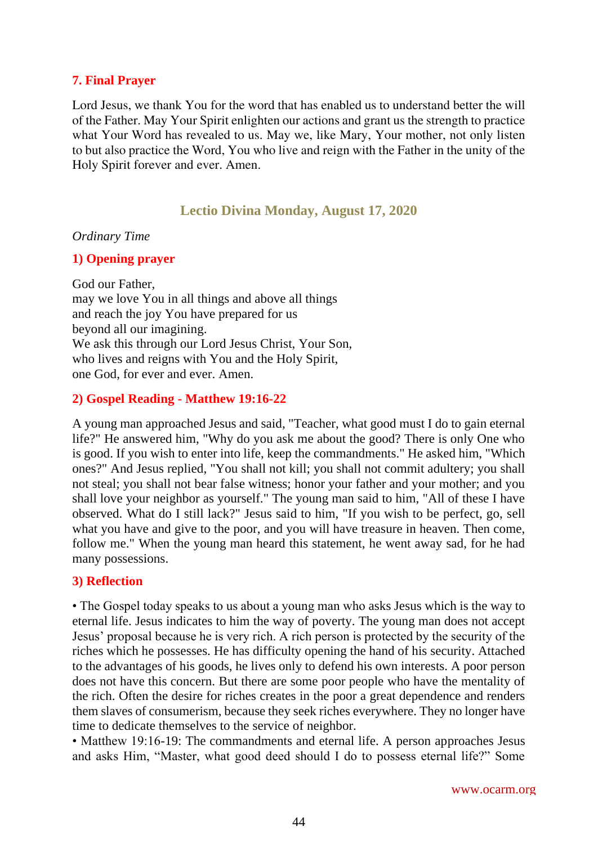### **7. Final Prayer**

Lord Jesus, we thank You for the word that has enabled us to understand better the will of the Father. May Your Spirit enlighten our actions and grant us the strength to practice what Your Word has revealed to us. May we, like Mary, Your mother, not only listen to but also practice the Word, You who live and reign with the Father in the unity of the Holy Spirit forever and ever. Amen.

## **Lectio Divina Monday, August 17, 2020**

#### *Ordinary Time*

### **1) Opening prayer**

God our Father, may we love You in all things and above all things and reach the joy You have prepared for us beyond all our imagining. We ask this through our Lord Jesus Christ, Your Son, who lives and reigns with You and the Holy Spirit, one God, for ever and ever. Amen.

## **2) Gospel Reading - Matthew 19:16-22**

A young man approached Jesus and said, "Teacher, what good must I do to gain eternal life?" He answered him, "Why do you ask me about the good? There is only One who is good. If you wish to enter into life, keep the commandments." He asked him, "Which ones?" And Jesus replied, "You shall not kill; you shall not commit adultery; you shall not steal; you shall not bear false witness; honor your father and your mother; and you shall love your neighbor as yourself." The young man said to him, "All of these I have observed. What do I still lack?" Jesus said to him, "If you wish to be perfect, go, sell what you have and give to the poor, and you will have treasure in heaven. Then come, follow me." When the young man heard this statement, he went away sad, for he had many possessions.

#### **3) Reflection**

• The Gospel today speaks to us about a young man who asks Jesus which is the way to eternal life. Jesus indicates to him the way of poverty. The young man does not accept Jesus' proposal because he is very rich. A rich person is protected by the security of the riches which he possesses. He has difficulty opening the hand of his security. Attached to the advantages of his goods, he lives only to defend his own interests. A poor person does not have this concern. But there are some poor people who have the mentality of the rich. Often the desire for riches creates in the poor a great dependence and renders them slaves of consumerism, because they seek riches everywhere. They no longer have time to dedicate themselves to the service of neighbor.

• Matthew 19:16-19: The commandments and eternal life. A person approaches Jesus and asks Him, "Master, what good deed should I do to possess eternal life?" Some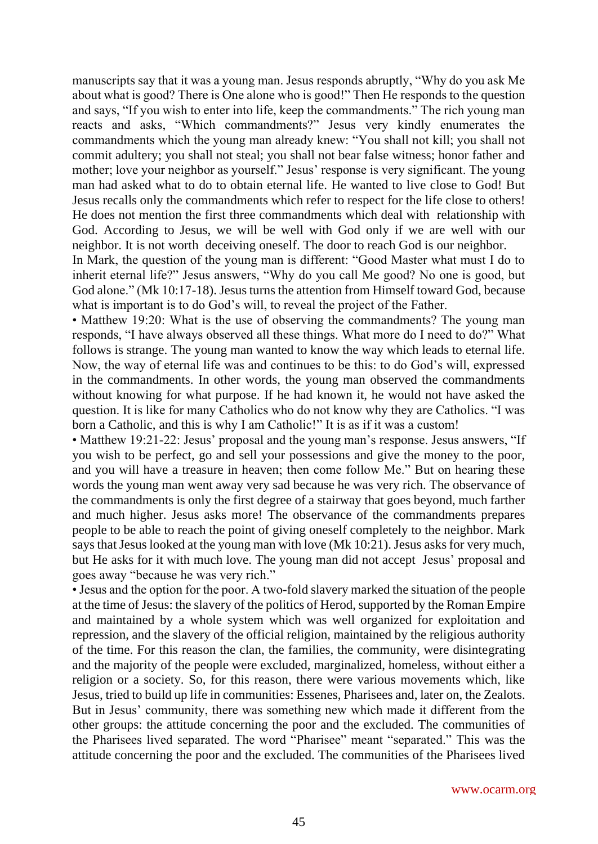manuscripts say that it was a young man. Jesus responds abruptly, "Why do you ask Me about what is good? There is One alone who is good!" Then He responds to the question and says, "If you wish to enter into life, keep the commandments." The rich young man reacts and asks, "Which commandments?" Jesus very kindly enumerates the commandments which the young man already knew: "You shall not kill; you shall not commit adultery; you shall not steal; you shall not bear false witness; honor father and mother; love your neighbor as yourself." Jesus' response is very significant. The young man had asked what to do to obtain eternal life. He wanted to live close to God! But Jesus recalls only the commandments which refer to respect for the life close to others! He does not mention the first three commandments which deal with relationship with God. According to Jesus, we will be well with God only if we are well with our neighbor. It is not worth deceiving oneself. The door to reach God is our neighbor.

In Mark, the question of the young man is different: "Good Master what must I do to inherit eternal life?" Jesus answers, "Why do you call Me good? No one is good, but God alone." (Mk 10:17-18). Jesus turns the attention from Himself toward God, because what is important is to do God's will, to reveal the project of the Father.

• Matthew 19:20: What is the use of observing the commandments? The young man responds, "I have always observed all these things. What more do I need to do?" What follows is strange. The young man wanted to know the way which leads to eternal life. Now, the way of eternal life was and continues to be this: to do God's will, expressed in the commandments. In other words, the young man observed the commandments without knowing for what purpose. If he had known it, he would not have asked the question. It is like for many Catholics who do not know why they are Catholics. "I was born a Catholic, and this is why I am Catholic!" It is as if it was a custom!

• Matthew 19:21-22: Jesus' proposal and the young man's response. Jesus answers, "If you wish to be perfect, go and sell your possessions and give the money to the poor, and you will have a treasure in heaven; then come follow Me." But on hearing these words the young man went away very sad because he was very rich. The observance of the commandments is only the first degree of a stairway that goes beyond, much farther and much higher. Jesus asks more! The observance of the commandments prepares people to be able to reach the point of giving oneself completely to the neighbor. Mark says that Jesus looked at the young man with love (Mk 10:21). Jesus asks for very much, but He asks for it with much love. The young man did not accept Jesus' proposal and goes away "because he was very rich."

• Jesus and the option for the poor. A two-fold slavery marked the situation of the people at the time of Jesus: the slavery of the politics of Herod, supported by the Roman Empire and maintained by a whole system which was well organized for exploitation and repression, and the slavery of the official religion, maintained by the religious authority of the time. For this reason the clan, the families, the community, were disintegrating and the majority of the people were excluded, marginalized, homeless, without either a religion or a society. So, for this reason, there were various movements which, like Jesus, tried to build up life in communities: Essenes, Pharisees and, later on, the Zealots. But in Jesus' community, there was something new which made it different from the other groups: the attitude concerning the poor and the excluded. The communities of the Pharisees lived separated. The word "Pharisee" meant "separated." This was the attitude concerning the poor and the excluded. The communities of the Pharisees lived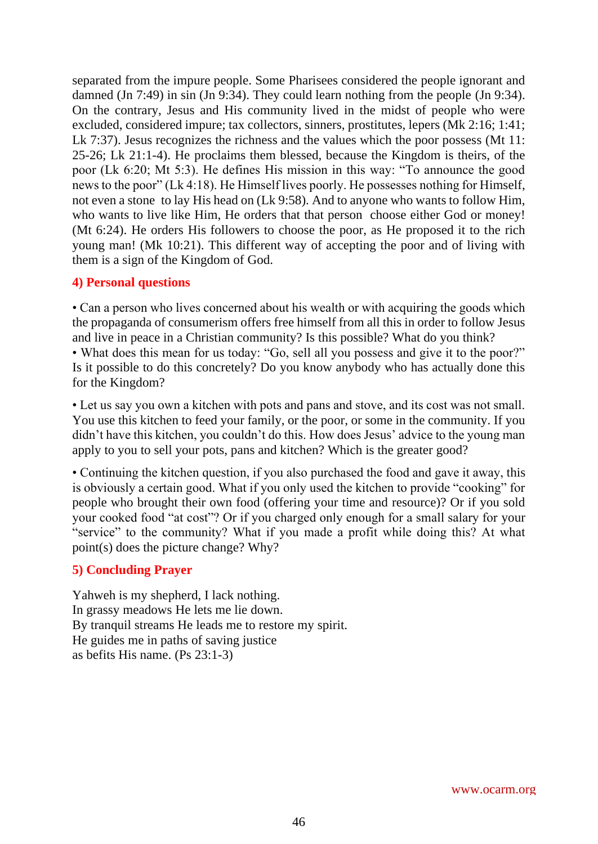separated from the impure people. Some Pharisees considered the people ignorant and damned (Jn 7:49) in sin (Jn 9:34). They could learn nothing from the people (Jn 9:34). On the contrary, Jesus and His community lived in the midst of people who were excluded, considered impure; tax collectors, sinners, prostitutes, lepers (Mk 2:16; 1:41; Lk 7:37). Jesus recognizes the richness and the values which the poor possess (Mt 11: 25-26; Lk 21:1-4). He proclaims them blessed, because the Kingdom is theirs, of the poor (Lk 6:20; Mt 5:3). He defines His mission in this way: "To announce the good news to the poor" (Lk 4:18). He Himself lives poorly. He possesses nothing for Himself, not even a stone to lay His head on (Lk 9:58). And to anyone who wants to follow Him, who wants to live like Him, He orders that that person choose either God or money! (Mt 6:24). He orders His followers to choose the poor, as He proposed it to the rich young man! (Mk 10:21). This different way of accepting the poor and of living with them is a sign of the Kingdom of God.

#### **4) Personal questions**

• Can a person who lives concerned about his wealth or with acquiring the goods which the propaganda of consumerism offers free himself from all this in order to follow Jesus and live in peace in a Christian community? Is this possible? What do you think? • What does this mean for us today: "Go, sell all you possess and give it to the poor?" Is it possible to do this concretely? Do you know anybody who has actually done this for the Kingdom?

• Let us say you own a kitchen with pots and pans and stove, and its cost was not small. You use this kitchen to feed your family, or the poor, or some in the community. If you didn't have this kitchen, you couldn't do this. How does Jesus' advice to the young man apply to you to sell your pots, pans and kitchen? Which is the greater good?

• Continuing the kitchen question, if you also purchased the food and gave it away, this is obviously a certain good. What if you only used the kitchen to provide "cooking" for people who brought their own food (offering your time and resource)? Or if you sold your cooked food "at cost"? Or if you charged only enough for a small salary for your "service" to the community? What if you made a profit while doing this? At what point(s) does the picture change? Why?

## **5) Concluding Prayer**

Yahweh is my shepherd, I lack nothing. In grassy meadows He lets me lie down. By tranquil streams He leads me to restore my spirit. He guides me in paths of saving justice as befits His name. (Ps 23:1-3)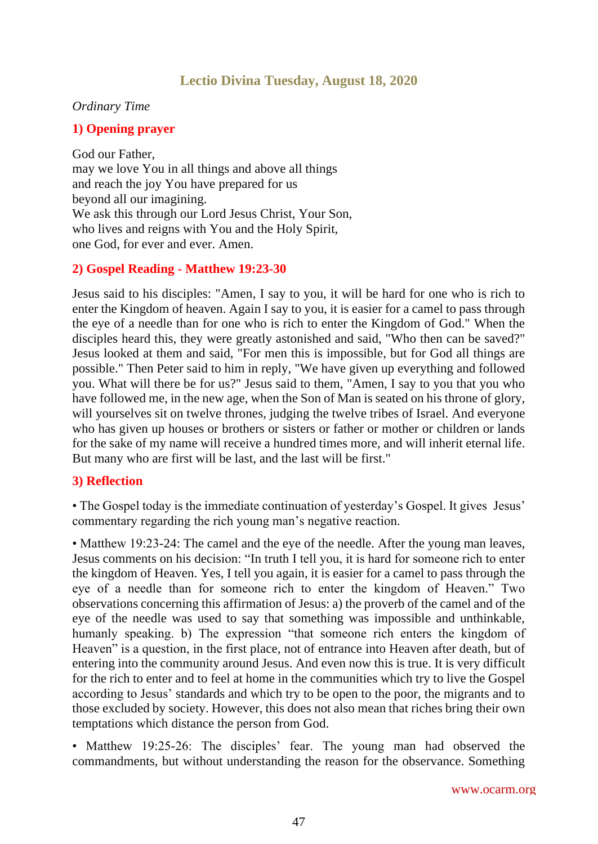## **Lectio Divina Tuesday, August 18, 2020**

#### *Ordinary Time*

### **1) Opening prayer**

God our Father, may we love You in all things and above all things and reach the joy You have prepared for us beyond all our imagining. We ask this through our Lord Jesus Christ, Your Son, who lives and reigns with You and the Holy Spirit, one God, for ever and ever. Amen.

#### **2) Gospel Reading - Matthew 19:23-30**

Jesus said to his disciples: "Amen, I say to you, it will be hard for one who is rich to enter the Kingdom of heaven. Again I say to you, it is easier for a camel to pass through the eye of a needle than for one who is rich to enter the Kingdom of God." When the disciples heard this, they were greatly astonished and said, "Who then can be saved?" Jesus looked at them and said, "For men this is impossible, but for God all things are possible." Then Peter said to him in reply, "We have given up everything and followed you. What will there be for us?" Jesus said to them, "Amen, I say to you that you who have followed me, in the new age, when the Son of Man is seated on his throne of glory, will yourselves sit on twelve thrones, judging the twelve tribes of Israel. And everyone who has given up houses or brothers or sisters or father or mother or children or lands for the sake of my name will receive a hundred times more, and will inherit eternal life. But many who are first will be last, and the last will be first."

#### **3) Reflection**

• The Gospel today is the immediate continuation of yesterday's Gospel. It gives Jesus' commentary regarding the rich young man's negative reaction.

• Matthew 19:23-24: The camel and the eye of the needle. After the young man leaves, Jesus comments on his decision: "In truth I tell you, it is hard for someone rich to enter the kingdom of Heaven. Yes, I tell you again, it is easier for a camel to pass through the eye of a needle than for someone rich to enter the kingdom of Heaven." Two observations concerning this affirmation of Jesus: a) the proverb of the camel and of the eye of the needle was used to say that something was impossible and unthinkable, humanly speaking. b) The expression "that someone rich enters the kingdom of Heaven" is a question, in the first place, not of entrance into Heaven after death, but of entering into the community around Jesus. And even now this is true. It is very difficult for the rich to enter and to feel at home in the communities which try to live the Gospel according to Jesus' standards and which try to be open to the poor, the migrants and to those excluded by society. However, this does not also mean that riches bring their own temptations which distance the person from God.

• Matthew 19:25-26: The disciples' fear. The young man had observed the commandments, but without understanding the reason for the observance. Something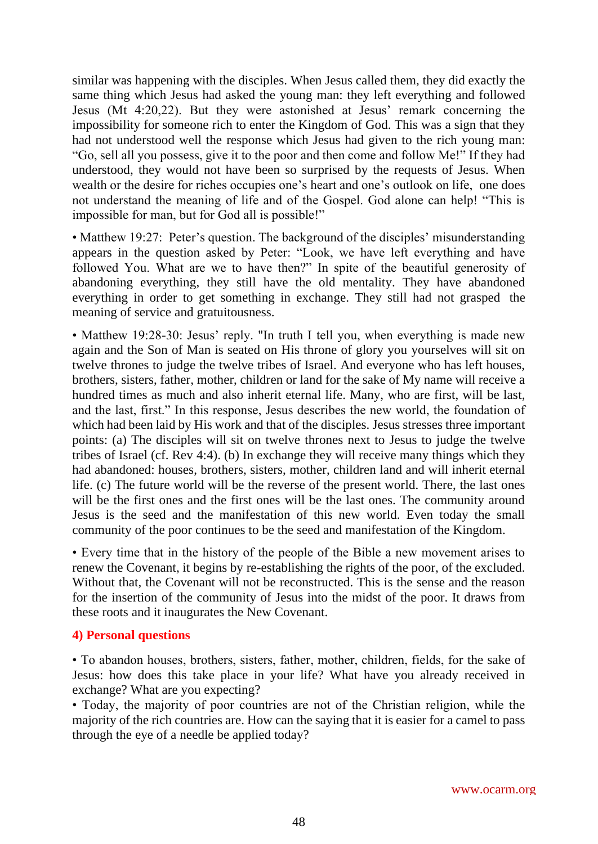similar was happening with the disciples. When Jesus called them, they did exactly the same thing which Jesus had asked the young man: they left everything and followed Jesus (Mt 4:20,22). But they were astonished at Jesus' remark concerning the impossibility for someone rich to enter the Kingdom of God. This was a sign that they had not understood well the response which Jesus had given to the rich young man: "Go, sell all you possess, give it to the poor and then come and follow Me!" If they had understood, they would not have been so surprised by the requests of Jesus. When wealth or the desire for riches occupies one's heart and one's outlook on life, one does not understand the meaning of life and of the Gospel. God alone can help! "This is impossible for man, but for God all is possible!"

• Matthew 19:27: Peter's question. The background of the disciples' misunderstanding appears in the question asked by Peter: "Look, we have left everything and have followed You. What are we to have then?" In spite of the beautiful generosity of abandoning everything, they still have the old mentality. They have abandoned everything in order to get something in exchange. They still had not grasped the meaning of service and gratuitousness.

• Matthew 19:28-30: Jesus' reply. "In truth I tell you, when everything is made new again and the Son of Man is seated on His throne of glory you yourselves will sit on twelve thrones to judge the twelve tribes of Israel. And everyone who has left houses, brothers, sisters, father, mother, children or land for the sake of My name will receive a hundred times as much and also inherit eternal life. Many, who are first, will be last, and the last, first." In this response, Jesus describes the new world, the foundation of which had been laid by His work and that of the disciples. Jesus stresses three important points: (a) The disciples will sit on twelve thrones next to Jesus to judge the twelve tribes of Israel (cf. Rev 4:4). (b) In exchange they will receive many things which they had abandoned: houses, brothers, sisters, mother, children land and will inherit eternal life. (c) The future world will be the reverse of the present world. There, the last ones will be the first ones and the first ones will be the last ones. The community around Jesus is the seed and the manifestation of this new world. Even today the small community of the poor continues to be the seed and manifestation of the Kingdom.

• Every time that in the history of the people of the Bible a new movement arises to renew the Covenant, it begins by re-establishing the rights of the poor, of the excluded. Without that, the Covenant will not be reconstructed. This is the sense and the reason for the insertion of the community of Jesus into the midst of the poor. It draws from these roots and it inaugurates the New Covenant.

#### **4) Personal questions**

• To abandon houses, brothers, sisters, father, mother, children, fields, for the sake of Jesus: how does this take place in your life? What have you already received in exchange? What are you expecting?

• Today, the majority of poor countries are not of the Christian religion, while the majority of the rich countries are. How can the saying that it is easier for a camel to pass through the eye of a needle be applied today?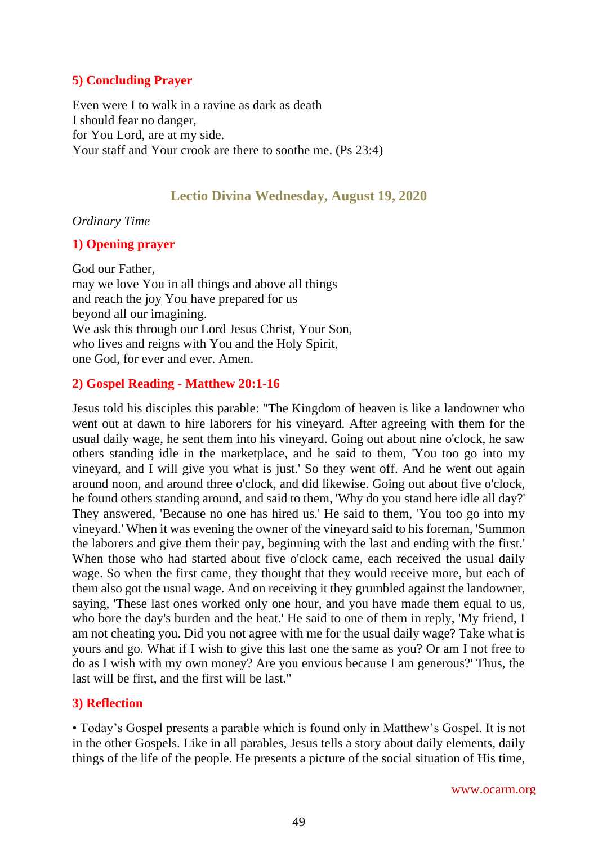## **5) Concluding Prayer**

Even were I to walk in a ravine as dark as death I should fear no danger, for You Lord, are at my side. Your staff and Your crook are there to soothe me. (Ps 23:4)

## **Lectio Divina Wednesday, August 19, 2020**

#### *Ordinary Time*

### **1) Opening prayer**

God our Father, may we love You in all things and above all things and reach the joy You have prepared for us beyond all our imagining. We ask this through our Lord Jesus Christ, Your Son, who lives and reigns with You and the Holy Spirit, one God, for ever and ever. Amen.

### **2) Gospel Reading - Matthew 20:1-16**

Jesus told his disciples this parable: "The Kingdom of heaven is like a landowner who went out at dawn to hire laborers for his vineyard. After agreeing with them for the usual daily wage, he sent them into his vineyard. Going out about nine o'clock, he saw others standing idle in the marketplace, and he said to them, 'You too go into my vineyard, and I will give you what is just.' So they went off. And he went out again around noon, and around three o'clock, and did likewise. Going out about five o'clock, he found others standing around, and said to them, 'Why do you stand here idle all day?' They answered, 'Because no one has hired us.' He said to them, 'You too go into my vineyard.' When it was evening the owner of the vineyard said to his foreman, 'Summon the laborers and give them their pay, beginning with the last and ending with the first.' When those who had started about five o'clock came, each received the usual daily wage. So when the first came, they thought that they would receive more, but each of them also got the usual wage. And on receiving it they grumbled against the landowner, saying, 'These last ones worked only one hour, and you have made them equal to us, who bore the day's burden and the heat.' He said to one of them in reply, 'My friend, I am not cheating you. Did you not agree with me for the usual daily wage? Take what is yours and go. What if I wish to give this last one the same as you? Or am I not free to do as I wish with my own money? Are you envious because I am generous?' Thus, the last will be first, and the first will be last."

#### **3) Reflection**

• Today's Gospel presents a parable which is found only in Matthew's Gospel. It is not in the other Gospels. Like in all parables, Jesus tells a story about daily elements, daily things of the life of the people. He presents a picture of the social situation of His time,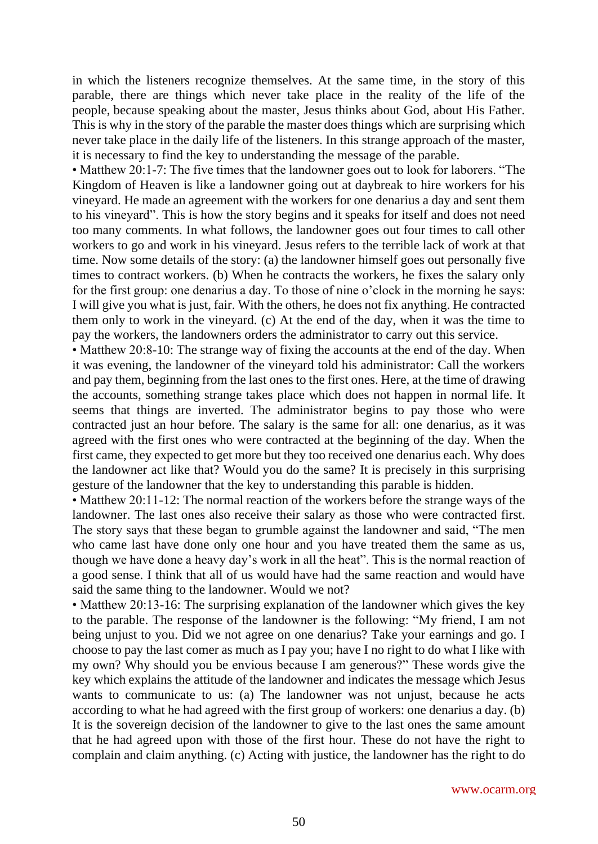in which the listeners recognize themselves. At the same time, in the story of this parable, there are things which never take place in the reality of the life of the people, because speaking about the master, Jesus thinks about God, about His Father. This is why in the story of the parable the master does things which are surprising which never take place in the daily life of the listeners. In this strange approach of the master, it is necessary to find the key to understanding the message of the parable.

• Matthew 20:1-7: The five times that the landowner goes out to look for laborers. "The Kingdom of Heaven is like a landowner going out at daybreak to hire workers for his vineyard. He made an agreement with the workers for one denarius a day and sent them to his vineyard". This is how the story begins and it speaks for itself and does not need too many comments. In what follows, the landowner goes out four times to call other workers to go and work in his vineyard. Jesus refers to the terrible lack of work at that time. Now some details of the story: (a) the landowner himself goes out personally five times to contract workers. (b) When he contracts the workers, he fixes the salary only for the first group: one denarius a day. To those of nine o'clock in the morning he says: I will give you what is just, fair. With the others, he does not fix anything. He contracted them only to work in the vineyard. (c) At the end of the day, when it was the time to pay the workers, the landowners orders the administrator to carry out this service.

• Matthew 20:8-10: The strange way of fixing the accounts at the end of the day. When it was evening, the landowner of the vineyard told his administrator: Call the workers and pay them, beginning from the last ones to the first ones. Here, at the time of drawing the accounts, something strange takes place which does not happen in normal life. It seems that things are inverted. The administrator begins to pay those who were contracted just an hour before. The salary is the same for all: one denarius, as it was agreed with the first ones who were contracted at the beginning of the day. When the first came, they expected to get more but they too received one denarius each. Why does the landowner act like that? Would you do the same? It is precisely in this surprising gesture of the landowner that the key to understanding this parable is hidden.

• Matthew 20:11-12: The normal reaction of the workers before the strange ways of the landowner. The last ones also receive their salary as those who were contracted first. The story says that these began to grumble against the landowner and said, "The men who came last have done only one hour and you have treated them the same as us, though we have done a heavy day's work in all the heat". This is the normal reaction of a good sense. I think that all of us would have had the same reaction and would have said the same thing to the landowner. Would we not?

• Matthew 20:13-16: The surprising explanation of the landowner which gives the key to the parable. The response of the landowner is the following: "My friend, I am not being unjust to you. Did we not agree on one denarius? Take your earnings and go. I choose to pay the last comer as much as I pay you; have I no right to do what I like with my own? Why should you be envious because I am generous?" These words give the key which explains the attitude of the landowner and indicates the message which Jesus wants to communicate to us: (a) The landowner was not unjust, because he acts according to what he had agreed with the first group of workers: one denarius a day. (b) It is the sovereign decision of the landowner to give to the last ones the same amount that he had agreed upon with those of the first hour. These do not have the right to complain and claim anything. (c) Acting with justice, the landowner has the right to do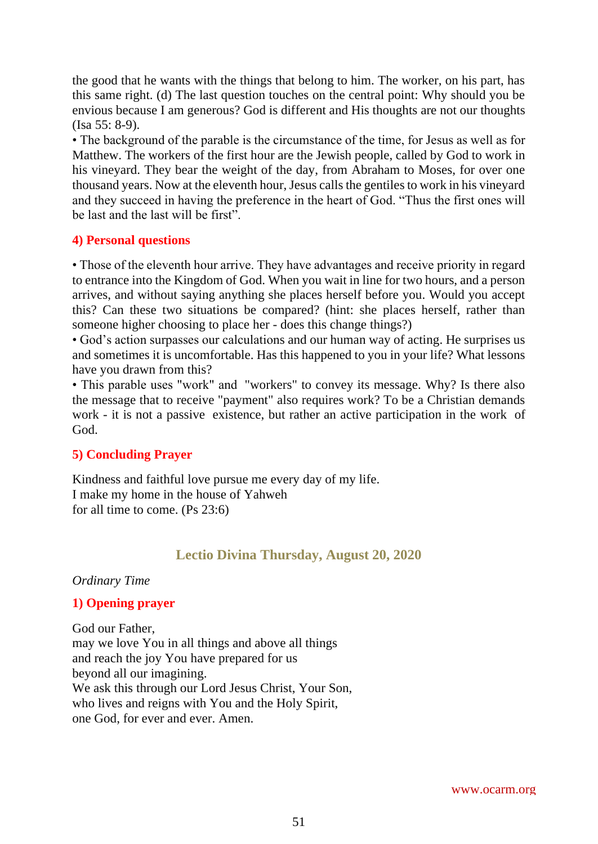the good that he wants with the things that belong to him. The worker, on his part, has this same right. (d) The last question touches on the central point: Why should you be envious because I am generous? God is different and His thoughts are not our thoughts (Isa 55: 8-9).

• The background of the parable is the circumstance of the time, for Jesus as well as for Matthew. The workers of the first hour are the Jewish people, called by God to work in his vineyard. They bear the weight of the day, from Abraham to Moses, for over one thousand years. Now at the eleventh hour, Jesus calls the gentiles to work in his vineyard and they succeed in having the preference in the heart of God. "Thus the first ones will be last and the last will be first".

#### **4) Personal questions**

• Those of the eleventh hour arrive. They have advantages and receive priority in regard to entrance into the Kingdom of God. When you wait in line for two hours, and a person arrives, and without saying anything she places herself before you. Would you accept this? Can these two situations be compared? (hint: she places herself, rather than someone higher choosing to place her - does this change things?)

• God's action surpasses our calculations and our human way of acting. He surprises us and sometimes it is uncomfortable. Has this happened to you in your life? What lessons have you drawn from this?

• This parable uses "work" and "workers" to convey its message. Why? Is there also the message that to receive "payment" also requires work? To be a Christian demands work - it is not a passive existence, but rather an active participation in the work of God.

## **5) Concluding Prayer**

Kindness and faithful love pursue me every day of my life. I make my home in the house of Yahweh for all time to come. (Ps 23:6)

## **Lectio Divina Thursday, August 20, 2020**

#### *Ordinary Time*

## **1) Opening prayer**

God our Father, may we love You in all things and above all things and reach the joy You have prepared for us beyond all our imagining. We ask this through our Lord Jesus Christ, Your Son, who lives and reigns with You and the Holy Spirit, one God, for ever and ever. Amen.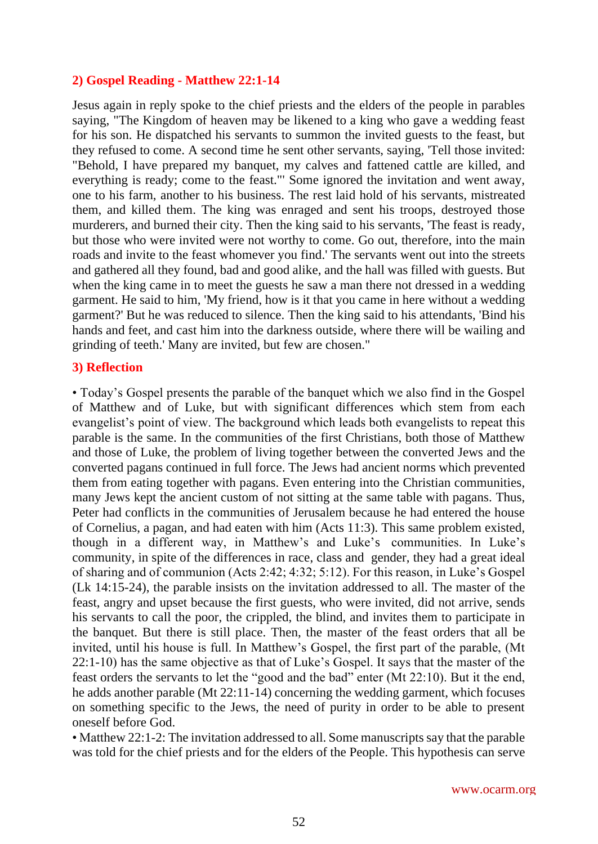## **2) Gospel Reading - Matthew 22:1-14**

Jesus again in reply spoke to the chief priests and the elders of the people in parables saying, "The Kingdom of heaven may be likened to a king who gave a wedding feast for his son. He dispatched his servants to summon the invited guests to the feast, but they refused to come. A second time he sent other servants, saying, 'Tell those invited: "Behold, I have prepared my banquet, my calves and fattened cattle are killed, and everything is ready; come to the feast."' Some ignored the invitation and went away, one to his farm, another to his business. The rest laid hold of his servants, mistreated them, and killed them. The king was enraged and sent his troops, destroyed those murderers, and burned their city. Then the king said to his servants, 'The feast is ready, but those who were invited were not worthy to come. Go out, therefore, into the main roads and invite to the feast whomever you find.' The servants went out into the streets and gathered all they found, bad and good alike, and the hall was filled with guests. But when the king came in to meet the guests he saw a man there not dressed in a wedding garment. He said to him, 'My friend, how is it that you came in here without a wedding garment?' But he was reduced to silence. Then the king said to his attendants, 'Bind his hands and feet, and cast him into the darkness outside, where there will be wailing and grinding of teeth.' Many are invited, but few are chosen."

### **3) Reflection**

• Today's Gospel presents the parable of the banquet which we also find in the Gospel of Matthew and of Luke, but with significant differences which stem from each evangelist's point of view. The background which leads both evangelists to repeat this parable is the same. In the communities of the first Christians, both those of Matthew and those of Luke, the problem of living together between the converted Jews and the converted pagans continued in full force. The Jews had ancient norms which prevented them from eating together with pagans. Even entering into the Christian communities, many Jews kept the ancient custom of not sitting at the same table with pagans. Thus, Peter had conflicts in the communities of Jerusalem because he had entered the house of Cornelius, a pagan, and had eaten with him (Acts 11:3). This same problem existed, though in a different way, in Matthew's and Luke's communities. In Luke's community, in spite of the differences in race, class and gender, they had a great ideal of sharing and of communion (Acts 2:42; 4:32; 5:12). For this reason, in Luke's Gospel (Lk 14:15-24), the parable insists on the invitation addressed to all. The master of the feast, angry and upset because the first guests, who were invited, did not arrive, sends his servants to call the poor, the crippled, the blind, and invites them to participate in the banquet. But there is still place. Then, the master of the feast orders that all be invited, until his house is full. In Matthew's Gospel, the first part of the parable, (Mt 22:1-10) has the same objective as that of Luke's Gospel. It says that the master of the feast orders the servants to let the "good and the bad" enter (Mt 22:10). But it the end, he adds another parable (Mt 22:11-14) concerning the wedding garment, which focuses on something specific to the Jews, the need of purity in order to be able to present oneself before God.

• Matthew 22:1-2: The invitation addressed to all. Some manuscripts say that the parable was told for the chief priests and for the elders of the People. This hypothesis can serve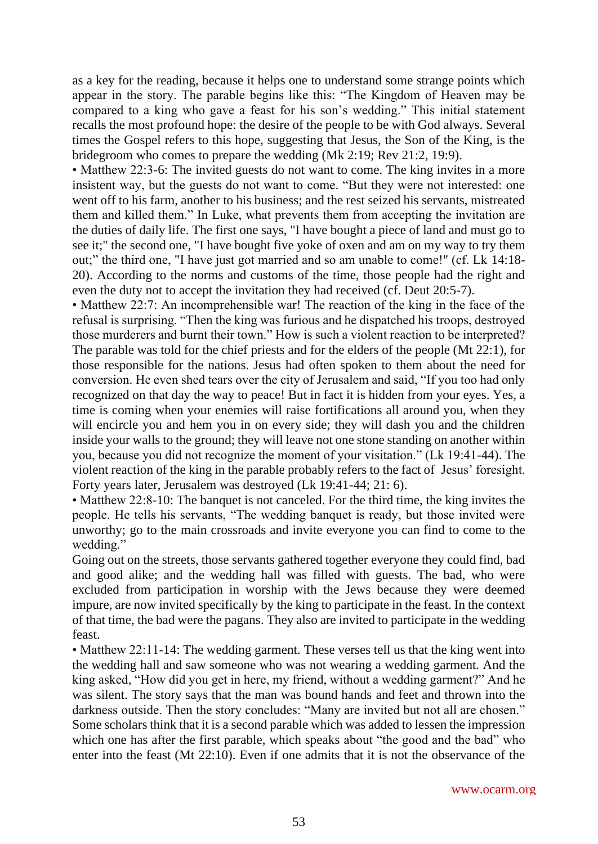as a key for the reading, because it helps one to understand some strange points which appear in the story. The parable begins like this: "The Kingdom of Heaven may be compared to a king who gave a feast for his son's wedding." This initial statement recalls the most profound hope: the desire of the people to be with God always. Several times the Gospel refers to this hope, suggesting that Jesus, the Son of the King, is the bridegroom who comes to prepare the wedding (Mk 2:19; Rev 21:2, 19:9).

• Matthew 22:3-6: The invited guests do not want to come. The king invites in a more insistent way, but the guests do not want to come. "But they were not interested: one went off to his farm, another to his business; and the rest seized his servants, mistreated them and killed them." In Luke, what prevents them from accepting the invitation are the duties of daily life. The first one says, "I have bought a piece of land and must go to see it;" the second one, "I have bought five yoke of oxen and am on my way to try them out;" the third one, "I have just got married and so am unable to come!" (cf. Lk 14:18- 20). According to the norms and customs of the time, those people had the right and even the duty not to accept the invitation they had received (cf. Deut 20:5-7).

• Matthew 22:7: An incomprehensible war! The reaction of the king in the face of the refusal is surprising. "Then the king was furious and he dispatched his troops, destroyed those murderers and burnt their town." How is such a violent reaction to be interpreted? The parable was told for the chief priests and for the elders of the people (Mt 22:1), for those responsible for the nations. Jesus had often spoken to them about the need for conversion. He even shed tears over the city of Jerusalem and said, "If you too had only recognized on that day the way to peace! But in fact it is hidden from your eyes. Yes, a time is coming when your enemies will raise fortifications all around you, when they will encircle you and hem you in on every side; they will dash you and the children inside your walls to the ground; they will leave not one stone standing on another within you, because you did not recognize the moment of your visitation." (Lk 19:41-44). The violent reaction of the king in the parable probably refers to the fact of Jesus' foresight. Forty years later, Jerusalem was destroyed (Lk 19:41-44; 21: 6).

• Matthew 22:8-10: The banquet is not canceled. For the third time, the king invites the people. He tells his servants, "The wedding banquet is ready, but those invited were unworthy; go to the main crossroads and invite everyone you can find to come to the wedding."

Going out on the streets, those servants gathered together everyone they could find, bad and good alike; and the wedding hall was filled with guests. The bad, who were excluded from participation in worship with the Jews because they were deemed impure, are now invited specifically by the king to participate in the feast. In the context of that time, the bad were the pagans. They also are invited to participate in the wedding feast.

• Matthew 22:11-14: The wedding garment. These verses tell us that the king went into the wedding hall and saw someone who was not wearing a wedding garment. And the king asked, "How did you get in here, my friend, without a wedding garment?" And he was silent. The story says that the man was bound hands and feet and thrown into the darkness outside. Then the story concludes: "Many are invited but not all are chosen." Some scholars think that it is a second parable which was added to lessen the impression which one has after the first parable, which speaks about "the good and the bad" who enter into the feast (Mt 22:10). Even if one admits that it is not the observance of the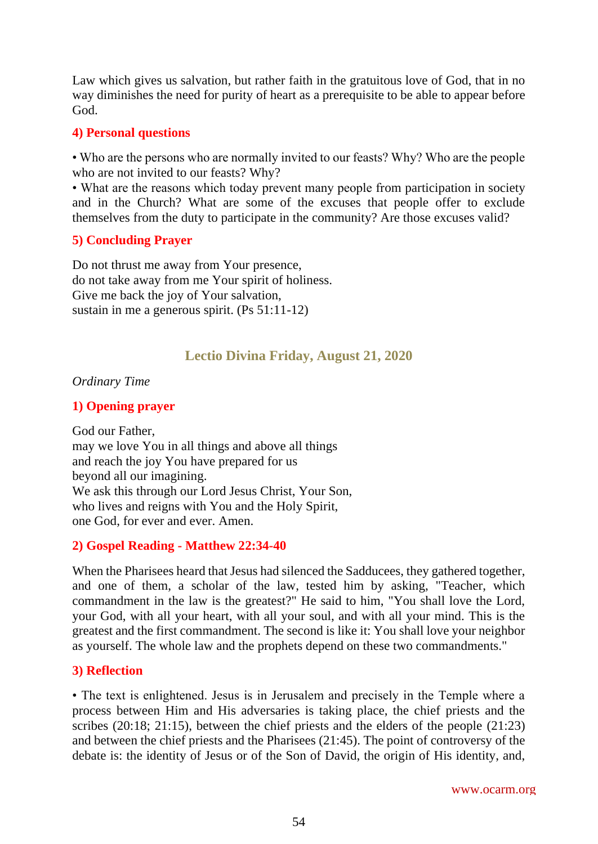Law which gives us salvation, but rather faith in the gratuitous love of God, that in no way diminishes the need for purity of heart as a prerequisite to be able to appear before God.

#### **4) Personal questions**

• Who are the persons who are normally invited to our feasts? Why? Who are the people who are not invited to our feasts? Why?

• What are the reasons which today prevent many people from participation in society and in the Church? What are some of the excuses that people offer to exclude themselves from the duty to participate in the community? Are those excuses valid?

### **5) Concluding Prayer**

Do not thrust me away from Your presence, do not take away from me Your spirit of holiness. Give me back the joy of Your salvation, sustain in me a generous spirit. (Ps 51:11-12)

## **Lectio Divina Friday, August 21, 2020**

*Ordinary Time*

### **1) Opening prayer**

God our Father, may we love You in all things and above all things and reach the joy You have prepared for us beyond all our imagining. We ask this through our Lord Jesus Christ, Your Son, who lives and reigns with You and the Holy Spirit, one God, for ever and ever. Amen.

#### **2) Gospel Reading - Matthew 22:34-40**

When the Pharisees heard that Jesus had silenced the Sadducees, they gathered together, and one of them, a scholar of the law, tested him by asking, "Teacher, which commandment in the law is the greatest?" He said to him, "You shall love the Lord, your God, with all your heart, with all your soul, and with all your mind. This is the greatest and the first commandment. The second is like it: You shall love your neighbor as yourself. The whole law and the prophets depend on these two commandments."

#### **3) Reflection**

• The text is enlightened. Jesus is in Jerusalem and precisely in the Temple where a process between Him and His adversaries is taking place, the chief priests and the scribes (20:18; 21:15), between the chief priests and the elders of the people (21:23) and between the chief priests and the Pharisees (21:45). The point of controversy of the debate is: the identity of Jesus or of the Son of David, the origin of His identity, and,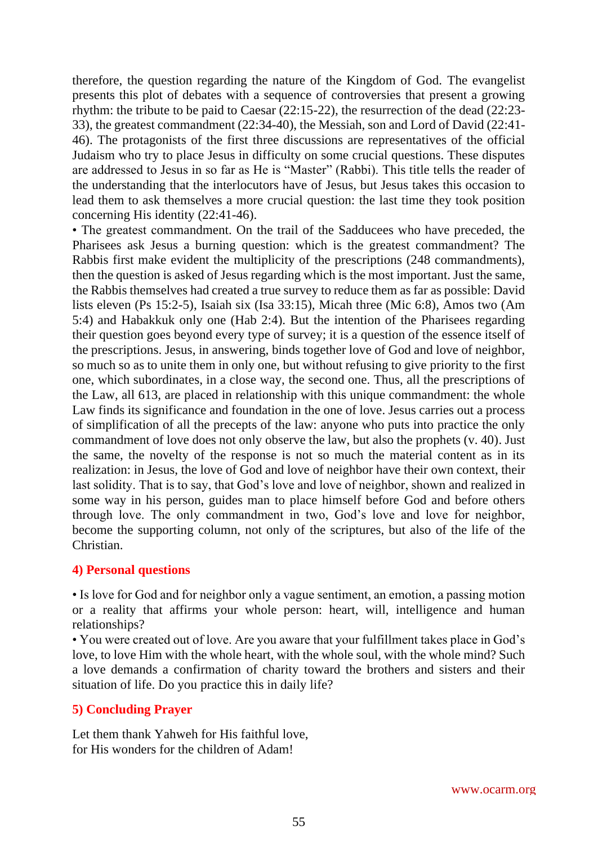therefore, the question regarding the nature of the Kingdom of God. The evangelist presents this plot of debates with a sequence of controversies that present a growing rhythm: the tribute to be paid to Caesar (22:15-22), the resurrection of the dead (22:23- 33), the greatest commandment (22:34-40), the Messiah, son and Lord of David (22:41- 46). The protagonists of the first three discussions are representatives of the official Judaism who try to place Jesus in difficulty on some crucial questions. These disputes are addressed to Jesus in so far as He is "Master" (Rabbi). This title tells the reader of the understanding that the interlocutors have of Jesus, but Jesus takes this occasion to lead them to ask themselves a more crucial question: the last time they took position concerning His identity (22:41-46).

• The greatest commandment. On the trail of the Sadducees who have preceded, the Pharisees ask Jesus a burning question: which is the greatest commandment? The Rabbis first make evident the multiplicity of the prescriptions (248 commandments), then the question is asked of Jesus regarding which is the most important. Just the same, the Rabbis themselves had created a true survey to reduce them as far as possible: David lists eleven (Ps 15:2-5), Isaiah six (Isa 33:15), Micah three (Mic 6:8), Amos two (Am 5:4) and Habakkuk only one (Hab 2:4). But the intention of the Pharisees regarding their question goes beyond every type of survey; it is a question of the essence itself of the prescriptions. Jesus, in answering, binds together love of God and love of neighbor, so much so as to unite them in only one, but without refusing to give priority to the first one, which subordinates, in a close way, the second one. Thus, all the prescriptions of the Law, all 613, are placed in relationship with this unique commandment: the whole Law finds its significance and foundation in the one of love. Jesus carries out a process of simplification of all the precepts of the law: anyone who puts into practice the only commandment of love does not only observe the law, but also the prophets (v. 40). Just the same, the novelty of the response is not so much the material content as in its realization: in Jesus, the love of God and love of neighbor have their own context, their last solidity. That is to say, that God's love and love of neighbor, shown and realized in some way in his person, guides man to place himself before God and before others through love. The only commandment in two, God's love and love for neighbor, become the supporting column, not only of the scriptures, but also of the life of the Christian.

#### **4) Personal questions**

• Is love for God and for neighbor only a vague sentiment, an emotion, a passing motion or a reality that affirms your whole person: heart, will, intelligence and human relationships?

• You were created out of love. Are you aware that your fulfillment takes place in God's love, to love Him with the whole heart, with the whole soul, with the whole mind? Such a love demands a confirmation of charity toward the brothers and sisters and their situation of life. Do you practice this in daily life?

## **5) Concluding Prayer**

Let them thank Yahweh for His faithful love, for His wonders for the children of Adam!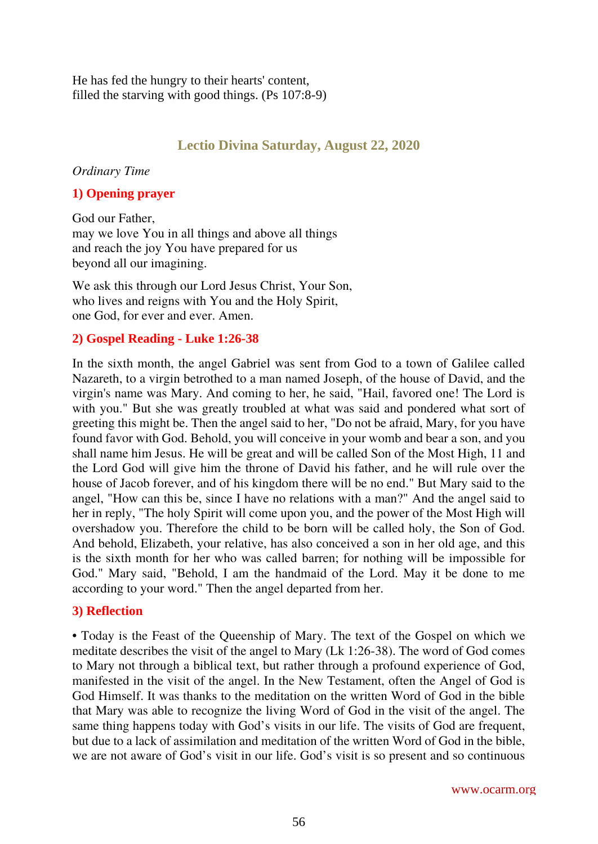He has fed the hungry to their hearts' content, filled the starving with good things. (Ps 107:8-9)

## **Lectio Divina Saturday, August 22, 2020**

#### *Ordinary Time*

### **1) Opening prayer**

God our Father, may we love You in all things and above all things and reach the joy You have prepared for us beyond all our imagining.

We ask this through our Lord Jesus Christ, Your Son, who lives and reigns with You and the Holy Spirit, one God, for ever and ever. Amen.

## **2) Gospel Reading - Luke 1:26-38**

In the sixth month, the angel Gabriel was sent from God to a town of Galilee called Nazareth, to a virgin betrothed to a man named Joseph, of the house of David, and the virgin's name was Mary. And coming to her, he said, "Hail, favored one! The Lord is with you." But she was greatly troubled at what was said and pondered what sort of greeting this might be. Then the angel said to her, "Do not be afraid, Mary, for you have found favor with God. Behold, you will conceive in your womb and bear a son, and you shall name him Jesus. He will be great and will be called Son of the Most High, 11 and the Lord God will give him the throne of David his father, and he will rule over the house of Jacob forever, and of his kingdom there will be no end." But Mary said to the angel, "How can this be, since I have no relations with a man?" And the angel said to her in reply, "The holy Spirit will come upon you, and the power of the Most High will overshadow you. Therefore the child to be born will be called holy, the Son of God. And behold, Elizabeth, your relative, has also conceived a son in her old age, and this is the sixth month for her who was called barren; for nothing will be impossible for God." Mary said, "Behold, I am the handmaid of the Lord. May it be done to me according to your word." Then the angel departed from her.

#### **3) Reflection**

• Today is the Feast of the Queenship of Mary. The text of the Gospel on which we meditate describes the visit of the angel to Mary (Lk 1:26-38). The word of God comes to Mary not through a biblical text, but rather through a profound experience of God, manifested in the visit of the angel. In the New Testament, often the Angel of God is God Himself. It was thanks to the meditation on the written Word of God in the bible that Mary was able to recognize the living Word of God in the visit of the angel. The same thing happens today with God's visits in our life. The visits of God are frequent, but due to a lack of assimilation and meditation of the written Word of God in the bible, we are not aware of God's visit in our life. God's visit is so present and so continuous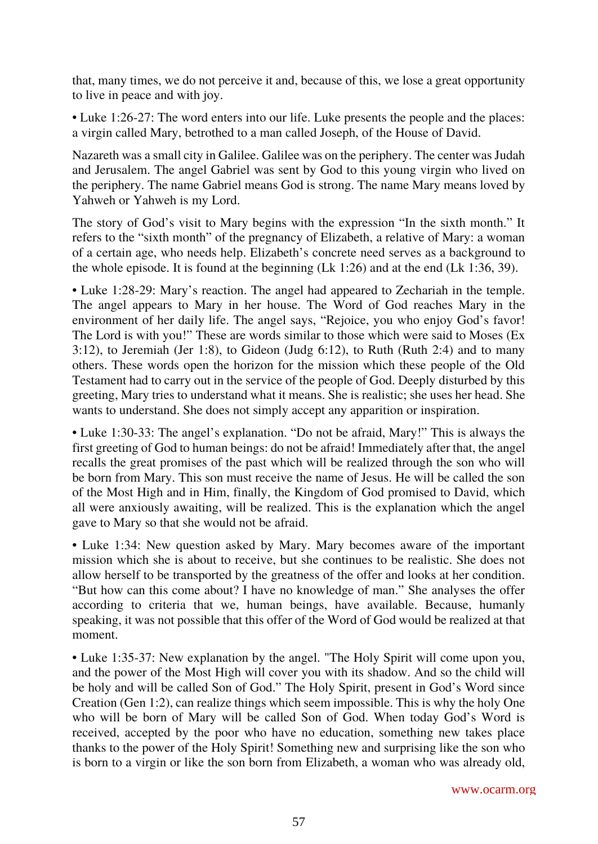that, many times, we do not perceive it and, because of this, we lose a great opportunity to live in peace and with joy.

• Luke 1:26-27: The word enters into our life. Luke presents the people and the places: a virgin called Mary, betrothed to a man called Joseph, of the House of David.

Nazareth was a small city in Galilee. Galilee was on the periphery. The center was Judah and Jerusalem. The angel Gabriel was sent by God to this young virgin who lived on the periphery. The name Gabriel means God is strong. The name Mary means loved by Yahweh or Yahweh is my Lord.

The story of God's visit to Mary begins with the expression "In the sixth month." It refers to the "sixth month" of the pregnancy of Elizabeth, a relative of Mary: a woman of a certain age, who needs help. Elizabeth's concrete need serves as a background to the whole episode. It is found at the beginning (Lk 1:26) and at the end (Lk 1:36, 39).

• Luke 1:28-29: Mary's reaction. The angel had appeared to Zechariah in the temple. The angel appears to Mary in her house. The Word of God reaches Mary in the environment of her daily life. The angel says, "Rejoice, you who enjoy God's favor! The Lord is with you!" These are words similar to those which were said to Moses (Ex 3:12), to Jeremiah (Jer 1:8), to Gideon (Judg 6:12), to Ruth (Ruth 2:4) and to many others. These words open the horizon for the mission which these people of the Old Testament had to carry out in the service of the people of God. Deeply disturbed by this greeting, Mary tries to understand what it means. She is realistic; she uses her head. She wants to understand. She does not simply accept any apparition or inspiration.

• Luke 1:30-33: The angel's explanation. "Do not be afraid, Mary!" This is always the first greeting of God to human beings: do not be afraid! Immediately after that, the angel recalls the great promises of the past which will be realized through the son who will be born from Mary. This son must receive the name of Jesus. He will be called the son of the Most High and in Him, finally, the Kingdom of God promised to David, which all were anxiously awaiting, will be realized. This is the explanation which the angel gave to Mary so that she would not be afraid.

• Luke 1:34: New question asked by Mary. Mary becomes aware of the important mission which she is about to receive, but she continues to be realistic. She does not allow herself to be transported by the greatness of the offer and looks at her condition. "But how can this come about? I have no knowledge of man." She analyses the offer according to criteria that we, human beings, have available. Because, humanly speaking, it was not possible that this offer of the Word of God would be realized at that moment.

• Luke 1:35-37: New explanation by the angel. "The Holy Spirit will come upon you, and the power of the Most High will cover you with its shadow. And so the child will be holy and will be called Son of God." The Holy Spirit, present in God's Word since Creation (Gen 1:2), can realize things which seem impossible. This is why the holy One who will be born of Mary will be called Son of God. When today God's Word is received, accepted by the poor who have no education, something new takes place thanks to the power of the Holy Spirit! Something new and surprising like the son who is born to a virgin or like the son born from Elizabeth, a woman who was already old,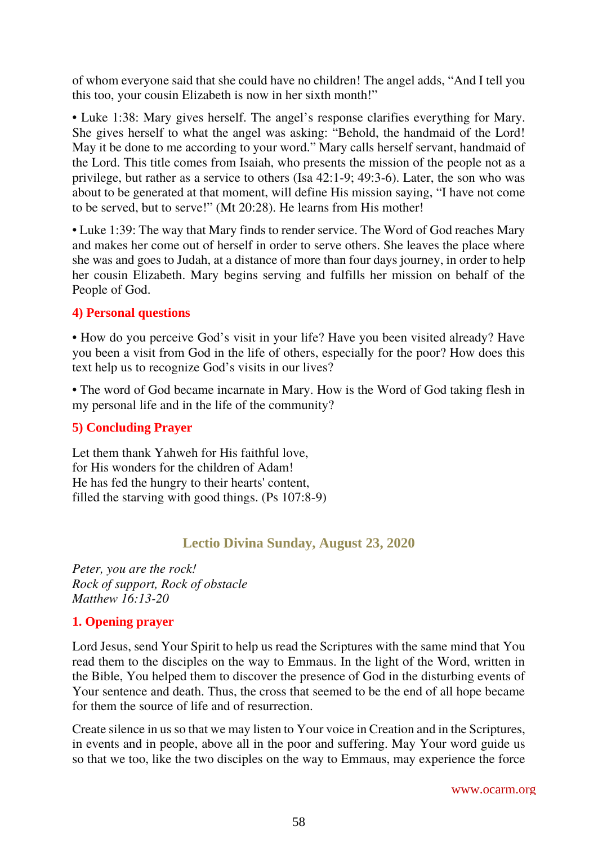of whom everyone said that she could have no children! The angel adds, "And I tell you this too, your cousin Elizabeth is now in her sixth month!"

• Luke 1:38: Mary gives herself. The angel's response clarifies everything for Mary. She gives herself to what the angel was asking: "Behold, the handmaid of the Lord! May it be done to me according to your word." Mary calls herself servant, handmaid of the Lord. This title comes from Isaiah, who presents the mission of the people not as a privilege, but rather as a service to others (Isa 42:1-9; 49:3-6). Later, the son who was about to be generated at that moment, will define His mission saying, "I have not come to be served, but to serve!" (Mt 20:28). He learns from His mother!

• Luke 1:39: The way that Mary finds to render service. The Word of God reaches Mary and makes her come out of herself in order to serve others. She leaves the place where she was and goes to Judah, at a distance of more than four days journey, in order to help her cousin Elizabeth. Mary begins serving and fulfills her mission on behalf of the People of God.

## **4) Personal questions**

• How do you perceive God's visit in your life? Have you been visited already? Have you been a visit from God in the life of others, especially for the poor? How does this text help us to recognize God's visits in our lives?

• The word of God became incarnate in Mary. How is the Word of God taking flesh in my personal life and in the life of the community?

# **5) Concluding Prayer**

Let them thank Yahweh for His faithful love, for His wonders for the children of Adam! He has fed the hungry to their hearts' content, filled the starving with good things. (Ps 107:8-9)

# **Lectio Divina Sunday, August 23, 2020**

*Peter, you are the rock! Rock of support, Rock of obstacle Matthew 16:13-20*

## **1. Opening prayer**

Lord Jesus, send Your Spirit to help us read the Scriptures with the same mind that You read them to the disciples on the way to Emmaus. In the light of the Word, written in the Bible, You helped them to discover the presence of God in the disturbing events of Your sentence and death. Thus, the cross that seemed to be the end of all hope became for them the source of life and of resurrection.

Create silence in us so that we may listen to Your voice in Creation and in the Scriptures, in events and in people, above all in the poor and suffering. May Your word guide us so that we too, like the two disciples on the way to Emmaus, may experience the force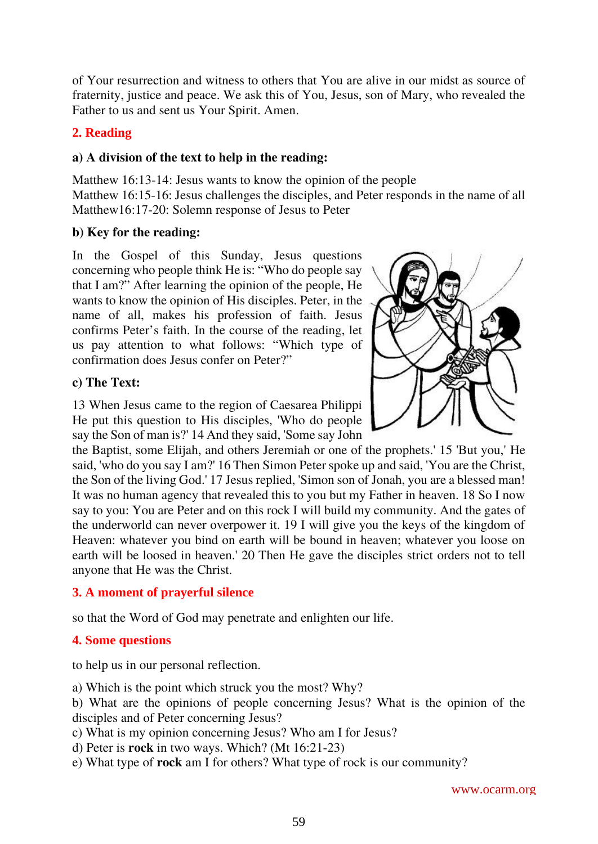of Your resurrection and witness to others that You are alive in our midst as source of fraternity, justice and peace. We ask this of You, Jesus, son of Mary, who revealed the Father to us and sent us Your Spirit. Amen.

## **2. Reading**

### **a) A division of the text to help in the reading:**

Matthew 16:13-14: Jesus wants to know the opinion of the people Matthew 16:15-16: Jesus challenges the disciples, and Peter responds in the name of all Matthew16:17-20: Solemn response of Jesus to Peter

### **b) Key for the reading:**

In the Gospel of this Sunday, Jesus questions concerning who people think He is: "Who do people say that I am?" After learning the opinion of the people, He wants to know the opinion of His disciples. Peter, in the name of all, makes his profession of faith. Jesus confirms Peter's faith. In the course of the reading, let us pay attention to what follows: "Which type of confirmation does Jesus confer on Peter?"

#### **c) The Text:**

13 When Jesus came to the region of Caesarea Philippi He put this question to His disciples, 'Who do people say the Son of man is?' 14 And they said, 'Some say John



said, 'who do you say I am?' 16 Then Simon Peter spoke up and said, 'You are the Christ, the Son of the living God.' 17 Jesus replied, 'Simon son of Jonah, you are a blessed man! It was no human agency that revealed this to you but my Father in heaven. 18 So I now say to you: You are Peter and on this rock I will build my community. And the gates of the underworld can never overpower it. 19 I will give you the keys of the kingdom of Heaven: whatever you bind on earth will be bound in heaven; whatever you loose on earth will be loosed in heaven.' 20 Then He gave the disciples strict orders not to tell anyone that He was the Christ.

## **3. A moment of prayerful silence**

so that the Word of God may penetrate and enlighten our life.

## **4. Some questions**

to help us in our personal reflection.

a) Which is the point which struck you the most? Why?

b) What are the opinions of people concerning Jesus? What is the opinion of the disciples and of Peter concerning Jesus?

- c) What is my opinion concerning Jesus? Who am I for Jesus?
- d) Peter is **rock** in two ways. Which? (Mt 16:21-23)
- e) What type of **rock** am I for others? What type of rock is our community?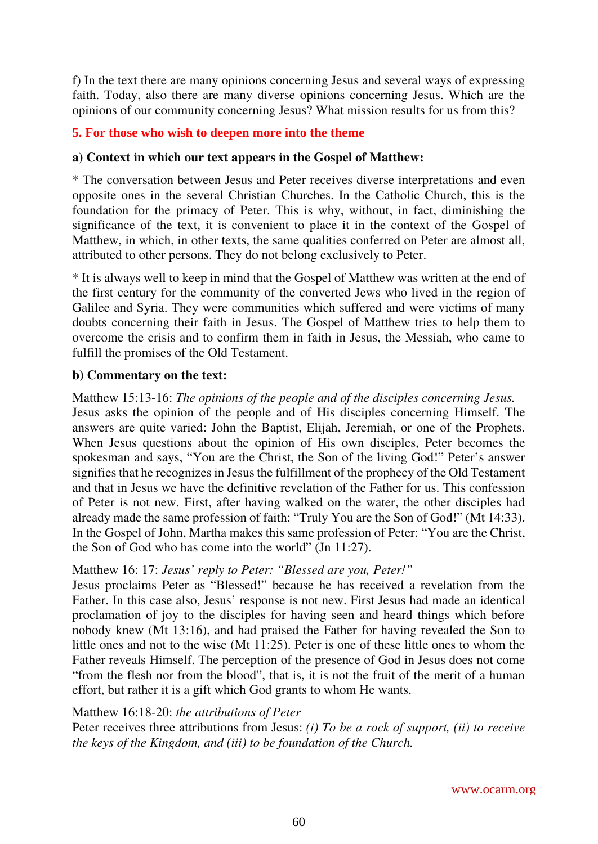f) In the text there are many opinions concerning Jesus and several ways of expressing faith. Today, also there are many diverse opinions concerning Jesus. Which are the opinions of our community concerning Jesus? What mission results for us from this?

## **5. For those who wish to deepen more into the theme**

### **a) Context in which our text appears in the Gospel of Matthew:**

\* The conversation between Jesus and Peter receives diverse interpretations and even opposite ones in the several Christian Churches. In the Catholic Church, this is the foundation for the primacy of Peter. This is why, without, in fact, diminishing the significance of the text, it is convenient to place it in the context of the Gospel of Matthew, in which, in other texts, the same qualities conferred on Peter are almost all, attributed to other persons. They do not belong exclusively to Peter.

\* It is always well to keep in mind that the Gospel of Matthew was written at the end of the first century for the community of the converted Jews who lived in the region of Galilee and Syria. They were communities which suffered and were victims of many doubts concerning their faith in Jesus. The Gospel of Matthew tries to help them to overcome the crisis and to confirm them in faith in Jesus, the Messiah, who came to fulfill the promises of the Old Testament.

### **b) Commentary on the text:**

Matthew 15:13-16: *The opinions of the people and of the disciples concerning Jesus.* Jesus asks the opinion of the people and of His disciples concerning Himself. The answers are quite varied: John the Baptist, Elijah, Jeremiah, or one of the Prophets. When Jesus questions about the opinion of His own disciples, Peter becomes the spokesman and says, "You are the Christ, the Son of the living God!" Peter's answer signifies that he recognizes in Jesus the fulfillment of the prophecy of the Old Testament and that in Jesus we have the definitive revelation of the Father for us. This confession of Peter is not new. First, after having walked on the water, the other disciples had already made the same profession of faith: "Truly You are the Son of God!" (Mt 14:33). In the Gospel of John, Martha makes this same profession of Peter: "You are the Christ, the Son of God who has come into the world" (Jn 11:27).

#### Matthew 16: 17: *Jesus' reply to Peter: "Blessed are you, Peter!"*

Jesus proclaims Peter as "Blessed!" because he has received a revelation from the Father. In this case also, Jesus' response is not new. First Jesus had made an identical proclamation of joy to the disciples for having seen and heard things which before nobody knew (Mt 13:16), and had praised the Father for having revealed the Son to little ones and not to the wise (Mt 11:25). Peter is one of these little ones to whom the Father reveals Himself. The perception of the presence of God in Jesus does not come "from the flesh nor from the blood", that is, it is not the fruit of the merit of a human effort, but rather it is a gift which God grants to whom He wants.

#### Matthew 16:18-20: *the attributions of Peter*

Peter receives three attributions from Jesus: *(i) To be a rock of support, (ii) to receive the keys of the Kingdom, and (iii) to be foundation of the Church.*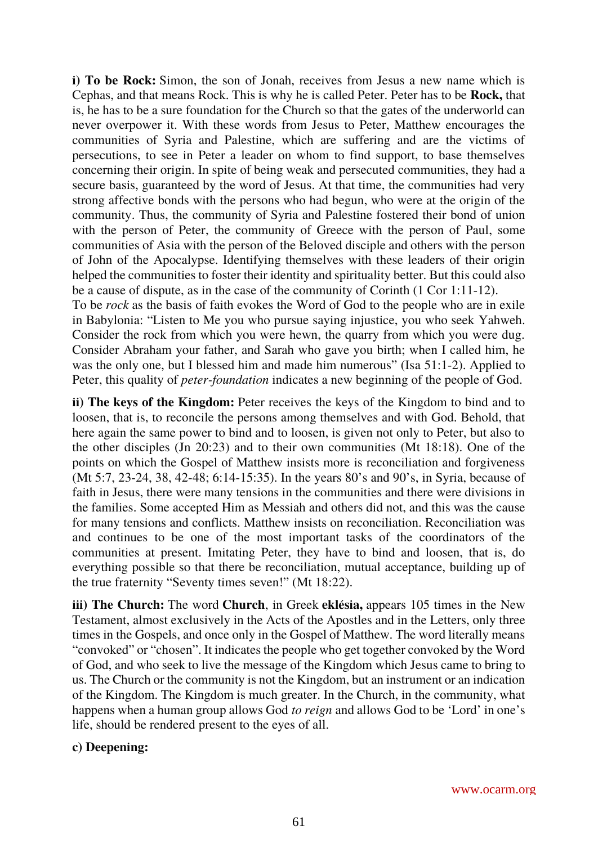**i) To be Rock:** Simon, the son of Jonah, receives from Jesus a new name which is Cephas, and that means Rock. This is why he is called Peter. Peter has to be **Rock,** that is, he has to be a sure foundation for the Church so that the gates of the underworld can never overpower it. With these words from Jesus to Peter, Matthew encourages the communities of Syria and Palestine, which are suffering and are the victims of persecutions, to see in Peter a leader on whom to find support, to base themselves concerning their origin. In spite of being weak and persecuted communities, they had a secure basis, guaranteed by the word of Jesus. At that time, the communities had very strong affective bonds with the persons who had begun, who were at the origin of the community. Thus, the community of Syria and Palestine fostered their bond of union with the person of Peter, the community of Greece with the person of Paul, some communities of Asia with the person of the Beloved disciple and others with the person of John of the Apocalypse. Identifying themselves with these leaders of their origin helped the communities to foster their identity and spirituality better. But this could also be a cause of dispute, as in the case of the community of Corinth (1 Cor 1:11-12).

To be *rock* as the basis of faith evokes the Word of God to the people who are in exile in Babylonia: "Listen to Me you who pursue saying injustice, you who seek Yahweh. Consider the rock from which you were hewn, the quarry from which you were dug. Consider Abraham your father, and Sarah who gave you birth; when I called him, he was the only one, but I blessed him and made him numerous" (Isa 51:1-2). Applied to Peter, this quality of *peter-foundation* indicates a new beginning of the people of God.

**ii) The keys of the Kingdom:** Peter receives the keys of the Kingdom to bind and to loosen, that is, to reconcile the persons among themselves and with God. Behold, that here again the same power to bind and to loosen, is given not only to Peter, but also to the other disciples (Jn 20:23) and to their own communities (Mt 18:18). One of the points on which the Gospel of Matthew insists more is reconciliation and forgiveness (Mt 5:7, 23-24, 38, 42-48; 6:14-15:35). In the years 80's and 90's, in Syria, because of faith in Jesus, there were many tensions in the communities and there were divisions in the families. Some accepted Him as Messiah and others did not, and this was the cause for many tensions and conflicts. Matthew insists on reconciliation. Reconciliation was and continues to be one of the most important tasks of the coordinators of the communities at present. Imitating Peter, they have to bind and loosen, that is, do everything possible so that there be reconciliation, mutual acceptance, building up of the true fraternity "Seventy times seven!" (Mt 18:22).

**iii) The Church:** The word **Church**, in Greek **eklésia,** appears 105 times in the New Testament, almost exclusively in the Acts of the Apostles and in the Letters, only three times in the Gospels, and once only in the Gospel of Matthew. The word literally means "convoked" or "chosen". It indicates the people who get together convoked by the Word of God, and who seek to live the message of the Kingdom which Jesus came to bring to us. The Church or the community is not the Kingdom, but an instrument or an indication of the Kingdom. The Kingdom is much greater. In the Church, in the community, what happens when a human group allows God *to reign* and allows God to be 'Lord' in one's life, should be rendered present to the eyes of all.

## **c) Deepening:**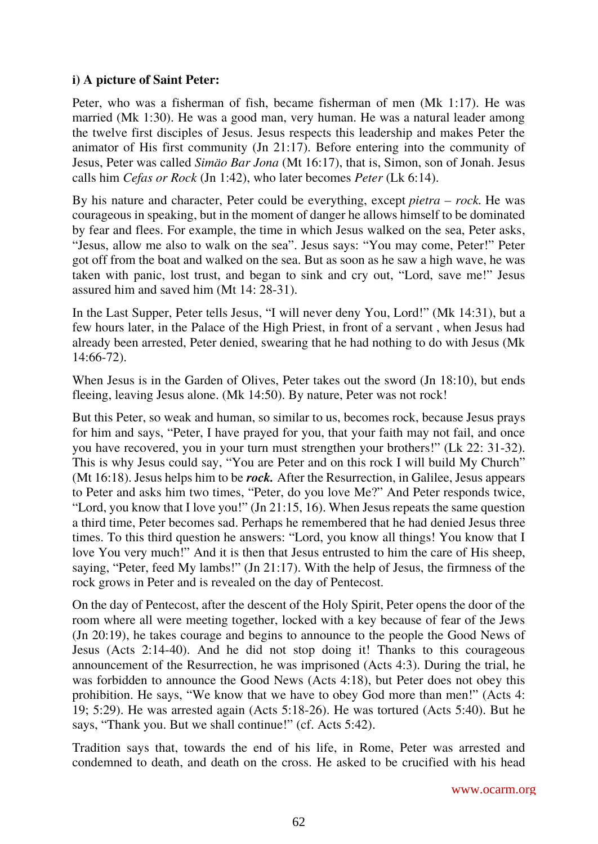## **i) A picture of Saint Peter:**

Peter, who was a fisherman of fish, became fisherman of men (Mk 1:17). He was married (Mk 1:30). He was a good man, very human. He was a natural leader among the twelve first disciples of Jesus. Jesus respects this leadership and makes Peter the animator of His first community (Jn 21:17). Before entering into the community of Jesus, Peter was called *Simäo Bar Jona* (Mt 16:17), that is, Simon, son of Jonah. Jesus calls him *Cefas or Rock* (Jn 1:42), who later becomes *Peter* (Lk 6:14).

By his nature and character, Peter could be everything, except *pietra – rock.* He was courageous in speaking, but in the moment of danger he allows himself to be dominated by fear and flees. For example, the time in which Jesus walked on the sea, Peter asks, "Jesus, allow me also to walk on the sea". Jesus says: "You may come, Peter!" Peter got off from the boat and walked on the sea. But as soon as he saw a high wave, he was taken with panic, lost trust, and began to sink and cry out, "Lord, save me!" Jesus assured him and saved him (Mt 14: 28-31).

In the Last Supper, Peter tells Jesus, "I will never deny You, Lord!" (Mk 14:31), but a few hours later, in the Palace of the High Priest, in front of a servant , when Jesus had already been arrested, Peter denied, swearing that he had nothing to do with Jesus (Mk 14:66-72).

When Jesus is in the Garden of Olives, Peter takes out the sword (Jn 18:10), but ends fleeing, leaving Jesus alone. (Mk 14:50). By nature, Peter was not rock!

But this Peter, so weak and human, so similar to us, becomes rock, because Jesus prays for him and says, "Peter, I have prayed for you, that your faith may not fail, and once you have recovered, you in your turn must strengthen your brothers!" (Lk 22: 31-32). This is why Jesus could say, "You are Peter and on this rock I will build My Church" (Mt 16:18). Jesus helps him to be *rock.* After the Resurrection, in Galilee, Jesus appears to Peter and asks him two times, "Peter, do you love Me?" And Peter responds twice, "Lord, you know that I love you!" (Jn 21:15, 16). When Jesus repeats the same question a third time, Peter becomes sad. Perhaps he remembered that he had denied Jesus three times. To this third question he answers: "Lord, you know all things! You know that I love You very much!" And it is then that Jesus entrusted to him the care of His sheep, saying, "Peter, feed My lambs!" (Jn 21:17). With the help of Jesus, the firmness of the rock grows in Peter and is revealed on the day of Pentecost.

On the day of Pentecost, after the descent of the Holy Spirit, Peter opens the door of the room where all were meeting together, locked with a key because of fear of the Jews (Jn 20:19), he takes courage and begins to announce to the people the Good News of Jesus (Acts 2:14-40). And he did not stop doing it! Thanks to this courageous announcement of the Resurrection, he was imprisoned (Acts 4:3). During the trial, he was forbidden to announce the Good News (Acts 4:18), but Peter does not obey this prohibition. He says, "We know that we have to obey God more than men!" (Acts 4: 19; 5:29). He was arrested again (Acts 5:18-26). He was tortured (Acts 5:40). But he says, "Thank you. But we shall continue!" (cf. Acts 5:42).

Tradition says that, towards the end of his life, in Rome, Peter was arrested and condemned to death, and death on the cross. He asked to be crucified with his head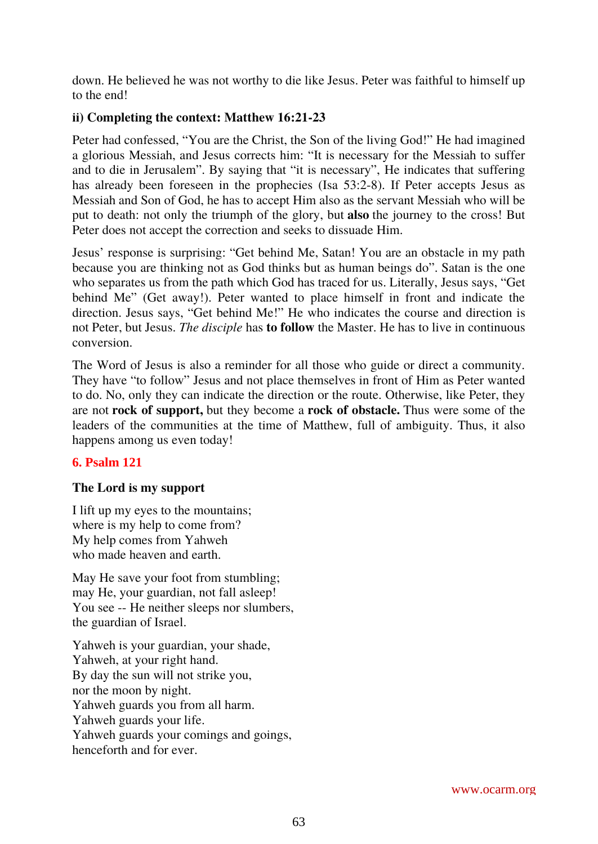down. He believed he was not worthy to die like Jesus. Peter was faithful to himself up to the end!

## **ii) Completing the context: Matthew 16:21-23**

Peter had confessed, "You are the Christ, the Son of the living God!" He had imagined a glorious Messiah, and Jesus corrects him: "It is necessary for the Messiah to suffer and to die in Jerusalem". By saying that "it is necessary", He indicates that suffering has already been foreseen in the prophecies (Isa 53:2-8). If Peter accepts Jesus as Messiah and Son of God, he has to accept Him also as the servant Messiah who will be put to death: not only the triumph of the glory, but **also** the journey to the cross! But Peter does not accept the correction and seeks to dissuade Him.

Jesus' response is surprising: "Get behind Me, Satan! You are an obstacle in my path because you are thinking not as God thinks but as human beings do". Satan is the one who separates us from the path which God has traced for us. Literally, Jesus says, "Get behind Me" (Get away!). Peter wanted to place himself in front and indicate the direction. Jesus says, "Get behind Me!" He who indicates the course and direction is not Peter, but Jesus. *The disciple* has **to follow** the Master. He has to live in continuous conversion.

The Word of Jesus is also a reminder for all those who guide or direct a community. They have "to follow" Jesus and not place themselves in front of Him as Peter wanted to do. No, only they can indicate the direction or the route. Otherwise, like Peter, they are not **rock of support,** but they become a **rock of obstacle.** Thus were some of the leaders of the communities at the time of Matthew, full of ambiguity. Thus, it also happens among us even today!

## **6. Psalm 121**

## **The Lord is my support**

I lift up my eyes to the mountains; where is my help to come from? My help comes from Yahweh who made heaven and earth.

May He save your foot from stumbling; may He, your guardian, not fall asleep! You see -- He neither sleeps nor slumbers, the guardian of Israel.

Yahweh is your guardian, your shade, Yahweh, at your right hand. By day the sun will not strike you, nor the moon by night. Yahweh guards you from all harm. Yahweh guards your life. Yahweh guards your comings and goings, henceforth and for ever.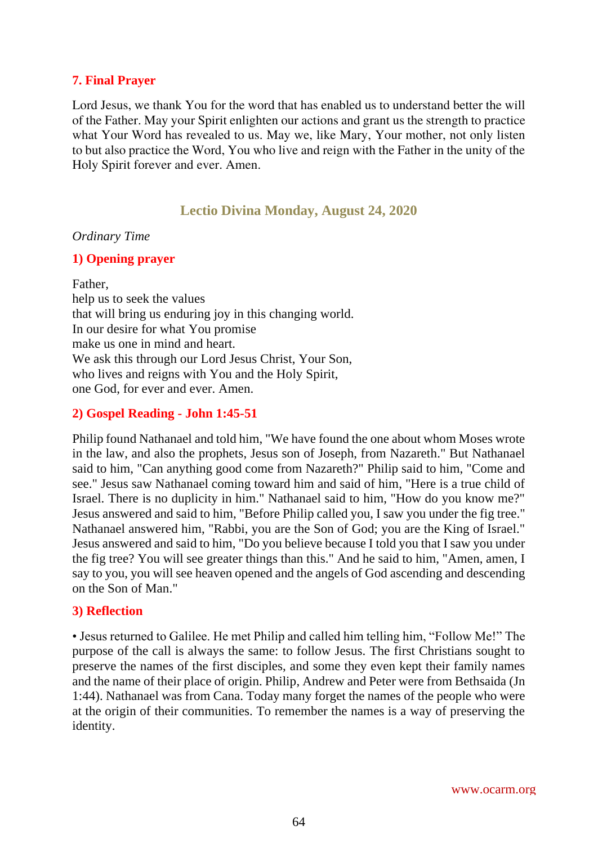### **7. Final Prayer**

Lord Jesus, we thank You for the word that has enabled us to understand better the will of the Father. May your Spirit enlighten our actions and grant us the strength to practice what Your Word has revealed to us. May we, like Mary, Your mother, not only listen to but also practice the Word, You who live and reign with the Father in the unity of the Holy Spirit forever and ever. Amen.

### **Lectio Divina Monday, August 24, 2020**

#### *Ordinary Time*

#### **1) Opening prayer**

Father,

help us to seek the values that will bring us enduring joy in this changing world. In our desire for what You promise make us one in mind and heart. We ask this through our Lord Jesus Christ, Your Son, who lives and reigns with You and the Holy Spirit, one God, for ever and ever. Amen.

## **2) Gospel Reading - John 1:45-51**

Philip found Nathanael and told him, "We have found the one about whom Moses wrote in the law, and also the prophets, Jesus son of Joseph, from Nazareth." But Nathanael said to him, "Can anything good come from Nazareth?" Philip said to him, "Come and see." Jesus saw Nathanael coming toward him and said of him, "Here is a true child of Israel. There is no duplicity in him." Nathanael said to him, "How do you know me?" Jesus answered and said to him, "Before Philip called you, I saw you under the fig tree." Nathanael answered him, "Rabbi, you are the Son of God; you are the King of Israel." Jesus answered and said to him, "Do you believe because I told you that I saw you under the fig tree? You will see greater things than this." And he said to him, "Amen, amen, I say to you, you will see heaven opened and the angels of God ascending and descending on the Son of Man."

#### **3) Reflection**

• Jesus returned to Galilee. He met Philip and called him telling him, "Follow Me!" The purpose of the call is always the same: to follow Jesus. The first Christians sought to preserve the names of the first disciples, and some they even kept their family names and the name of their place of origin. Philip, Andrew and Peter were from Bethsaida (Jn 1:44). Nathanael was from Cana. Today many forget the names of the people who were at the origin of their communities. To remember the names is a way of preserving the identity.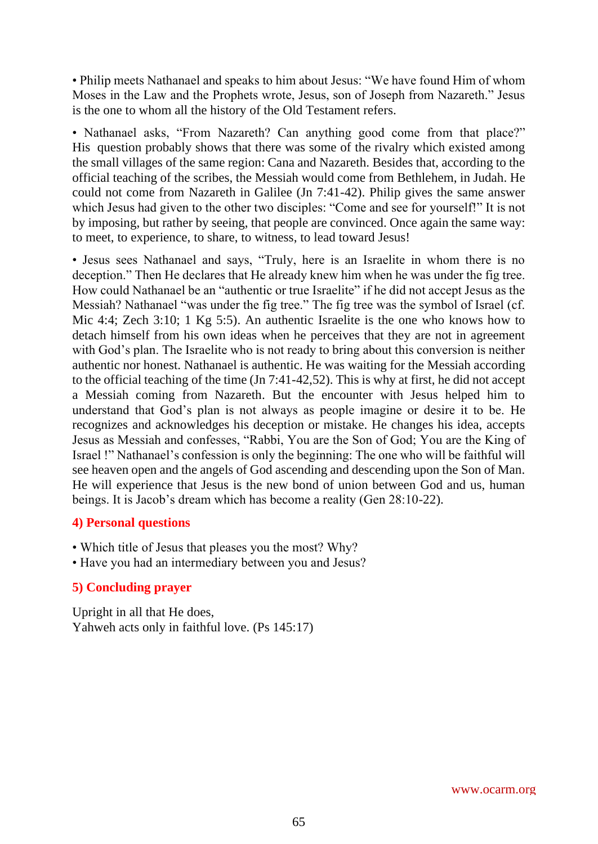• Philip meets Nathanael and speaks to him about Jesus: "We have found Him of whom Moses in the Law and the Prophets wrote, Jesus, son of Joseph from Nazareth." Jesus is the one to whom all the history of the Old Testament refers.

• Nathanael asks, "From Nazareth? Can anything good come from that place?" His question probably shows that there was some of the rivalry which existed among the small villages of the same region: Cana and Nazareth. Besides that, according to the official teaching of the scribes, the Messiah would come from Bethlehem, in Judah. He could not come from Nazareth in Galilee (Jn 7:41-42). Philip gives the same answer which Jesus had given to the other two disciples: "Come and see for yourself!" It is not by imposing, but rather by seeing, that people are convinced. Once again the same way: to meet, to experience, to share, to witness, to lead toward Jesus!

• Jesus sees Nathanael and says, "Truly, here is an Israelite in whom there is no deception." Then He declares that He already knew him when he was under the fig tree. How could Nathanael be an "authentic or true Israelite" if he did not accept Jesus as the Messiah? Nathanael "was under the fig tree." The fig tree was the symbol of Israel (cf. Mic 4:4; Zech 3:10; 1 Kg 5:5). An authentic Israelite is the one who knows how to detach himself from his own ideas when he perceives that they are not in agreement with God's plan. The Israelite who is not ready to bring about this conversion is neither authentic nor honest. Nathanael is authentic. He was waiting for the Messiah according to the official teaching of the time (Jn 7:41-42,52). This is why at first, he did not accept a Messiah coming from Nazareth. But the encounter with Jesus helped him to understand that God's plan is not always as people imagine or desire it to be. He recognizes and acknowledges his deception or mistake. He changes his idea, accepts Jesus as Messiah and confesses, "Rabbi, You are the Son of God; You are the King of Israel !" Nathanael's confession is only the beginning: The one who will be faithful will see heaven open and the angels of God ascending and descending upon the Son of Man. He will experience that Jesus is the new bond of union between God and us, human beings. It is Jacob's dream which has become a reality (Gen 28:10-22).

## **4) Personal questions**

- Which title of Jesus that pleases you the most? Why?
- Have you had an intermediary between you and Jesus?

# **5) Concluding prayer**

Upright in all that He does, Yahweh acts only in faithful love. (Ps 145:17)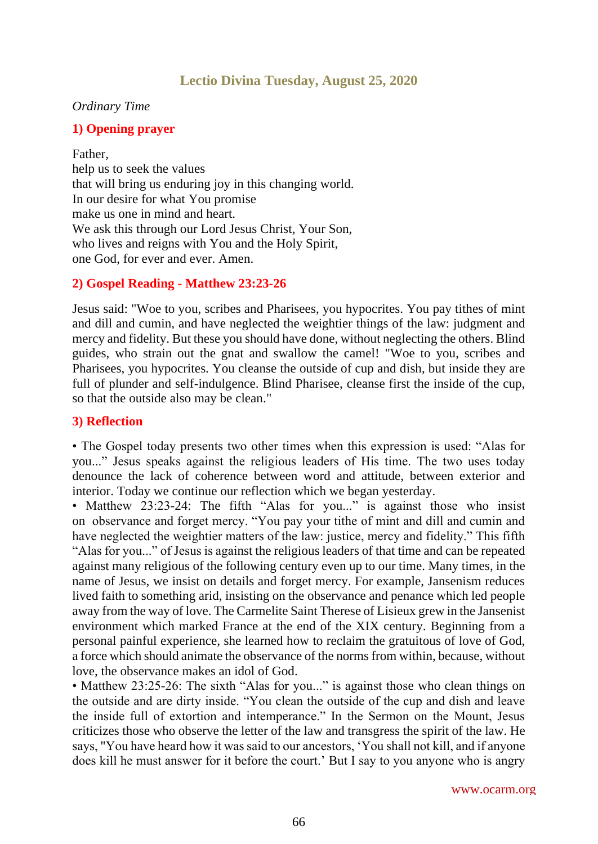## **Lectio Divina Tuesday, August 25, 2020**

*Ordinary Time*

### **1) Opening prayer**

Father, help us to seek the values that will bring us enduring joy in this changing world. In our desire for what You promise make us one in mind and heart. We ask this through our Lord Jesus Christ, Your Son, who lives and reigns with You and the Holy Spirit, one God, for ever and ever. Amen.

### **2) Gospel Reading - Matthew 23:23-26**

Jesus said: "Woe to you, scribes and Pharisees, you hypocrites. You pay tithes of mint and dill and cumin, and have neglected the weightier things of the law: judgment and mercy and fidelity. But these you should have done, without neglecting the others. Blind guides, who strain out the gnat and swallow the camel! "Woe to you, scribes and Pharisees, you hypocrites. You cleanse the outside of cup and dish, but inside they are full of plunder and self-indulgence. Blind Pharisee, cleanse first the inside of the cup, so that the outside also may be clean."

#### **3) Reflection**

• The Gospel today presents two other times when this expression is used: "Alas for you..." Jesus speaks against the religious leaders of His time. The two uses today denounce the lack of coherence between word and attitude, between exterior and interior. Today we continue our reflection which we began yesterday.

• Matthew 23:23-24: The fifth "Alas for you..." is against those who insist on observance and forget mercy. "You pay your tithe of mint and dill and cumin and have neglected the weightier matters of the law: justice, mercy and fidelity." This fifth "Alas for you..." of Jesus is against the religious leaders of that time and can be repeated against many religious of the following century even up to our time. Many times, in the name of Jesus, we insist on details and forget mercy. For example, Jansenism reduces lived faith to something arid, insisting on the observance and penance which led people away from the way of love. The Carmelite Saint Therese of Lisieux grew in the Jansenist environment which marked France at the end of the XIX century. Beginning from a personal painful experience, she learned how to reclaim the gratuitous of love of God, a force which should animate the observance of the norms from within, because, without love, the observance makes an idol of God.

• Matthew 23:25-26: The sixth "Alas for you..." is against those who clean things on the outside and are dirty inside. "You clean the outside of the cup and dish and leave the inside full of extortion and intemperance." In the Sermon on the Mount, Jesus criticizes those who observe the letter of the law and transgress the spirit of the law. He says, "You have heard how it was said to our ancestors, 'You shall not kill, and if anyone does kill he must answer for it before the court.' But I say to you anyone who is angry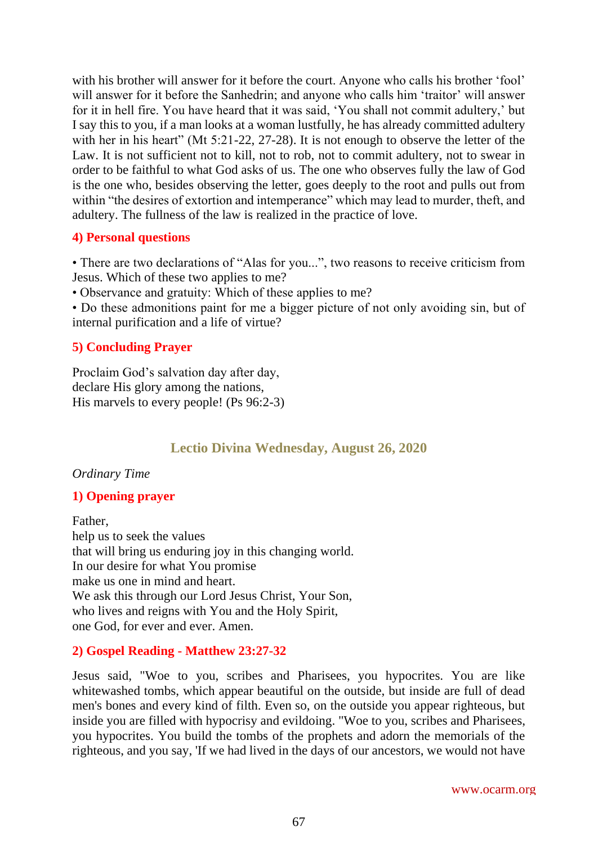with his brother will answer for it before the court. Anyone who calls his brother 'fool' will answer for it before the Sanhedrin; and anyone who calls him 'traitor' will answer for it in hell fire. You have heard that it was said, 'You shall not commit adultery,' but I say this to you, if a man looks at a woman lustfully, he has already committed adultery with her in his heart" (Mt 5:21-22, 27-28). It is not enough to observe the letter of the Law. It is not sufficient not to kill, not to rob, not to commit adultery, not to swear in order to be faithful to what God asks of us. The one who observes fully the law of God is the one who, besides observing the letter, goes deeply to the root and pulls out from within "the desires of extortion and intemperance" which may lead to murder, theft, and adultery. The fullness of the law is realized in the practice of love.

### **4) Personal questions**

• There are two declarations of "Alas for you...", two reasons to receive criticism from Jesus. Which of these two applies to me?

• Observance and gratuity: Which of these applies to me?

• Do these admonitions paint for me a bigger picture of not only avoiding sin, but of internal purification and a life of virtue?

## **5) Concluding Prayer**

Proclaim God's salvation day after day, declare His glory among the nations, His marvels to every people! (Ps 96:2-3)

# **Lectio Divina Wednesday, August 26, 2020**

## *Ordinary Time*

## **1) Opening prayer**

Father, help us to seek the values that will bring us enduring joy in this changing world. In our desire for what You promise make us one in mind and heart. We ask this through our Lord Jesus Christ, Your Son, who lives and reigns with You and the Holy Spirit, one God, for ever and ever. Amen.

## **2) Gospel Reading - Matthew 23:27-32**

Jesus said, "Woe to you, scribes and Pharisees, you hypocrites. You are like whitewashed tombs, which appear beautiful on the outside, but inside are full of dead men's bones and every kind of filth. Even so, on the outside you appear righteous, but inside you are filled with hypocrisy and evildoing. "Woe to you, scribes and Pharisees, you hypocrites. You build the tombs of the prophets and adorn the memorials of the righteous, and you say, 'If we had lived in the days of our ancestors, we would not have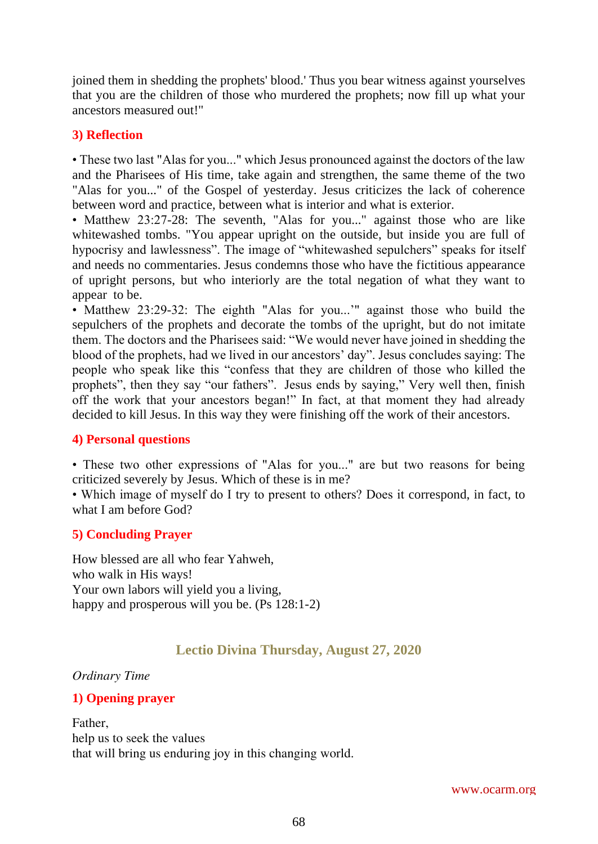joined them in shedding the prophets' blood.' Thus you bear witness against yourselves that you are the children of those who murdered the prophets; now fill up what your ancestors measured out!"

## **3) Reflection**

• These two last "Alas for you..." which Jesus pronounced against the doctors of the law and the Pharisees of His time, take again and strengthen, the same theme of the two "Alas for you..." of the Gospel of yesterday. Jesus criticizes the lack of coherence between word and practice, between what is interior and what is exterior.

• Matthew 23:27-28: The seventh, "Alas for you..." against those who are like whitewashed tombs. "You appear upright on the outside, but inside you are full of hypocrisy and lawlessness". The image of "whitewashed sepulchers" speaks for itself and needs no commentaries. Jesus condemns those who have the fictitious appearance of upright persons, but who interiorly are the total negation of what they want to appear to be.

• Matthew 23:29-32: The eighth "Alas for you...'" against those who build the sepulchers of the prophets and decorate the tombs of the upright, but do not imitate them. The doctors and the Pharisees said: "We would never have joined in shedding the blood of the prophets, had we lived in our ancestors' day". Jesus concludes saying: The people who speak like this "confess that they are children of those who killed the prophets", then they say "our fathers". Jesus ends by saying," Very well then, finish off the work that your ancestors began!" In fact, at that moment they had already decided to kill Jesus. In this way they were finishing off the work of their ancestors.

## **4) Personal questions**

• These two other expressions of "Alas for you..." are but two reasons for being criticized severely by Jesus. Which of these is in me?

• Which image of myself do I try to present to others? Does it correspond, in fact, to what I am before God?

# **5) Concluding Prayer**

How blessed are all who fear Yahweh, who walk in His ways! Your own labors will yield you a living, happy and prosperous will you be. (Ps 128:1-2)

# **Lectio Divina Thursday, August 27, 2020**

*Ordinary Time*

# **1) Opening prayer**

Father, help us to seek the values that will bring us enduring joy in this changing world.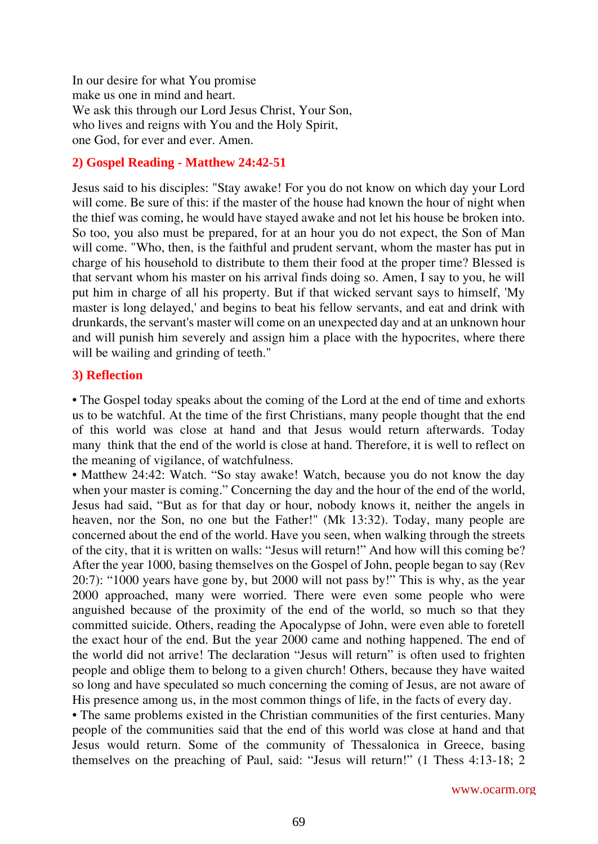In our desire for what You promise make us one in mind and heart. We ask this through our Lord Jesus Christ, Your Son, who lives and reigns with You and the Holy Spirit, one God, for ever and ever. Amen.

## **2) Gospel Reading - Matthew 24:42-51**

Jesus said to his disciples: "Stay awake! For you do not know on which day your Lord will come. Be sure of this: if the master of the house had known the hour of night when the thief was coming, he would have stayed awake and not let his house be broken into. So too, you also must be prepared, for at an hour you do not expect, the Son of Man will come. "Who, then, is the faithful and prudent servant, whom the master has put in charge of his household to distribute to them their food at the proper time? Blessed is that servant whom his master on his arrival finds doing so. Amen, I say to you, he will put him in charge of all his property. But if that wicked servant says to himself, 'My master is long delayed,' and begins to beat his fellow servants, and eat and drink with drunkards, the servant's master will come on an unexpected day and at an unknown hour and will punish him severely and assign him a place with the hypocrites, where there will be wailing and grinding of teeth."

## **3) Reflection**

• The Gospel today speaks about the coming of the Lord at the end of time and exhorts us to be watchful. At the time of the first Christians, many people thought that the end of this world was close at hand and that Jesus would return afterwards. Today many think that the end of the world is close at hand. Therefore, it is well to reflect on the meaning of vigilance, of watchfulness.

• Matthew 24:42: Watch. "So stay awake! Watch, because you do not know the day when your master is coming." Concerning the day and the hour of the end of the world, Jesus had said, "But as for that day or hour, nobody knows it, neither the angels in heaven, nor the Son, no one but the Father!" (Mk 13:32). Today, many people are concerned about the end of the world. Have you seen, when walking through the streets of the city, that it is written on walls: "Jesus will return!" And how will this coming be? After the year 1000, basing themselves on the Gospel of John, people began to say (Rev 20:7): "1000 years have gone by, but 2000 will not pass by!" This is why, as the year 2000 approached, many were worried. There were even some people who were anguished because of the proximity of the end of the world, so much so that they committed suicide. Others, reading the Apocalypse of John, were even able to foretell the exact hour of the end. But the year 2000 came and nothing happened. The end of the world did not arrive! The declaration "Jesus will return" is often used to frighten people and oblige them to belong to a given church! Others, because they have waited so long and have speculated so much concerning the coming of Jesus, are not aware of His presence among us, in the most common things of life, in the facts of every day.

• The same problems existed in the Christian communities of the first centuries. Many people of the communities said that the end of this world was close at hand and that Jesus would return. Some of the community of Thessalonica in Greece, basing themselves on the preaching of Paul, said: "Jesus will return!" (1 Thess 4:13-18; 2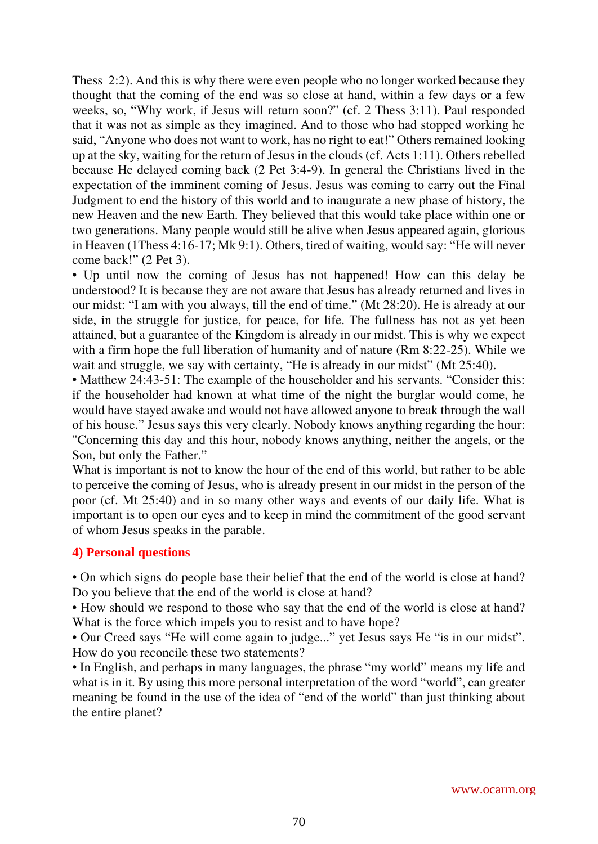Thess 2:2). And this is why there were even people who no longer worked because they thought that the coming of the end was so close at hand, within a few days or a few weeks, so, "Why work, if Jesus will return soon?" (cf. 2 Thess 3:11). Paul responded that it was not as simple as they imagined. And to those who had stopped working he said, "Anyone who does not want to work, has no right to eat!" Others remained looking up at the sky, waiting for the return of Jesus in the clouds (cf. Acts 1:11). Others rebelled because He delayed coming back (2 Pet 3:4-9). In general the Christians lived in the expectation of the imminent coming of Jesus. Jesus was coming to carry out the Final Judgment to end the history of this world and to inaugurate a new phase of history, the new Heaven and the new Earth. They believed that this would take place within one or two generations. Many people would still be alive when Jesus appeared again, glorious in Heaven (1Thess 4:16-17; Mk 9:1). Others, tired of waiting, would say: "He will never come back!" (2 Pet 3).

• Up until now the coming of Jesus has not happened! How can this delay be understood? It is because they are not aware that Jesus has already returned and lives in our midst: "I am with you always, till the end of time." (Mt 28:20). He is already at our side, in the struggle for justice, for peace, for life. The fullness has not as yet been attained, but a guarantee of the Kingdom is already in our midst. This is why we expect with a firm hope the full liberation of humanity and of nature (Rm 8:22-25). While we wait and struggle, we say with certainty, "He is already in our midst" (Mt 25:40).

• Matthew 24:43-51: The example of the householder and his servants. "Consider this: if the householder had known at what time of the night the burglar would come, he would have stayed awake and would not have allowed anyone to break through the wall of his house." Jesus says this very clearly. Nobody knows anything regarding the hour: "Concerning this day and this hour, nobody knows anything, neither the angels, or the Son, but only the Father."

What is important is not to know the hour of the end of this world, but rather to be able to perceive the coming of Jesus, who is already present in our midst in the person of the poor (cf. Mt 25:40) and in so many other ways and events of our daily life. What is important is to open our eyes and to keep in mind the commitment of the good servant of whom Jesus speaks in the parable.

## **4) Personal questions**

• On which signs do people base their belief that the end of the world is close at hand? Do you believe that the end of the world is close at hand?

• How should we respond to those who say that the end of the world is close at hand? What is the force which impels you to resist and to have hope?

• Our Creed says "He will come again to judge..." yet Jesus says He "is in our midst". How do you reconcile these two statements?

• In English, and perhaps in many languages, the phrase "my world" means my life and what is in it. By using this more personal interpretation of the word "world", can greater meaning be found in the use of the idea of "end of the world" than just thinking about the entire planet?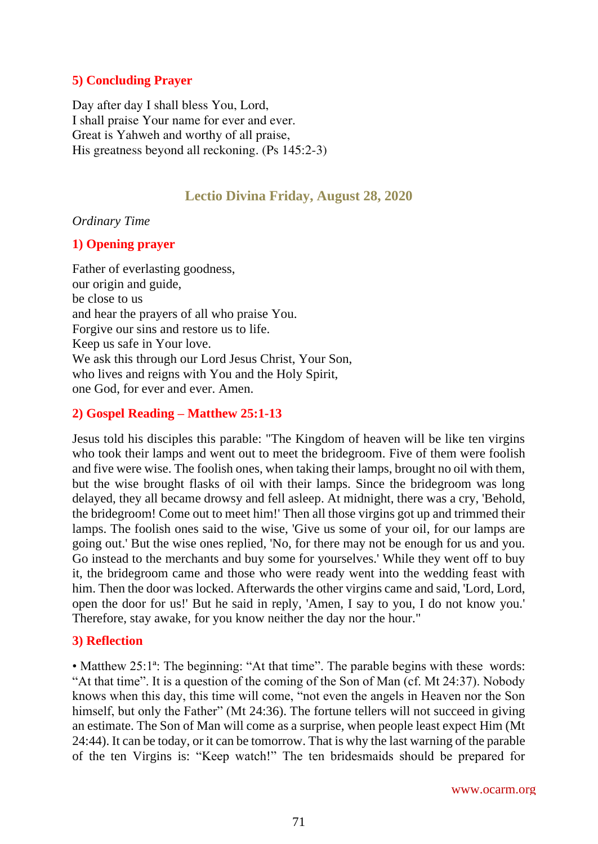## **5) Concluding Prayer**

Day after day I shall bless You, Lord, I shall praise Your name for ever and ever. Great is Yahweh and worthy of all praise, His greatness beyond all reckoning. (Ps 145:2-3)

## **Lectio Divina Friday, August 28, 2020**

*Ordinary Time*

### **1) Opening prayer**

Father of everlasting goodness, our origin and guide, be close to us and hear the prayers of all who praise You. Forgive our sins and restore us to life. Keep us safe in Your love. We ask this through our Lord Jesus Christ, Your Son, who lives and reigns with You and the Holy Spirit, one God, for ever and ever. Amen.

### **2) Gospel Reading – Matthew 25:1-13**

Jesus told his disciples this parable: "The Kingdom of heaven will be like ten virgins who took their lamps and went out to meet the bridegroom. Five of them were foolish and five were wise. The foolish ones, when taking their lamps, brought no oil with them, but the wise brought flasks of oil with their lamps. Since the bridegroom was long delayed, they all became drowsy and fell asleep. At midnight, there was a cry, 'Behold, the bridegroom! Come out to meet him!' Then all those virgins got up and trimmed their lamps. The foolish ones said to the wise, 'Give us some of your oil, for our lamps are going out.' But the wise ones replied, 'No, for there may not be enough for us and you. Go instead to the merchants and buy some for yourselves.' While they went off to buy it, the bridegroom came and those who were ready went into the wedding feast with him. Then the door was locked. Afterwards the other virgins came and said, 'Lord, Lord, open the door for us!' But he said in reply, 'Amen, I say to you, I do not know you.' Therefore, stay awake, for you know neither the day nor the hour."

#### **3) Reflection**

• Matthew 25:1<sup>a</sup>: The beginning: "At that time". The parable begins with these words: "At that time". It is a question of the coming of the Son of Man (cf. Mt 24:37). Nobody knows when this day, this time will come, "not even the angels in Heaven nor the Son himself, but only the Father" (Mt 24:36). The fortune tellers will not succeed in giving an estimate. The Son of Man will come as a surprise, when people least expect Him (Mt 24:44). It can be today, or it can be tomorrow. That is why the last warning of the parable of the ten Virgins is: "Keep watch!" The ten bridesmaids should be prepared for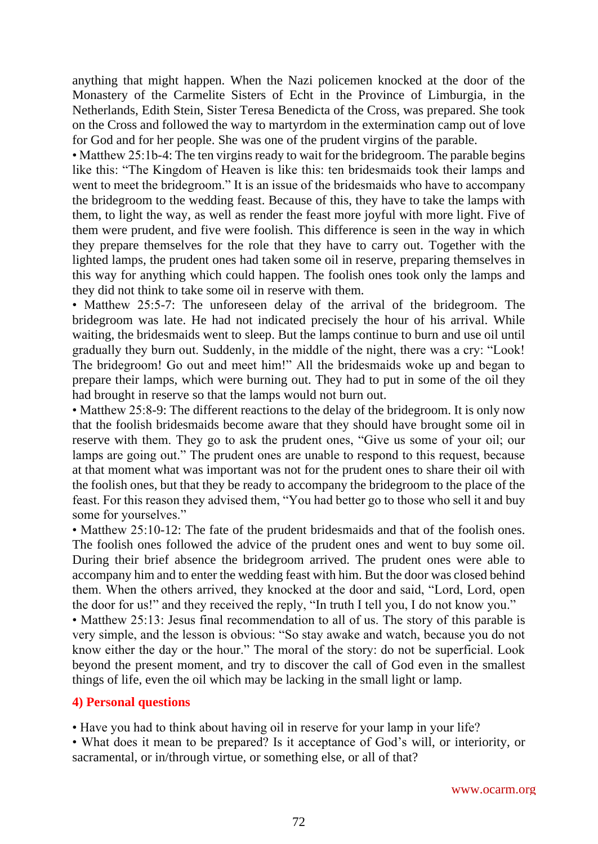anything that might happen. When the Nazi policemen knocked at the door of the Monastery of the Carmelite Sisters of Echt in the Province of Limburgia, in the Netherlands, Edith Stein, Sister Teresa Benedicta of the Cross, was prepared. She took on the Cross and followed the way to martyrdom in the extermination camp out of love for God and for her people. She was one of the prudent virgins of the parable.

• Matthew 25:1b-4: The ten virgins ready to wait for the bridegroom. The parable begins like this: "The Kingdom of Heaven is like this: ten bridesmaids took their lamps and went to meet the bridegroom." It is an issue of the bridesmaids who have to accompany the bridegroom to the wedding feast. Because of this, they have to take the lamps with them, to light the way, as well as render the feast more joyful with more light. Five of them were prudent, and five were foolish. This difference is seen in the way in which they prepare themselves for the role that they have to carry out. Together with the lighted lamps, the prudent ones had taken some oil in reserve, preparing themselves in this way for anything which could happen. The foolish ones took only the lamps and they did not think to take some oil in reserve with them.

• Matthew 25:5-7: The unforeseen delay of the arrival of the bridegroom. The bridegroom was late. He had not indicated precisely the hour of his arrival. While waiting, the bridesmaids went to sleep. But the lamps continue to burn and use oil until gradually they burn out. Suddenly, in the middle of the night, there was a cry: "Look! The bridegroom! Go out and meet him!" All the bridesmaids woke up and began to prepare their lamps, which were burning out. They had to put in some of the oil they had brought in reserve so that the lamps would not burn out.

• Matthew 25:8-9: The different reactions to the delay of the bridegroom. It is only now that the foolish bridesmaids become aware that they should have brought some oil in reserve with them. They go to ask the prudent ones, "Give us some of your oil; our lamps are going out." The prudent ones are unable to respond to this request, because at that moment what was important was not for the prudent ones to share their oil with the foolish ones, but that they be ready to accompany the bridegroom to the place of the feast. For this reason they advised them, "You had better go to those who sell it and buy some for yourselves."

• Matthew 25:10-12: The fate of the prudent bridesmaids and that of the foolish ones. The foolish ones followed the advice of the prudent ones and went to buy some oil. During their brief absence the bridegroom arrived. The prudent ones were able to accompany him and to enter the wedding feast with him. But the door was closed behind them. When the others arrived, they knocked at the door and said, "Lord, Lord, open the door for us!" and they received the reply, "In truth I tell you, I do not know you."

• Matthew 25:13: Jesus final recommendation to all of us. The story of this parable is very simple, and the lesson is obvious: "So stay awake and watch, because you do not know either the day or the hour." The moral of the story: do not be superficial. Look beyond the present moment, and try to discover the call of God even in the smallest things of life, even the oil which may be lacking in the small light or lamp.

#### **4) Personal questions**

• Have you had to think about having oil in reserve for your lamp in your life?

• What does it mean to be prepared? Is it acceptance of God's will, or interiority, or sacramental, or in/through virtue, or something else, or all of that?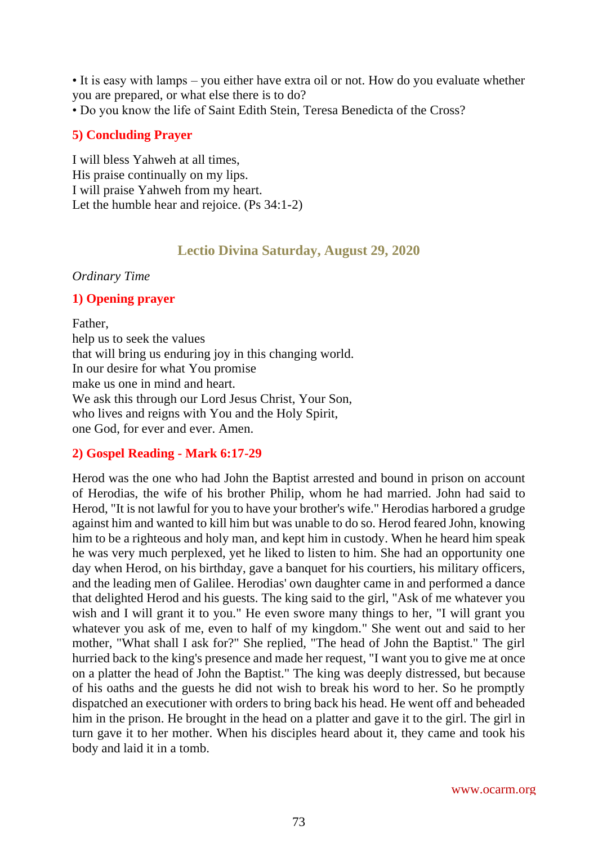• It is easy with lamps – you either have extra oil or not. How do you evaluate whether you are prepared, or what else there is to do? • Do you know the life of Saint Edith Stein, Teresa Benedicta of the Cross?

# **5) Concluding Prayer**

I will bless Yahweh at all times, His praise continually on my lips. I will praise Yahweh from my heart. Let the humble hear and rejoice. (Ps 34:1-2)

# **Lectio Divina Saturday, August 29, 2020**

#### *Ordinary Time*

# **1) Opening prayer**

Father, help us to seek the values that will bring us enduring joy in this changing world. In our desire for what You promise make us one in mind and heart. We ask this through our Lord Jesus Christ, Your Son, who lives and reigns with You and the Holy Spirit, one God, for ever and ever. Amen.

# **2) Gospel Reading - Mark 6:17-29**

Herod was the one who had John the Baptist arrested and bound in prison on account of Herodias, the wife of his brother Philip, whom he had married. John had said to Herod, "It is not lawful for you to have your brother's wife." Herodias harbored a grudge against him and wanted to kill him but was unable to do so. Herod feared John, knowing him to be a righteous and holy man, and kept him in custody. When he heard him speak he was very much perplexed, yet he liked to listen to him. She had an opportunity one day when Herod, on his birthday, gave a banquet for his courtiers, his military officers, and the leading men of Galilee. Herodias' own daughter came in and performed a dance that delighted Herod and his guests. The king said to the girl, "Ask of me whatever you wish and I will grant it to you." He even swore many things to her, "I will grant you whatever you ask of me, even to half of my kingdom." She went out and said to her mother, "What shall I ask for?" She replied, "The head of John the Baptist." The girl hurried back to the king's presence and made her request, "I want you to give me at once on a platter the head of John the Baptist." The king was deeply distressed, but because of his oaths and the guests he did not wish to break his word to her. So he promptly dispatched an executioner with orders to bring back his head. He went off and beheaded him in the prison. He brought in the head on a platter and gave it to the girl. The girl in turn gave it to her mother. When his disciples heard about it, they came and took his body and laid it in a tomb.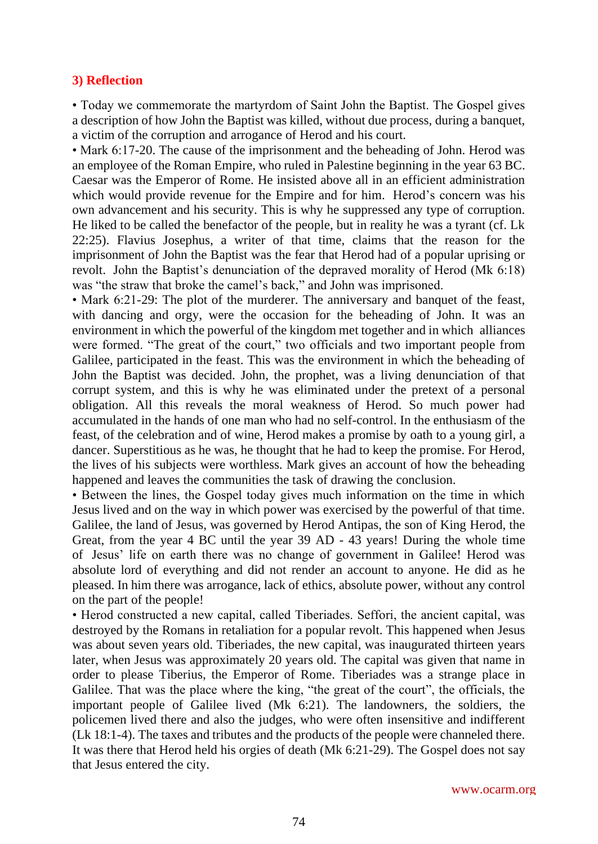# **3) Reflection**

• Today we commemorate the martyrdom of Saint John the Baptist. The Gospel gives a description of how John the Baptist was killed, without due process, during a banquet, a victim of the corruption and arrogance of Herod and his court.

• Mark 6:17-20. The cause of the imprisonment and the beheading of John. Herod was an employee of the Roman Empire, who ruled in Palestine beginning in the year 63 BC. Caesar was the Emperor of Rome. He insisted above all in an efficient administration which would provide revenue for the Empire and for him. Herod's concern was his own advancement and his security. This is why he suppressed any type of corruption. He liked to be called the benefactor of the people, but in reality he was a tyrant (cf. Lk 22:25). Flavius Josephus, a writer of that time, claims that the reason for the imprisonment of John the Baptist was the fear that Herod had of a popular uprising or revolt. John the Baptist's denunciation of the depraved morality of Herod (Mk 6:18) was "the straw that broke the camel's back," and John was imprisoned.

• Mark 6:21-29: The plot of the murderer. The anniversary and banquet of the feast, with dancing and orgy, were the occasion for the beheading of John. It was an environment in which the powerful of the kingdom met together and in which alliances were formed. "The great of the court," two officials and two important people from Galilee, participated in the feast. This was the environment in which the beheading of John the Baptist was decided. John, the prophet, was a living denunciation of that corrupt system, and this is why he was eliminated under the pretext of a personal obligation. All this reveals the moral weakness of Herod. So much power had accumulated in the hands of one man who had no self-control. In the enthusiasm of the feast, of the celebration and of wine, Herod makes a promise by oath to a young girl, a dancer. Superstitious as he was, he thought that he had to keep the promise. For Herod, the lives of his subjects were worthless. Mark gives an account of how the beheading happened and leaves the communities the task of drawing the conclusion.

• Between the lines, the Gospel today gives much information on the time in which Jesus lived and on the way in which power was exercised by the powerful of that time. Galilee, the land of Jesus, was governed by Herod Antipas, the son of King Herod, the Great, from the year 4 BC until the year 39 AD - 43 years! During the whole time of Jesus' life on earth there was no change of government in Galilee! Herod was absolute lord of everything and did not render an account to anyone. He did as he pleased. In him there was arrogance, lack of ethics, absolute power, without any control on the part of the people!

• Herod constructed a new capital, called Tiberiades. Seffori, the ancient capital, was destroyed by the Romans in retaliation for a popular revolt. This happened when Jesus was about seven years old. Tiberiades, the new capital, was inaugurated thirteen years later, when Jesus was approximately 20 years old. The capital was given that name in order to please Tiberius, the Emperor of Rome. Tiberiades was a strange place in Galilee. That was the place where the king, "the great of the court", the officials, the important people of Galilee lived (Mk 6:21). The landowners, the soldiers, the policemen lived there and also the judges, who were often insensitive and indifferent (Lk 18:1-4). The taxes and tributes and the products of the people were channeled there. It was there that Herod held his orgies of death (Mk 6:21-29). The Gospel does not say that Jesus entered the city.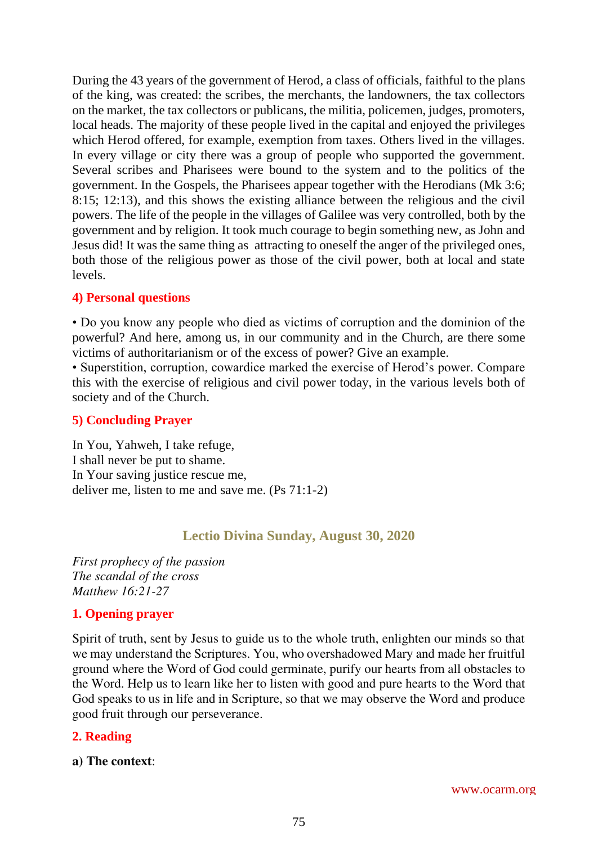During the 43 years of the government of Herod, a class of officials, faithful to the plans of the king, was created: the scribes, the merchants, the landowners, the tax collectors on the market, the tax collectors or publicans, the militia, policemen, judges, promoters, local heads. The majority of these people lived in the capital and enjoyed the privileges which Herod offered, for example, exemption from taxes. Others lived in the villages. In every village or city there was a group of people who supported the government. Several scribes and Pharisees were bound to the system and to the politics of the government. In the Gospels, the Pharisees appear together with the Herodians (Mk 3:6; 8:15; 12:13), and this shows the existing alliance between the religious and the civil powers. The life of the people in the villages of Galilee was very controlled, both by the government and by religion. It took much courage to begin something new, as John and Jesus did! It was the same thing as attracting to oneself the anger of the privileged ones, both those of the religious power as those of the civil power, both at local and state levels.

# **4) Personal questions**

• Do you know any people who died as victims of corruption and the dominion of the powerful? And here, among us, in our community and in the Church, are there some victims of authoritarianism or of the excess of power? Give an example.

• Superstition, corruption, cowardice marked the exercise of Herod's power. Compare this with the exercise of religious and civil power today, in the various levels both of society and of the Church.

# **5) Concluding Prayer**

In You, Yahweh, I take refuge, I shall never be put to shame. In Your saving justice rescue me, deliver me, listen to me and save me. (Ps 71:1-2)

# **Lectio Divina Sunday, August 30, 2020**

*First prophecy of the passion The scandal of the cross Matthew 16:21-27*

#### **1. Opening prayer**

Spirit of truth, sent by Jesus to guide us to the whole truth, enlighten our minds so that we may understand the Scriptures. You, who overshadowed Mary and made her fruitful ground where the Word of God could germinate, purify our hearts from all obstacles to the Word. Help us to learn like her to listen with good and pure hearts to the Word that God speaks to us in life and in Scripture, so that we may observe the Word and produce good fruit through our perseverance.

# **2. Reading**

#### **a) The context**: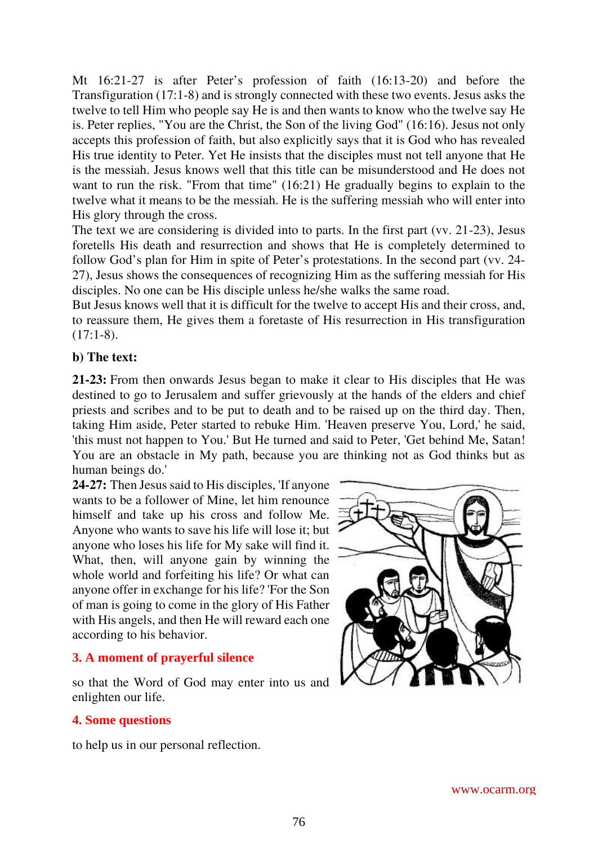Mt 16:21-27 is after Peter's profession of faith (16:13-20) and before the Transfiguration (17:1-8) and is strongly connected with these two events. Jesus asks the twelve to tell Him who people say He is and then wants to know who the twelve say He is. Peter replies, "You are the Christ, the Son of the living God" (16:16). Jesus not only accepts this profession of faith, but also explicitly says that it is God who has revealed His true identity to Peter. Yet He insists that the disciples must not tell anyone that He is the messiah. Jesus knows well that this title can be misunderstood and He does not want to run the risk. "From that time" (16:21) He gradually begins to explain to the twelve what it means to be the messiah. He is the suffering messiah who will enter into His glory through the cross.

The text we are considering is divided into to parts. In the first part (vv. 21-23), Jesus foretells His death and resurrection and shows that He is completely determined to follow God's plan for Him in spite of Peter's protestations. In the second part (vv. 24- 27), Jesus shows the consequences of recognizing Him as the suffering messiah for His disciples. No one can be His disciple unless he/she walks the same road.

But Jesus knows well that it is difficult for the twelve to accept His and their cross, and, to reassure them, He gives them a foretaste of His resurrection in His transfiguration  $(17:1-8).$ 

#### **b) The text:**

**21-23:** From then onwards Jesus began to make it clear to His disciples that He was destined to go to Jerusalem and suffer grievously at the hands of the elders and chief priests and scribes and to be put to death and to be raised up on the third day. Then, taking Him aside, Peter started to rebuke Him. 'Heaven preserve You, Lord,' he said, 'this must not happen to You.' But He turned and said to Peter, 'Get behind Me, Satan! You are an obstacle in My path, because you are thinking not as God thinks but as human beings do.'

**24-27:** Then Jesus said to His disciples, 'If anyone wants to be a follower of Mine, let him renounce himself and take up his cross and follow Me. Anyone who wants to save his life will lose it; but anyone who loses his life for My sake will find it. What, then, will anyone gain by winning the whole world and forfeiting his life? Or what can anyone offer in exchange for his life? 'For the Son of man is going to come in the glory of His Father with His angels, and then He will reward each one according to his behavior.

# **3. A moment of prayerful silence**

so that the Word of God may enter into us and enlighten our life.

#### **4. Some questions**

to help us in our personal reflection.

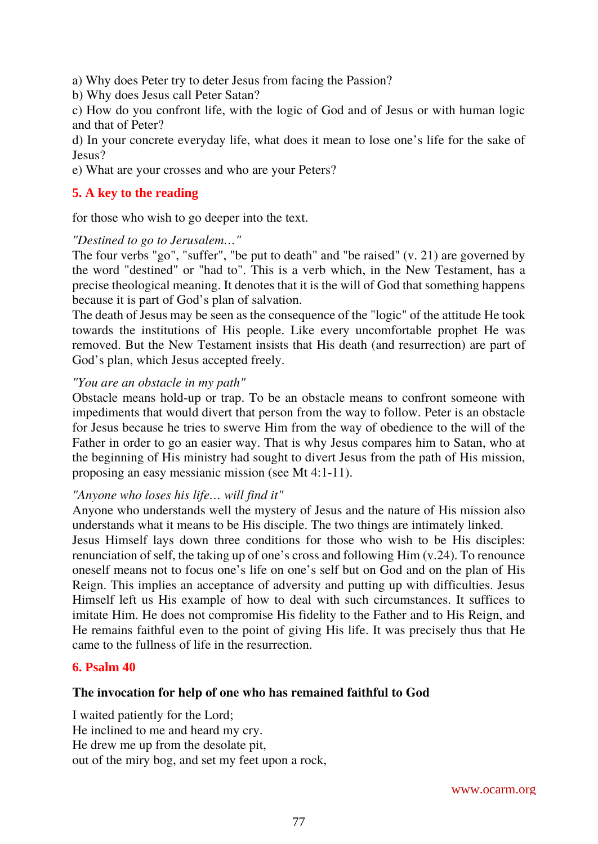a) Why does Peter try to deter Jesus from facing the Passion?

b) Why does Jesus call Peter Satan?

c) How do you confront life, with the logic of God and of Jesus or with human logic and that of Peter?

d) In your concrete everyday life, what does it mean to lose one's life for the sake of Jesus?

e) What are your crosses and who are your Peters?

# **5. A key to the reading**

for those who wish to go deeper into the text.

#### *"Destined to go to Jerusalem…"*

The four verbs "go", "suffer", "be put to death" and "be raised" (v. 21) are governed by the word "destined" or "had to". This is a verb which, in the New Testament, has a precise theological meaning. It denotes that it is the will of God that something happens because it is part of God's plan of salvation.

The death of Jesus may be seen as the consequence of the "logic" of the attitude He took towards the institutions of His people. Like every uncomfortable prophet He was removed. But the New Testament insists that His death (and resurrection) are part of God's plan, which Jesus accepted freely.

#### *"You are an obstacle in my path"*

Obstacle means hold-up or trap. To be an obstacle means to confront someone with impediments that would divert that person from the way to follow. Peter is an obstacle for Jesus because he tries to swerve Him from the way of obedience to the will of the Father in order to go an easier way. That is why Jesus compares him to Satan, who at the beginning of His ministry had sought to divert Jesus from the path of His mission, proposing an easy messianic mission (see Mt 4:1-11).

#### *"Anyone who loses his life… will find it"*

Anyone who understands well the mystery of Jesus and the nature of His mission also understands what it means to be His disciple. The two things are intimately linked.

Jesus Himself lays down three conditions for those who wish to be His disciples: renunciation of self, the taking up of one's cross and following Him (v.24). To renounce oneself means not to focus one's life on one's self but on God and on the plan of His Reign. This implies an acceptance of adversity and putting up with difficulties. Jesus Himself left us His example of how to deal with such circumstances. It suffices to imitate Him. He does not compromise His fidelity to the Father and to His Reign, and He remains faithful even to the point of giving His life. It was precisely thus that He came to the fullness of life in the resurrection.

# **6. Psalm 40**

#### **The invocation for help of one who has remained faithful to God**

I waited patiently for the Lord; He inclined to me and heard my cry. He drew me up from the desolate pit, out of the miry bog, and set my feet upon a rock,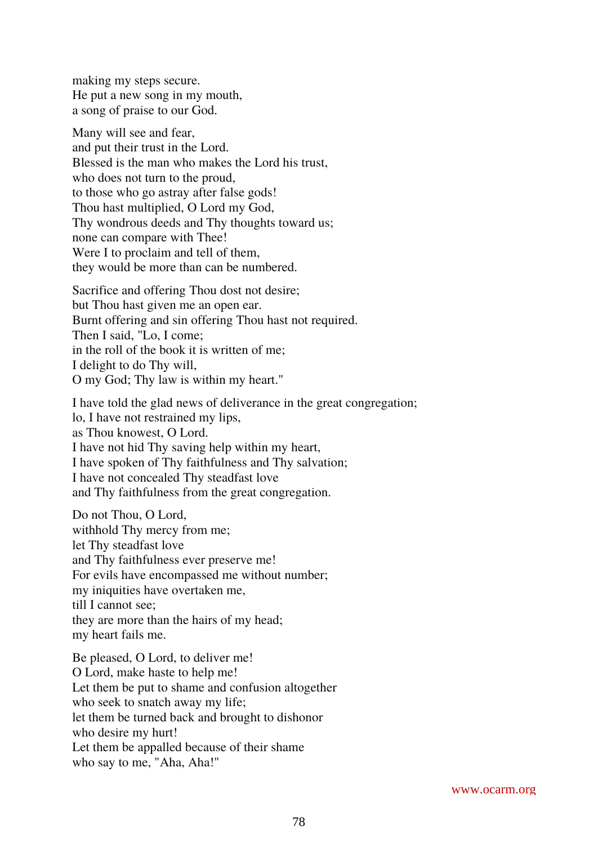making my steps secure. He put a new song in my mouth, a song of praise to our God.

Many will see and fear, and put their trust in the Lord. Blessed is the man who makes the Lord his trust, who does not turn to the proud, to those who go astray after false gods! Thou hast multiplied, O Lord my God, Thy wondrous deeds and Thy thoughts toward us; none can compare with Thee! Were I to proclaim and tell of them. they would be more than can be numbered.

Sacrifice and offering Thou dost not desire; but Thou hast given me an open ear. Burnt offering and sin offering Thou hast not required. Then I said, "Lo, I come; in the roll of the book it is written of me; I delight to do Thy will, O my God; Thy law is within my heart."

I have told the glad news of deliverance in the great congregation; lo, I have not restrained my lips, as Thou knowest, O Lord. I have not hid Thy saving help within my heart, I have spoken of Thy faithfulness and Thy salvation; I have not concealed Thy steadfast love and Thy faithfulness from the great congregation.

Do not Thou, O Lord, withhold Thy mercy from me; let Thy steadfast love and Thy faithfulness ever preserve me! For evils have encompassed me without number; my iniquities have overtaken me, till I cannot see; they are more than the hairs of my head; my heart fails me.

Be pleased, O Lord, to deliver me! O Lord, make haste to help me! Let them be put to shame and confusion altogether who seek to snatch away my life; let them be turned back and brought to dishonor who desire my hurt! Let them be appalled because of their shame who say to me, "Aha, Aha!"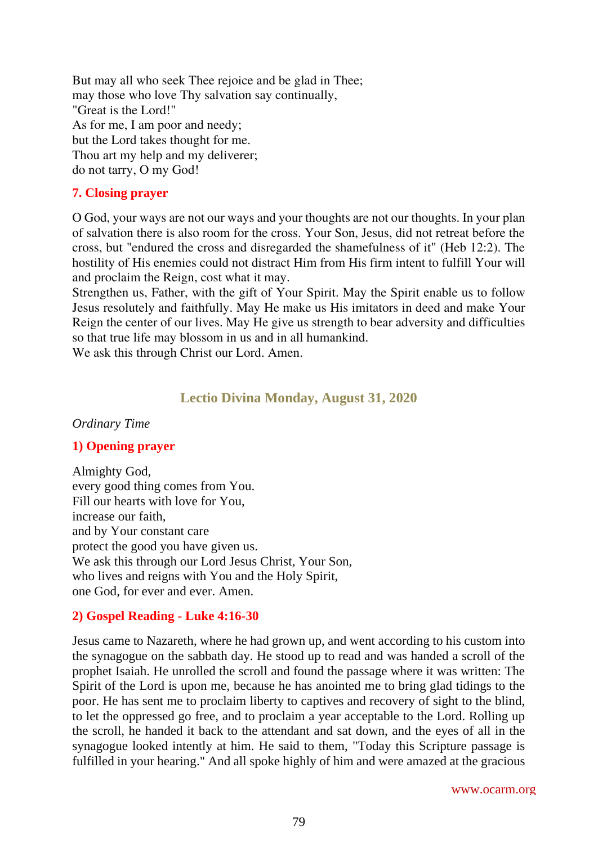But may all who seek Thee rejoice and be glad in Thee; may those who love Thy salvation say continually, "Great is the Lord!" As for me, I am poor and needy; but the Lord takes thought for me. Thou art my help and my deliverer; do not tarry, O my God!

#### **7. Closing prayer**

O God, your ways are not our ways and your thoughts are not our thoughts. In your plan of salvation there is also room for the cross. Your Son, Jesus, did not retreat before the cross, but "endured the cross and disregarded the shamefulness of it" (Heb 12:2). The hostility of His enemies could not distract Him from His firm intent to fulfill Your will and proclaim the Reign, cost what it may.

Strengthen us, Father, with the gift of Your Spirit. May the Spirit enable us to follow Jesus resolutely and faithfully. May He make us His imitators in deed and make Your Reign the center of our lives. May He give us strength to bear adversity and difficulties so that true life may blossom in us and in all humankind.

We ask this through Christ our Lord. Amen.

# **Lectio Divina Monday, August 31, 2020**

#### *Ordinary Time*

# **1) Opening prayer**

Almighty God, every good thing comes from You. Fill our hearts with love for You, increase our faith, and by Your constant care protect the good you have given us. We ask this through our Lord Jesus Christ, Your Son, who lives and reigns with You and the Holy Spirit, one God, for ever and ever. Amen.

# **2) Gospel Reading - Luke 4:16-30**

Jesus came to Nazareth, where he had grown up, and went according to his custom into the synagogue on the sabbath day. He stood up to read and was handed a scroll of the prophet Isaiah. He unrolled the scroll and found the passage where it was written: The Spirit of the Lord is upon me, because he has anointed me to bring glad tidings to the poor. He has sent me to proclaim liberty to captives and recovery of sight to the blind, to let the oppressed go free, and to proclaim a year acceptable to the Lord. Rolling up the scroll, he handed it back to the attendant and sat down, and the eyes of all in the synagogue looked intently at him. He said to them, "Today this Scripture passage is fulfilled in your hearing." And all spoke highly of him and were amazed at the gracious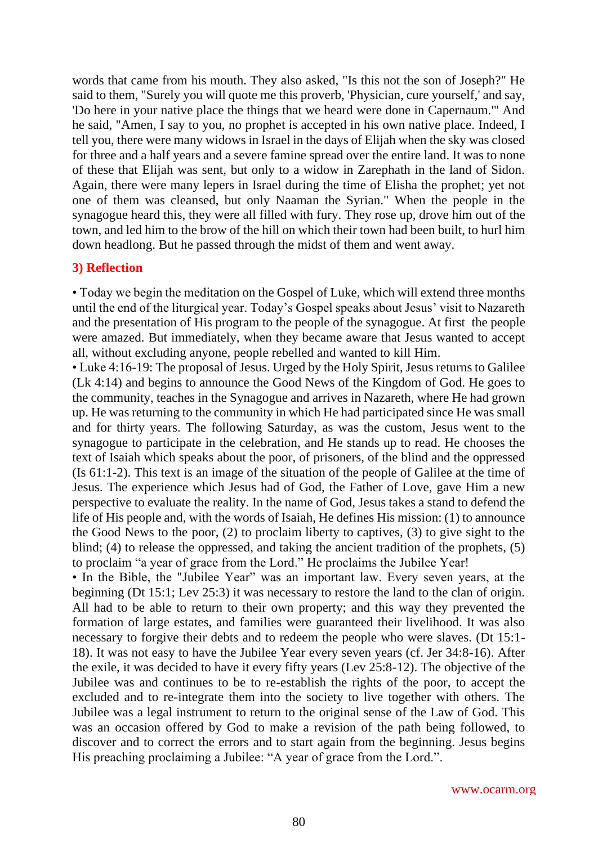words that came from his mouth. They also asked, "Is this not the son of Joseph?" He said to them, "Surely you will quote me this proverb, 'Physician, cure yourself,' and say, 'Do here in your native place the things that we heard were done in Capernaum.'" And he said, "Amen, I say to you, no prophet is accepted in his own native place. Indeed, I tell you, there were many widows in Israel in the days of Elijah when the sky was closed for three and a half years and a severe famine spread over the entire land. It was to none of these that Elijah was sent, but only to a widow in Zarephath in the land of Sidon. Again, there were many lepers in Israel during the time of Elisha the prophet; yet not one of them was cleansed, but only Naaman the Syrian." When the people in the synagogue heard this, they were all filled with fury. They rose up, drove him out of the town, and led him to the brow of the hill on which their town had been built, to hurl him down headlong. But he passed through the midst of them and went away.

#### **3) Reflection**

• Today we begin the meditation on the Gospel of Luke, which will extend three months until the end of the liturgical year. Today's Gospel speaks about Jesus' visit to Nazareth and the presentation of His program to the people of the synagogue. At first the people were amazed. But immediately, when they became aware that Jesus wanted to accept all, without excluding anyone, people rebelled and wanted to kill Him.

• Luke 4:16-19: The proposal of Jesus. Urged by the Holy Spirit, Jesus returns to Galilee (Lk 4:14) and begins to announce the Good News of the Kingdom of God. He goes to the community, teaches in the Synagogue and arrives in Nazareth, where He had grown up. He was returning to the community in which He had participated since He was small and for thirty years. The following Saturday, as was the custom, Jesus went to the synagogue to participate in the celebration, and He stands up to read. He chooses the text of Isaiah which speaks about the poor, of prisoners, of the blind and the oppressed (Is 61:1-2). This text is an image of the situation of the people of Galilee at the time of Jesus. The experience which Jesus had of God, the Father of Love, gave Him a new perspective to evaluate the reality. In the name of God, Jesus takes a stand to defend the life of His people and, with the words of Isaiah, He defines His mission: (1) to announce the Good News to the poor, (2) to proclaim liberty to captives, (3) to give sight to the blind; (4) to release the oppressed, and taking the ancient tradition of the prophets, (5) to proclaim "a year of grace from the Lord." He proclaims the Jubilee Year!

• In the Bible, the "Jubilee Year" was an important law. Every seven years, at the beginning (Dt 15:1; Lev 25:3) it was necessary to restore the land to the clan of origin. All had to be able to return to their own property; and this way they prevented the formation of large estates, and families were guaranteed their livelihood. It was also necessary to forgive their debts and to redeem the people who were slaves. (Dt 15:1- 18). It was not easy to have the Jubilee Year every seven years (cf. Jer 34:8-16). After the exile, it was decided to have it every fifty years (Lev 25:8-12). The objective of the Jubilee was and continues to be to re-establish the rights of the poor, to accept the excluded and to re-integrate them into the society to live together with others. The Jubilee was a legal instrument to return to the original sense of the Law of God. This was an occasion offered by God to make a revision of the path being followed, to discover and to correct the errors and to start again from the beginning. Jesus begins His preaching proclaiming a Jubilee: "A year of grace from the Lord.".